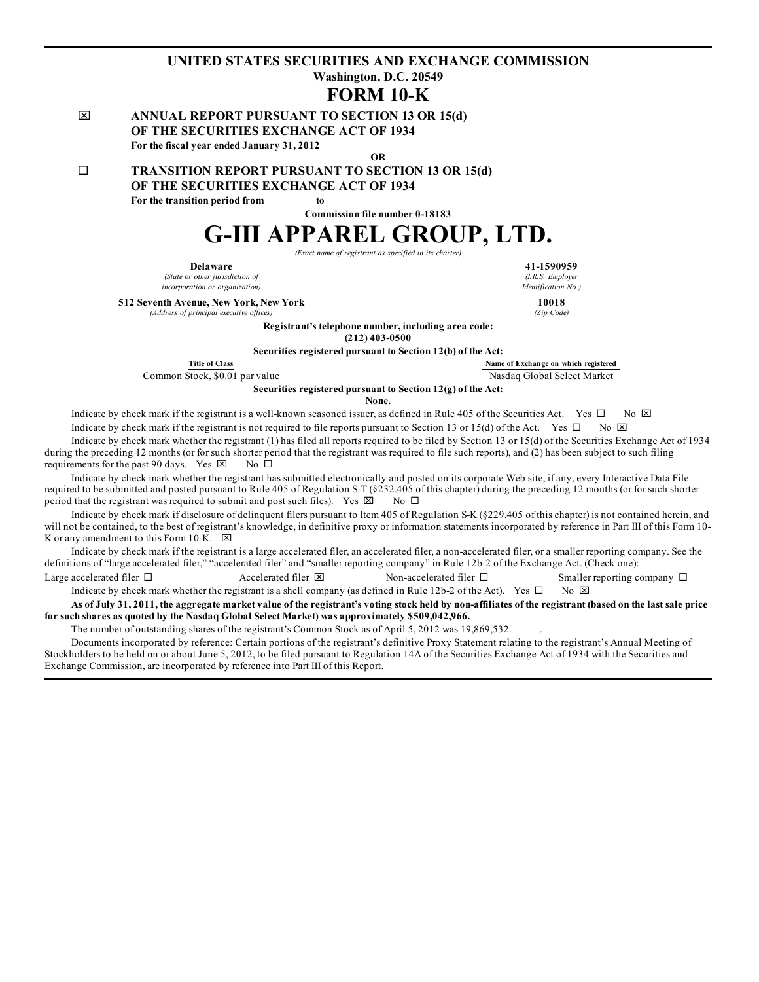# **UNITED STATES SECURITIES AND EXCHANGE COMMISSION Washington, D.C. 20549**

## **FORM 10-K**

**OR**

x **ANNUAL REPORT PURSUANT TO SECTION 13 OR 15(d)**

**OF THE SECURITIES EXCHANGE ACT OF 1934**

**For the fiscal year ended January 31, 2012**

¨ **TRANSITION REPORT PURSUANT TO SECTION 13 OR 15(d) OF THE SECURITIES EXCHANGE ACT OF 1934**

**For the transition period from to**

**Commission file number 0-18183**

# **G-III APPAREL GROUP, LTD.**

*(Exact name of registrant as specified in its charter)*

*(State or other jurisdiction of (I.R.S. Employer incorporation or organization) Identification No.)*

**Delaware 41-1590959**<br> **41-1590959**<br> **41-1590959**<br> **41-1590959** 

**512 Seventh Avenue, New York, New York 10018**  $(Address of principal executive offices)$ 

**Registrant's telephone number, including area code: (212) 403-0500**

**Securities registered pursuant to Section 12(b) of the Act:**

**Title of Class Name of Exchange on which registered**

Common Stock, \$0.01 par value Nasdaq Global Select Market

**Securities registered pursuant to Section 12(g) of the Act:**

**None.**

Indicate by check mark if the registrant is a well-known seasoned issuer, as defined in Rule 405 of the Securities Act. Yes  $\Box$  No  $\boxtimes$ Indicate by check mark if the registrant is not required to file reports pursuant to Section 13 or 15(d) of the Act. Yes  $\Box$  No  $\boxtimes$ 

Indicate by check mark whether the registrant (1) has filed all reports required to be filed by Section 13 or 15(d) of the Securities Exchange Act of 1934 during the preceding 12 months (or for such shorter period that the registrant was required to file such reports), and (2) has been subject to such filing requirements for the past 90 days. Yes  $\boxtimes$  No  $\Box$ 

Indicate by check mark whether the registrant has submitted electronically and posted on its corporate Web site, if any, every Interactive Data File required to be submitted and posted pursuant to Rule 405 of Regulation S-T (§232.405 of this chapter) during the preceding 12 months (or for such shorter period that the registrant was required to submit and post such fil period that the registrant was required to submit and post such files). Yes  $\boxtimes$ 

Indicate by check mark if disclosure of delinquent filers pursuant to Item 405 of Regulation S-K (§229.405 of this chapter) is not contained herein, and will not be contained, to the best of registrant's knowledge, in definitive proxy or information statements incorporated by reference in Part III of this Form 10-K or any amendment to this Form 10-K.  $\boxtimes$ 

Indicate by check mark if the registrant is a large accelerated filer, an accelerated filer, a non-accelerated filer, or a smaller reporting company. See the definitions of "large accelerated filer," "accelerated filer" and "smaller reporting company" in Rule 12b-2 of the Exchange Act. (Check one):

Large accelerated filer  $\square$  Accelerated filer  $\square$  Non-accelerated filer  $\square$  Smaller reporting company  $\square$ Indicate by check mark whether the registrant is a shell company (as defined in Rule 12b-2 of the Act). Yes  $\Box$  No  $\boxtimes$ 

As of July 31, 2011, the aggregate market value of the registrant's voting stock held by non-affiliates of the registrant (based on the last sale price **for such shares as quoted by the Nasdaq Global Select Market) was approximately \$509,042,966.**

The number of outstanding shares of the registrant's Common Stock as of April 5, 2012 was 19,869,532.

Documents incorporated by reference: Certain portions of the registrant's definitive Proxy Statement relating to the registrant's Annual Meeting of Stockholders to be held on or about June 5, 2012, to be filed pursuant to Regulation 14A of the Securities Exchange Act of 1934 with the Securities and Exchange Commission, are incorporated by reference into Part III of this Report.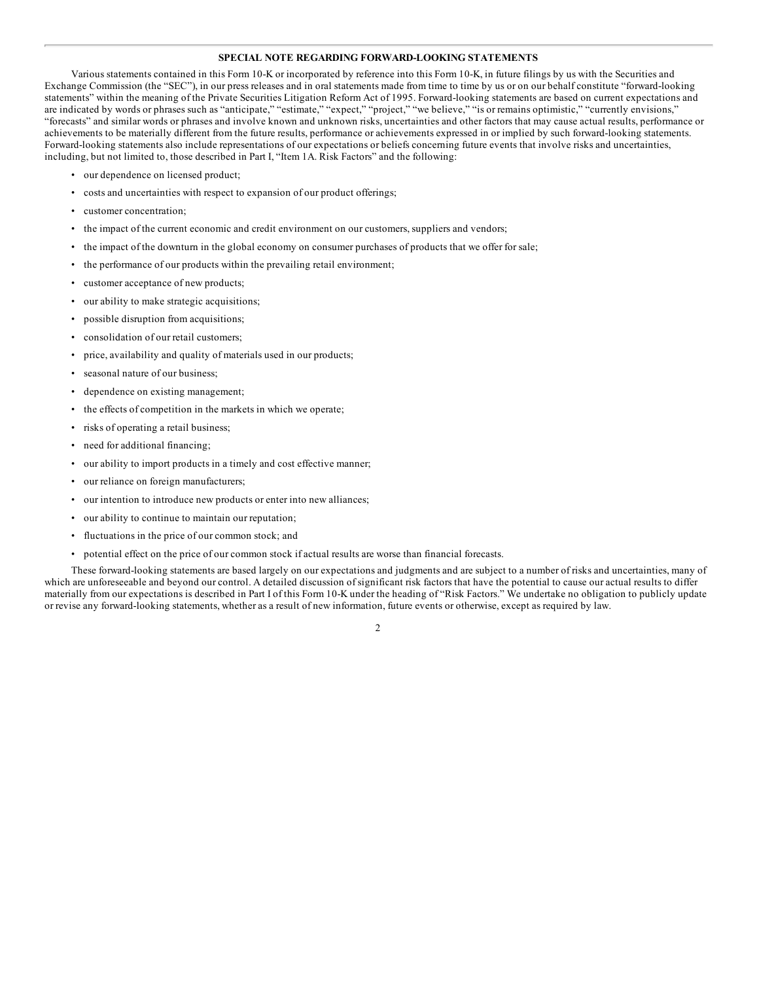## **SPECIAL NOTE REGARDING FORWARD-LOOKING STATEMENTS**

Various statements contained in this Form 10-K or incorporated by reference into this Form 10-K, in future filings by us with the Securities and Exchange Commission (the "SEC"), in our press releases and in oral statements made from time to time by us or on our behalf constitute "forward-looking statements" within the meaning of the Private Securities Litigation Reform Act of 1995. Forward-looking statements are based on current expectations and are indicated by words or phrases such as "anticipate," "estimate," "expect," "project," "we believe," "is or remains optimistic," "currently envisions," "forecasts" and similar words or phrases and involve known and unknown risks, uncertainties and other factors that may cause actual results, performance or achievements to be materially different from the future results, performance or achievements expressed in or implied by such forward-looking statements. Forward-looking statements also include representations of our expectations or beliefs concerning future events that involve risks and uncertainties, including, but not limited to, those described in Part I, "Item 1A. Risk Factors" and the following:

- our dependence on licensed product;
- costs and uncertainties with respect to expansion of our product offerings;
- customer concentration:
- the impact of the current economic and credit environment on our customers, suppliers and vendors;
- the impact of the downturn in the global economy on consumer purchases of products that we offer for sale;
- the performance of our products within the prevailing retail environment;
- customer acceptance of new products;
- our ability to make strategic acquisitions;
- possible disruption from acquisitions;
- consolidation of our retail customers;
- price, availability and quality of materials used in our products;
- seasonal nature of our business;
- dependence on existing management;
- the effects of competition in the markets in which we operate;
- risks of operating a retail business;
- need for additional financing;
- our ability to import products in a timely and cost effective manner;
- our reliance on foreign manufacturers;
- our intention to introduce new products or enter into new alliances;
- our ability to continue to maintain our reputation;
- fluctuations in the price of our common stock; and
- potential effect on the price of our common stock if actual results are worse than financial forecasts.

These forward-looking statements are based largely on our expectations and judgments and are subject to a number of risks and uncertainties, many of which are unforeseeable and beyond our control. A detailed discussion of significant risk factors that have the potential to cause our actual results to differ materially from our expectations is described in Part I of this Form 10-K under the heading of "Risk Factors." We undertake no obligation to publicly update or revise any forward-looking statements, whether as a result of new information, future events or otherwise, except as required by law.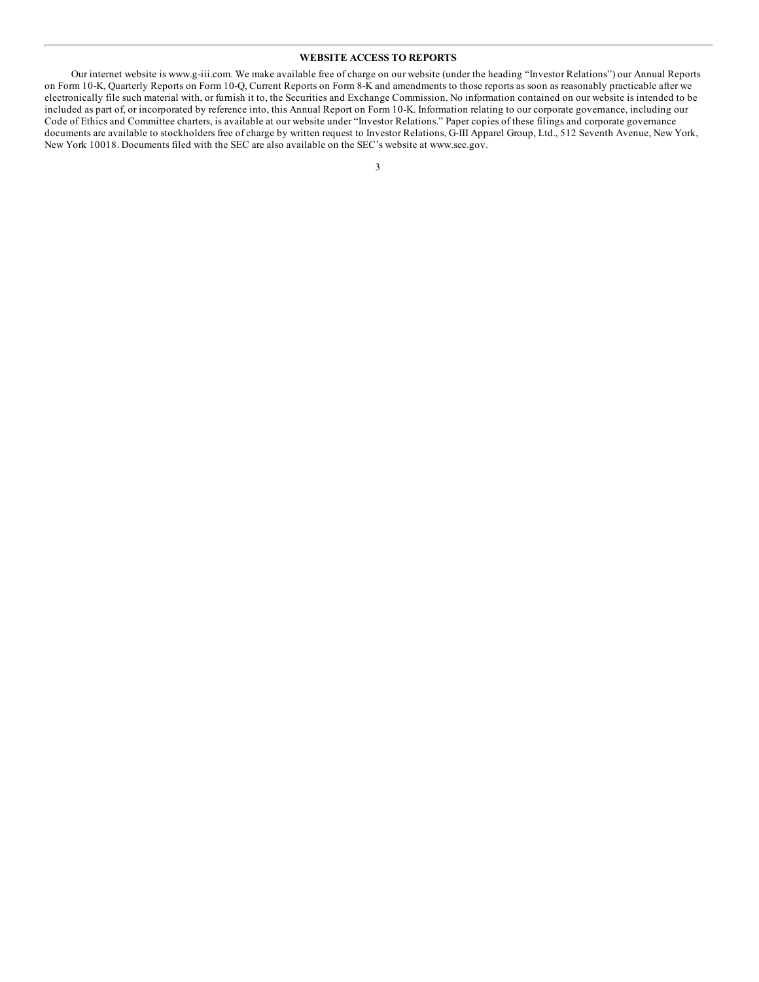#### **WEBSITE ACCESS TO REPORTS**

Our internet website is www.g-iii.com. We make available free of charge on our website (under the heading "Investor Relations") our Annual Reports on Form 10-K, Quarterly Reports on Form 10-Q, Current Reports on Form 8-K and amendments to those reports as soon as reasonably practicable after we electronically file such material with, or furnish it to, the Securities and Exchange Commission. No information contained on our website is intended to be included as part of, or incorporated by reference into, this Annual Report on Form 10-K. Information relating to our corporate governance, including our Code of Ethics and Committee charters, is available at our website under "Investor Relations." Paper copies of these filings and corporate governance documents are available to stockholders free of charge by written request to Investor Relations, G-III Apparel Group, Ltd., 512 Seventh Avenue, New York, New York 10018. Documents filed with the SEC are also available on the SEC's website at www.sec.gov.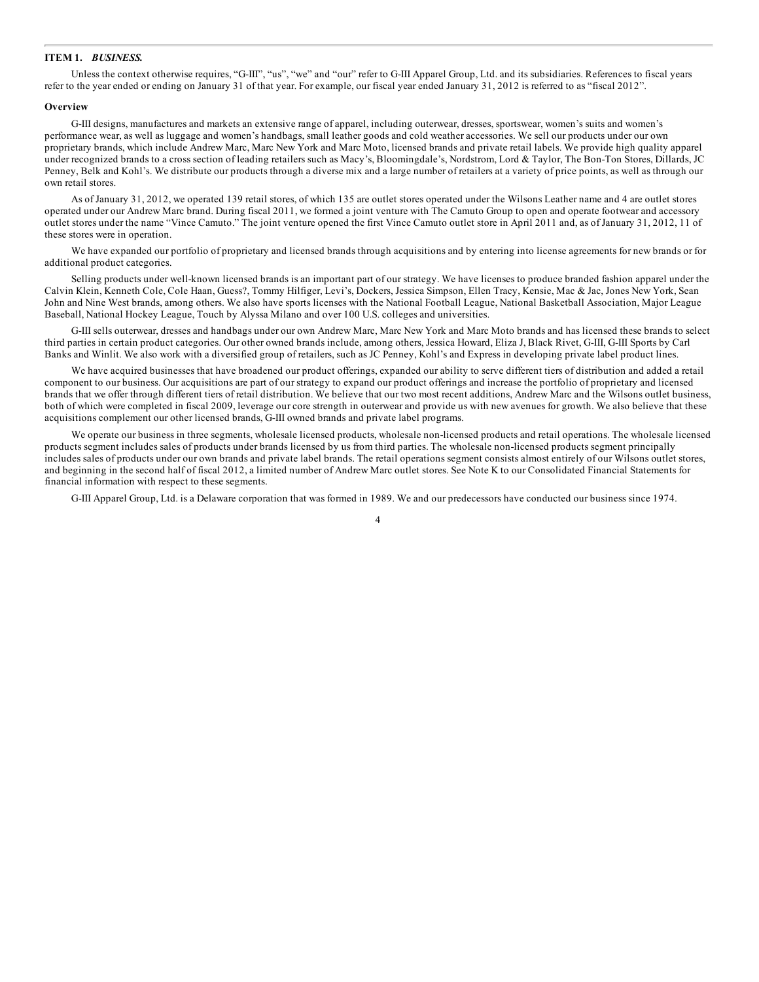#### **ITEM 1.** *BUSINESS.*

Unless the context otherwise requires, "G-III", "us", "we" and "our" refer to G-III Apparel Group, Ltd. and its subsidiaries. References to fiscal years refer to the year ended or ending on January 31 of that year. For example, our fiscal year ended January 31, 2012 is referred to as "fiscal 2012".

#### **Overview**

G-III designs, manufactures and markets an extensive range of apparel, including outerwear, dresses, sportswear, women's suits and women's performance wear, as well as luggage and women's handbags, small leather goods and cold weather accessories. We sell our products under our own proprietary brands, which include Andrew Marc, Marc New York and Marc Moto, licensed brands and private retail labels. We provide high quality apparel under recognized brands to a cross section of leading retailers such as Macy's, Bloomingdale's, Nordstrom, Lord & Taylor, The Bon-Ton Stores, Dillards, JC Penney, Belk and Kohl's. We distribute our products through a diverse mix and a large number of retailers at a variety of price points, as well as through our own retail stores.

As of January 31, 2012, we operated 139 retail stores, of which 135 are outlet stores operated under the Wilsons Leather name and 4 are outlet stores operated under our Andrew Marc brand. During fiscal 2011, we formed a joint venture with The Camuto Group to open and operate footwear and accessory outlet stores under the name "Vince Camuto." The joint venture opened the first Vince Camuto outlet store in April 2011 and, as of January 31, 2012, 11 of these stores were in operation.

We have expanded our portfolio of proprietary and licensed brands through acquisitions and by entering into license agreements for new brands or for additional product categories.

Selling products under well-known licensed brands is an important part of our strategy. We have licenses to produce branded fashion apparel under the Calvin Klein, Kenneth Cole, Cole Haan, Guess?, Tommy Hilfiger, Levi's, Dockers, Jessica Simpson, Ellen Tracy, Kensie, Mac & Jac, Jones New York, Sean John and Nine West brands, among others. We also have sports licenses with the National Football League, National Basketball Association, Major League Baseball, National Hockey League, Touch by Alyssa Milano and over 100 U.S. colleges and universities.

G-III sells outerwear, dresses and handbags under our own Andrew Marc, Marc New York and Marc Moto brands and has licensed these brands to select third parties in certain product categories. Our other owned brands include, among others, Jessica Howard, Eliza J, Black Rivet, G-III, G-III Sports by Carl Banks and Winlit. We also work with a diversified group of retailers, such as JC Penney, Kohl's and Express in developing private label product lines.

We have acquired businesses that have broadened our product offerings, expanded our ability to serve different tiers of distribution and added a retail component to our business. Our acquisitions are part of our strategy to expand our product offerings and increase the portfolio of proprietary and licensed brands that we offer through different tiers of retail distribution. We believe that our two most recent additions, Andrew Marc and the Wilsons outlet business, both of which were completed in fiscal 2009, leverage our core strength in outerwear and provide us with new avenues for growth. We also believe that these acquisitions complement our other licensed brands, G-III owned brands and private label programs.

We operate our business in three segments, wholesale licensed products, wholesale non-licensed products and retail operations. The wholesale licensed products segment includes sales of products under brands licensed by us from third parties. The wholesale non-licensed products segment principally includes sales of products under our own brands and private label brands. The retail operations segment consists almost entirely of our Wilsons outlet stores, and beginning in the second half of fiscal 2012, a limited number of Andrew Marc outlet stores. See Note K to our Consolidated Financial Statements for financial information with respect to these segments.

G-III Apparel Group, Ltd. is a Delaware corporation that was formed in 1989. We and our predecessors have conducted our business since 1974.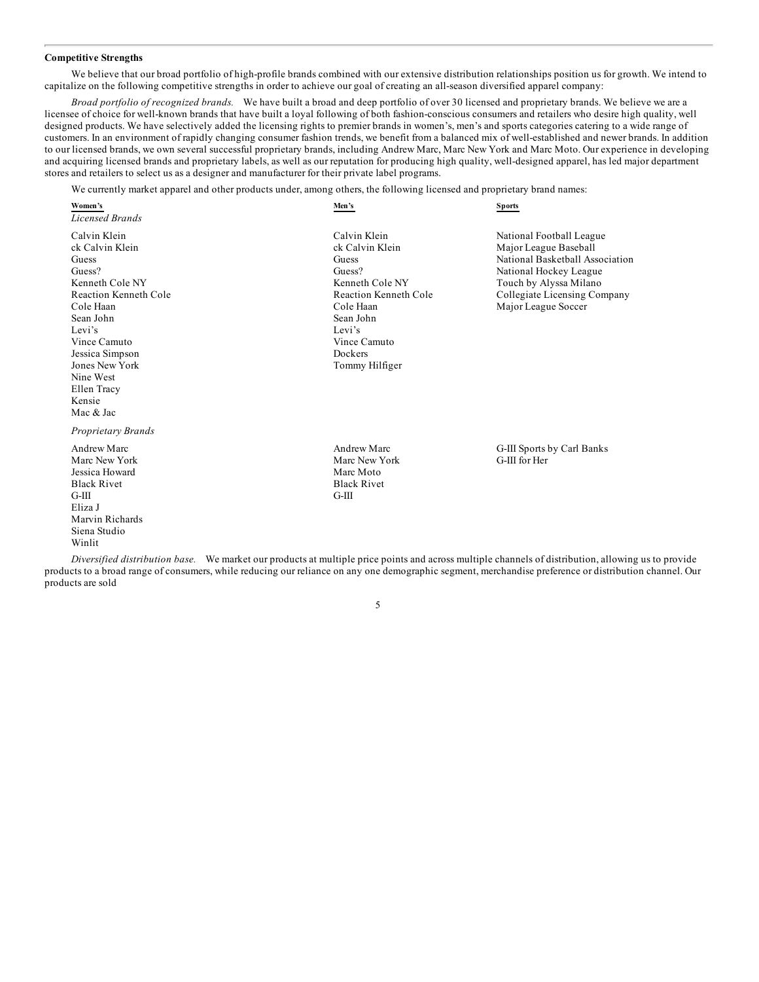#### **Competitive Strengths**

Winlit

We believe that our broad portfolio of high-profile brands combined with our extensive distribution relationships position us for growth. We intend to capitalize on the following competitive strengths in order to achieve our goal of creating an all-season diversified apparel company:

*Broad portfolio of recognized brands.* We have built a broad and deep portfolio of over 30 licensed and proprietary brands. We believe we are a licensee of choice for well-known brands that have built a loyal following of both fashion-conscious consumers and retailers who desire high quality, well designed products. We have selectively added the licensing rights to premier brands in women's, men's and sports categories catering to a wide range of customers. In an environment of rapidly changing consumer fashion trends, we benefit from a balanced mix of well-established and newer brands. In addition to our licensed brands, we own several successful proprietary brands, including Andrew Marc, Marc New York and Marc Moto. Our experience in developing and acquiring licensed brands and proprietary labels, as well as our reputation for producing high quality, well-designed apparel, has led major department stores and retailers to select us as a designer and manufacturer for their private label programs.

We currently market apparel and other products under, among others, the following licensed and proprietary brand names:

| Women's                                                                                                                                                                                                                                    | Men's                                                                                                                                                                           | <b>Sports</b>                                                                                                                                                                                   |  |
|--------------------------------------------------------------------------------------------------------------------------------------------------------------------------------------------------------------------------------------------|---------------------------------------------------------------------------------------------------------------------------------------------------------------------------------|-------------------------------------------------------------------------------------------------------------------------------------------------------------------------------------------------|--|
| Licensed Brands                                                                                                                                                                                                                            |                                                                                                                                                                                 |                                                                                                                                                                                                 |  |
| Calvin Klein<br>ck Calvin Klein<br>Guess<br>Guess?<br>Kenneth Cole NY<br>Reaction Kenneth Cole<br>Cole Haan<br>Sean John<br>Levi's<br>Vince Camuto<br>Jessica Simpson<br>Jones New York<br>Nine West<br>Ellen Tracy<br>Kensie<br>Mac & Jac | Calvin Klein<br>ck Calvin Klein<br>Guess<br>Guess?<br>Kenneth Cole NY<br>Reaction Kenneth Cole<br>Cole Haan<br>Sean John<br>Levi's<br>Vince Camuto<br>Dockers<br>Tommy Hilfiger | National Football League<br>Major League Baseball<br>National Basketball Association<br>National Hockey League<br>Touch by Alyssa Milano<br>Collegiate Licensing Company<br>Major League Soccer |  |
| Proprietary Brands<br>Andrew Marc<br>Marc New York<br>Jessica Howard<br><b>Black Rivet</b><br>$G-III$<br>Eliza J                                                                                                                           | Andrew Marc<br>Marc New York<br>Marc Moto<br><b>Black Rivet</b><br>$G-III$                                                                                                      | G-III Sports by Carl Banks<br>G-III for Her                                                                                                                                                     |  |
| Marvin Richards<br>Siena Studio                                                                                                                                                                                                            |                                                                                                                                                                                 |                                                                                                                                                                                                 |  |

*Diversified distribution base.* We market our products at multiple price points and across multiple channels of distribution, allowing us to provide products to a broad range of consumers, while reducing our reliance on any one demographic segment, merchandise preference or distribution channel. Our products are sold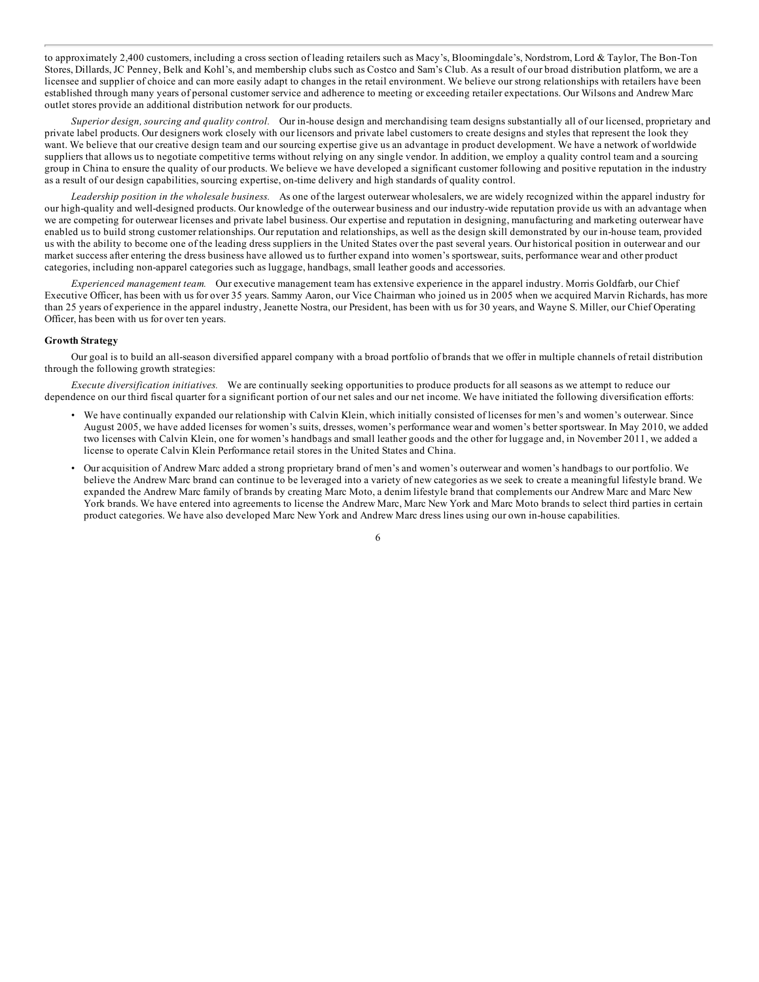to approximately 2,400 customers, including a cross section of leading retailers such as Macy's, Bloomingdale's, Nordstrom, Lord & Taylor, The Bon-Ton Stores, Dillards, JC Penney, Belk and Kohl's, and membership clubs such as Costco and Sam's Club. As a result of our broad distribution platform, we are a licensee and supplier of choice and can more easily adapt to changes in the retail environment. We believe our strong relationships with retailers have been established through many years of personal customer service and adherence to meeting or exceeding retailer expectations. Our Wilsons and Andrew Marc outlet stores provide an additional distribution network for our products.

*Superior design, sourcing and quality control.* Our in-house design and merchandising team designs substantially all of our licensed, proprietary and private label products. Our designers work closely with our licensors and private label customers to create designs and styles that represent the look they want. We believe that our creative design team and our sourcing expertise give us an advantage in product development. We have a network of worldwide suppliers that allows us to negotiate competitive terms without relying on any single vendor. In addition, we employ a quality control team and a sourcing group in China to ensure the quality of our products. We believe we have developed a significant customer following and positive reputation in the industry as a result of our design capabilities, sourcing expertise, on-time delivery and high standards of quality control.

*Leadership position in the wholesale business.* As one of the largest outerwear wholesalers, we are widely recognized within the apparel industry for our high-quality and well-designed products. Our knowledge of the outerwear business and our industry-wide reputation provide us with an advantage when we are competing for outerwear licenses and private label business. Our expertise and reputation in designing, manufacturing and marketing outerwear have enabled us to build strong customer relationships. Our reputation and relationships, as well as the design skill demonstrated by our in-house team, provided us with the ability to become one of the leading dress suppliers in the United States over the past several years. Our historical position in outerwear and our market success after entering the dress business have allowed us to further expand into women's sportswear, suits, performance wear and other product categories, including non-apparel categories such as luggage, handbags, small leather goods and accessories.

*Experienced management team.* Our executive management team has extensive experience in the apparel industry. Morris Goldfarb, our Chief Executive Officer, has been with us for over 35 years. Sammy Aaron, our Vice Chairman who joined us in 2005 when we acquired Marvin Richards, has more than 25 years of experience in the apparel industry, Jeanette Nostra, our President, has been with us for 30 years, and Wayne S. Miller, our Chief Operating Officer, has been with us for over ten years.

#### **Growth Strategy**

Our goal is to build an all-season diversified apparel company with a broad portfolio of brands that we offer in multiple channels of retail distribution through the following growth strategies:

*Execute diversification initiatives.* We are continually seeking opportunities to produce products for all seasons as we attempt to reduce our dependence on our third fiscal quarter for a significant portion of our net sales and our net income. We have initiated the following diversification efforts:

- We have continually expanded our relationship with Calvin Klein, which initially consisted of licenses for men's and women's outerwear. Since August 2005, we have added licenses for women's suits, dresses, women's performance wear and women's better sportswear. In May 2010, we added two licenses with Calvin Klein, one for women's handbags and small leather goods and the other for luggage and, in November 2011, we added a license to operate Calvin Klein Performance retail stores in the United States and China.
- Our acquisition of Andrew Marc added a strong proprietary brand of men's and women's outerwear and women's handbags to our portfolio. We believe the Andrew Marc brand can continue to be leveraged into a variety of new categories as we seek to create a meaningful lifestyle brand. We expanded the Andrew Marc family of brands by creating Marc Moto, a denim lifestyle brand that complements our Andrew Marc and Marc New York brands. We have entered into agreements to license the Andrew Marc, Marc New York and Marc Moto brands to select third parties in certain product categories. We have also developed Marc New York and Andrew Marc dress lines using our own in-house capabilities.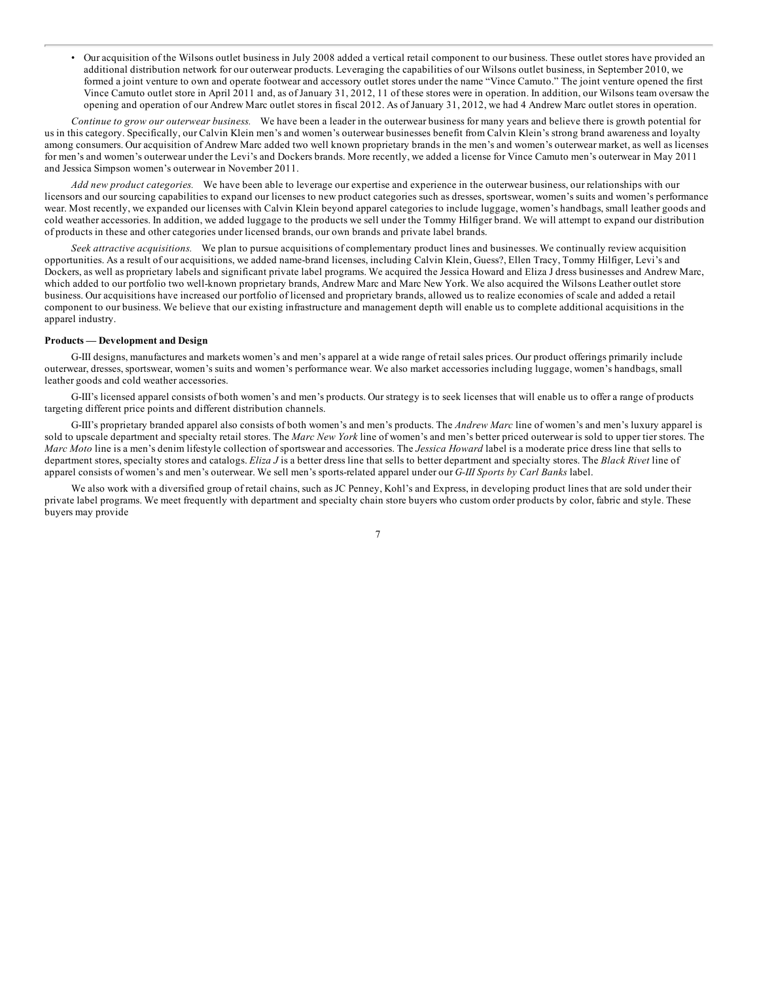• Our acquisition of the Wilsons outlet business in July 2008 added a vertical retail component to our business. These outlet stores have provided an additional distribution network for our outerwear products. Leveraging the capabilities of our Wilsons outlet business, in September 2010, we formed a joint venture to own and operate footwear and accessory outlet stores under the name "Vince Camuto." The joint venture opened the first Vince Camuto outlet store in April 2011 and, as of January 31, 2012, 11 of these stores were in operation. In addition, our Wilsons team oversaw the opening and operation of our Andrew Marc outlet stores in fiscal 2012. As of January 31, 2012, we had 4 Andrew Marc outlet stores in operation.

*Continue to grow our outerwear business.* We have been a leader in the outerwear business for many years and believe there is growth potential for us in this category. Specifically, our Calvin Klein men's and women's outerwear businesses benefit from Calvin Klein's strong brand awareness and loyalty among consumers. Our acquisition of Andrew Marc added two well known proprietary brands in the men's and women's outerwear market, as well as licenses for men's and women's outerwear under the Levi's and Dockers brands. More recently, we added a license for Vince Camuto men's outerwear in May 2011 and Jessica Simpson women's outerwear in November 2011.

*Add new product categories.* We have been able to leverage our expertise and experience in the outerwear business, our relationships with our licensors and our sourcing capabilities to expand our licenses to new product categories such as dresses, sportswear, women's suits and women's performance wear. Most recently, we expanded our licenses with Calvin Klein beyond apparel categories to include luggage, women's handbags, small leather goods and cold weather accessories. In addition, we added luggage to the products we sell under the Tommy Hilfiger brand. We will attempt to expand our distribution of products in these and other categories under licensed brands, our own brands and private label brands.

*Seek attractive acquisitions.* We plan to pursue acquisitions of complementary product lines and businesses. We continually review acquisition opportunities. As a result of our acquisitions, we added name-brand licenses, including Calvin Klein, Guess?, Ellen Tracy, Tommy Hilfiger, Levi's and Dockers, as well as proprietary labels and significant private label programs. We acquired the Jessica Howard and Eliza J dress businesses and Andrew Marc, which added to our portfolio two well-known proprietary brands, Andrew Marc and Marc New York. We also acquired the Wilsons Leather outlet store business. Our acquisitions have increased our portfolio of licensed and proprietary brands, allowed us to realize economies of scale and added a retail component to our business. We believe that our existing infrastructure and management depth will enable us to complete additional acquisitions in the apparel industry.

## **Products — Development and Design**

G-III designs, manufactures and markets women's and men's apparel at a wide range of retail sales prices. Our product offerings primarily include outerwear, dresses, sportswear, women's suits and women's performance wear. We also market accessories including luggage, women's handbags, small leather goods and cold weather accessories.

G-III's licensed apparel consists of both women's and men's products. Our strategy is to seek licenses that will enable us to offer a range of products targeting different price points and different distribution channels.

G-III's proprietary branded apparel also consists of both women's and men's products. The *Andrew Marc* line of women's and men's luxury apparel is sold to upscale department and specialty retail stores. The *Marc New York* line of women's and men's better priced outerwear is sold to upper tier stores. The *Marc Moto* line is a men's denim lifestyle collection of sportswear and accessories. The *Jessica Howard* label is a moderate price dress line that sells to department stores, specialty stores and catalogs. *Eliza J* is a better dress line that sells to better department and specialty stores. The *Black Rivet* line of apparel consists of women's and men's outerwear. We sell men's sports-related apparel under our *G-III Sports by Carl Banks* label.

We also work with a diversified group of retail chains, such as JC Penney, Kohl's and Express, in developing product lines that are sold under their private label programs. We meet frequently with department and specialty chain store buyers who custom order products by color, fabric and style. These buyers may provide

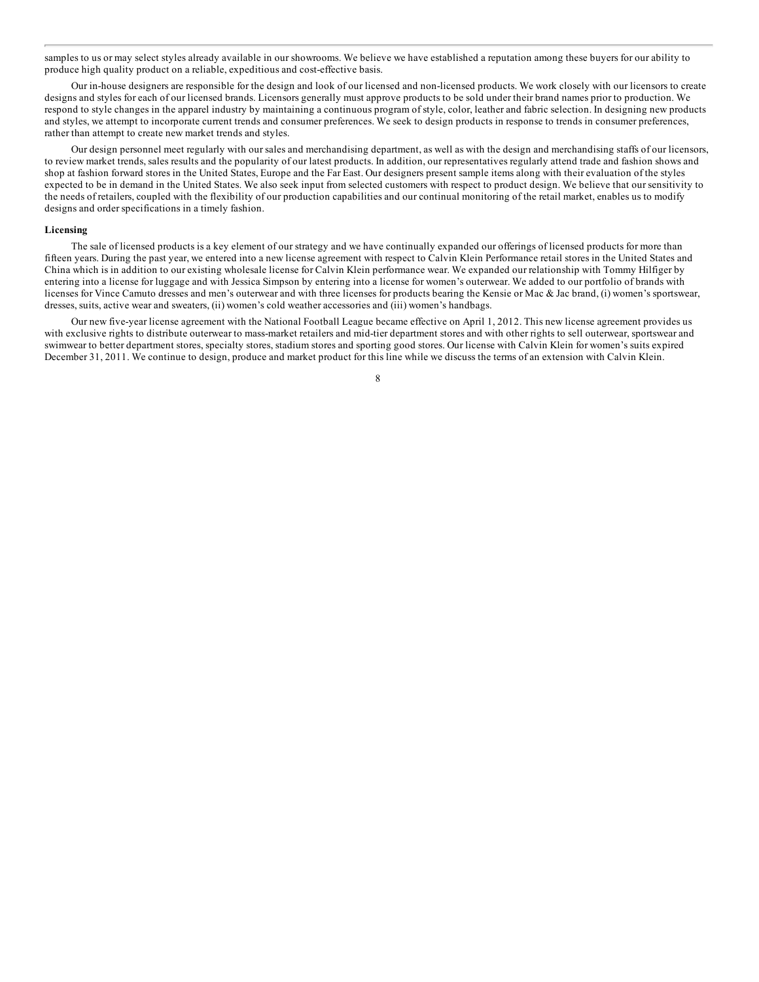samples to us or may select styles already available in our showrooms. We believe we have established a reputation among these buyers for our ability to produce high quality product on a reliable, expeditious and cost-effective basis.

Our in-house designers are responsible for the design and look of our licensed and non-licensed products. We work closely with our licensors to create designs and styles for each of our licensed brands. Licensors generally must approve products to be sold under their brand names prior to production. We respond to style changes in the apparel industry by maintaining a continuous program of style, color, leather and fabric selection. In designing new products and styles, we attempt to incorporate current trends and consumer preferences. We seek to design products in response to trends in consumer preferences, rather than attempt to create new market trends and styles.

Our design personnel meet regularly with our sales and merchandising department, as well as with the design and merchandising staffs of our licensors, to review market trends, sales results and the popularity of our latest products. In addition, our representatives regularly attend trade and fashion shows and shop at fashion forward stores in the United States, Europe and the Far East. Our designers present sample items along with their evaluation of the styles expected to be in demand in the United States. We also seek input from selected customers with respect to product design. We believe that our sensitivity to the needs of retailers, coupled with the flexibility of our production capabilities and our continual monitoring of the retail market, enables us to modify designs and order specifications in a timely fashion.

## **Licensing**

The sale of licensed products is a key element of our strategy and we have continually expanded our offerings of licensed products for more than fifteen years. During the past year, we entered into a new license agreement with respect to Calvin Klein Performance retail stores in the United States and China which is in addition to our existing wholesale license for Calvin Klein performance wear. We expanded our relationship with Tommy Hilfiger by entering into a license for luggage and with Jessica Simpson by entering into a license for women's outerwear. We added to our portfolio of brands with licenses for Vince Camuto dresses and men's outerwear and with three licenses for products bearing the Kensie or Mac & Jac brand, (i) women's sportswear, dresses, suits, active wear and sweaters, (ii) women's cold weather accessories and (iii) women's handbags.

Our new five-year license agreement with the National Football League became effective on April 1, 2012. This new license agreement provides us with exclusive rights to distribute outerwear to mass-market retailers and mid-tier department stores and with other rights to sell outerwear, sportswear and swimwear to better department stores, specialty stores, stadium stores and sporting good stores. Our license with Calvin Klein for women's suits expired December 31, 2011. We continue to design, produce and market product for this line while we discuss the terms of an extension with Calvin Klein.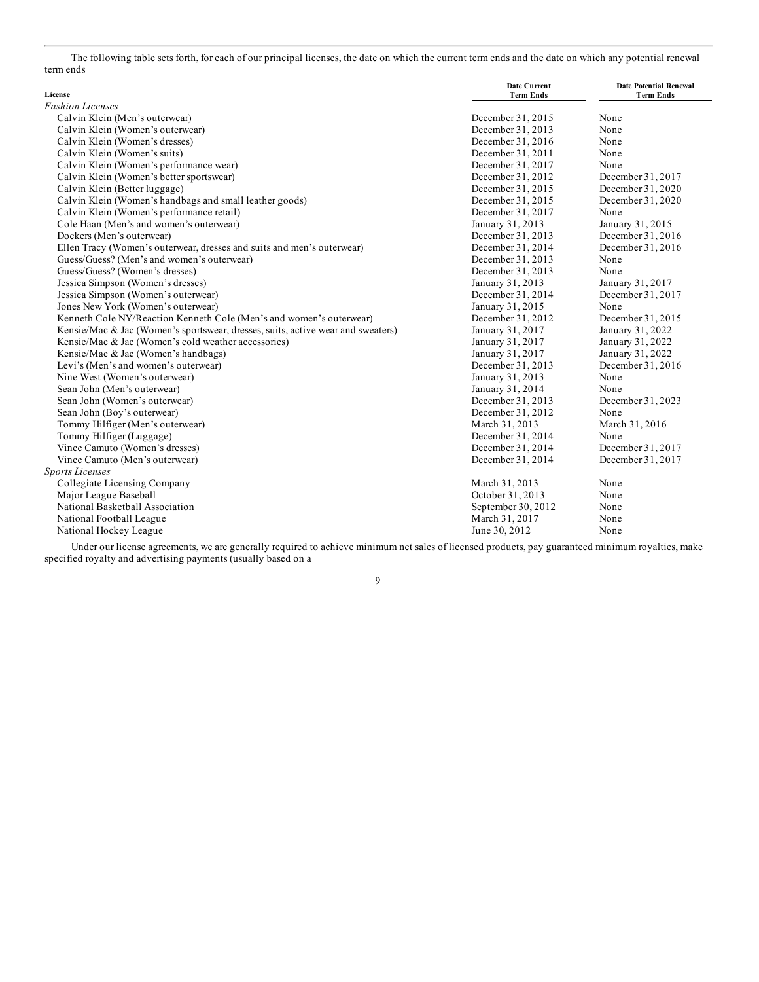The following table sets forth, for each of our principal licenses, the date on which the current term ends and the date on which any potential renewal term ends

| License                                                                         | Date Current<br><b>Term Ends</b> | <b>Date Potential Renewal</b><br><b>Term Ends</b> |
|---------------------------------------------------------------------------------|----------------------------------|---------------------------------------------------|
| <b>Fashion Licenses</b>                                                         |                                  |                                                   |
| Calvin Klein (Men's outerwear)                                                  | December 31, 2015                | None                                              |
| Calvin Klein (Women's outerwear)                                                | December 31, 2013                | None                                              |
| Calvin Klein (Women's dresses)                                                  | December 31, 2016                | None                                              |
| Calvin Klein (Women's suits)                                                    | December 31, 2011                | None                                              |
| Calvin Klein (Women's performance wear)                                         | December 31, 2017                | None                                              |
| Calvin Klein (Women's better sportswear)                                        | December 31, 2012                | December 31, 2017                                 |
| Calvin Klein (Better luggage)                                                   | December 31, 2015                | December 31, 2020                                 |
| Calvin Klein (Women's handbags and small leather goods)                         | December 31, 2015                | December 31, 2020                                 |
| Calvin Klein (Women's performance retail)                                       | December 31, 2017                | None                                              |
| Cole Haan (Men's and women's outerwear)                                         | January 31, 2013                 | January 31, 2015                                  |
| Dockers (Men's outerwear)                                                       | December 31, 2013                | December 31, 2016                                 |
| Ellen Tracy (Women's outerwear, dresses and suits and men's outerwear)          | December 31, 2014                | December 31, 2016                                 |
| Guess/Guess? (Men's and women's outerwear)                                      | December 31, 2013                | None                                              |
| Guess/Guess? (Women's dresses)                                                  | December 31, 2013                | None                                              |
| Jessica Simpson (Women's dresses)                                               | January 31, 2013                 | January 31, 2017                                  |
| Jessica Simpson (Women's outerwear)                                             | December 31, 2014                | December 31, 2017                                 |
| Jones New York (Women's outerwear)                                              | January 31, 2015                 | None                                              |
| Kenneth Cole NY/Reaction Kenneth Cole (Men's and women's outerwear)             | December 31, 2012                | December 31, 2015                                 |
| Kensie/Mac & Jac (Women's sportswear, dresses, suits, active wear and sweaters) | January 31, 2017                 | January 31, 2022                                  |
| Kensie/Mac & Jac (Women's cold weather accessories)                             | January 31, 2017                 | January 31, 2022                                  |
| Kensie/Mac & Jac (Women's handbags)                                             | January 31, 2017                 | January 31, 2022                                  |
| Levi's (Men's and women's outerwear)                                            | December 31, 2013                | December 31, 2016                                 |
| Nine West (Women's outerwear)                                                   | January 31, 2013                 | None                                              |
| Sean John (Men's outerwear)                                                     | January 31, 2014                 | None                                              |
| Sean John (Women's outerwear)                                                   | December 31, 2013                | December 31, 2023                                 |
| Sean John (Boy's outerwear)                                                     | December 31, 2012                | None                                              |
| Tommy Hilfiger (Men's outerwear)                                                | March 31, 2013                   | March 31, 2016                                    |
| Tommy Hilfiger (Luggage)                                                        | December 31, 2014                | None                                              |
| Vince Camuto (Women's dresses)                                                  | December 31, 2014                | December 31, 2017                                 |
| Vince Camuto (Men's outerwear)                                                  | December 31, 2014                | December 31, 2017                                 |
| <b>Sports Licenses</b>                                                          |                                  |                                                   |
| Collegiate Licensing Company                                                    | March 31, 2013                   | None                                              |
| Major League Baseball                                                           | October 31, 2013                 | None                                              |
| National Basketball Association                                                 | September 30, 2012               | None                                              |
| National Football League                                                        | March 31, 2017                   | None                                              |
| National Hockey League                                                          | June 30, 2012                    | None                                              |

Under our license agreements, we are generally required to achieve minimum net sales of licensed products, pay guaranteed minimum royalties, make specified royalty and advertising payments (usually based on a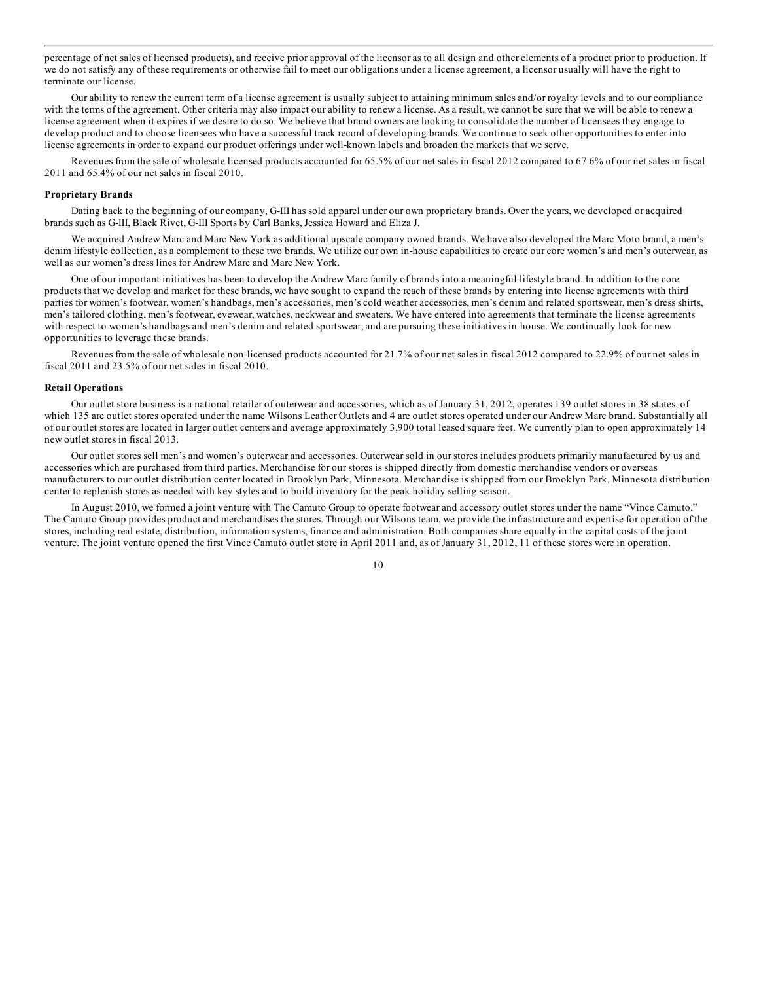percentage of net sales of licensed products), and receive prior approval of the licensor as to all design and other elements of a product prior to production. If we do not satisfy any of these requirements or otherwise fail to meet our obligations under a license agreement, a licensor usually will have the right to terminate our license.

Our ability to renew the current term of a license agreement is usually subject to attaining minimum sales and/or royalty levels and to our compliance with the terms of the agreement. Other criteria may also impact our ability to renew a license. As a result, we cannot be sure that we will be able to renew a license agreement when it expires if we desire to do so. We believe that brand owners are looking to consolidate the number of licensees they engage to develop product and to choose licensees who have a successful track record of developing brands. We continue to seek other opportunities to enter into license agreements in order to expand our product offerings under well-known labels and broaden the markets that we serve.

Revenues from the sale of wholesale licensed products accounted for 65.5% of our net sales in fiscal 2012 compared to 67.6% of our net sales in fiscal 2011 and 65.4% of our net sales in fiscal 2010.

#### **Proprietary Brands**

Dating back to the beginning of our company, G-III has sold apparel under our own proprietary brands. Over the years, we developed or acquired brands such as G-III, Black Rivet, G-III Sports by Carl Banks, Jessica Howard and Eliza J.

We acquired Andrew Marc and Marc New York as additional upscale company owned brands. We have also developed the Marc Moto brand, a men's denim lifestyle collection, as a complement to these two brands. We utilize our own in-house capabilities to create our core women's and men's outerwear, as well as our women's dress lines for Andrew Marc and Marc New York.

One of our important initiatives has been to develop the Andrew Marc family of brands into a meaningful lifestyle brand. In addition to the core products that we develop and market for these brands, we have sought to expand the reach of these brands by entering into license agreements with third parties for women's footwear, women's handbags, men's accessories, men's cold weather accessories, men's denim and related sportswear, men's dress shirts, men's tailored clothing, men's footwear, eyewear, watches, neckwear and sweaters. We have entered into agreements that terminate the license agreements with respect to women's handbags and men's denim and related sportswear, and are pursuing these initiatives in-house. We continually look for new opportunities to leverage these brands.

Revenues from the sale of wholesale non-licensed products accounted for 21.7% of our net sales in fiscal 2012 compared to 22.9% of our net sales in fiscal 2011 and 23.5% of our net sales in fiscal 2010.

#### **Retail Operations**

Our outlet store business is a national retailer of outerwear and accessories, which as of January 31, 2012, operates 139 outlet stores in 38 states, of which 135 are outlet stores operated under the name Wilsons Leather Outlets and 4 are outlet stores operated under our Andrew Marc brand. Substantially all of our outlet stores are located in larger outlet centers and average approximately 3,900 total leased square feet. We currently plan to open approximately 14 new outlet stores in fiscal 2013.

Our outlet stores sell men's and women's outerwear and accessories. Outerwear sold in our stores includes products primarily manufactured by us and accessories which are purchased from third parties. Merchandise for our stores is shipped directly from domestic merchandise vendors or overseas manufacturers to our outlet distribution center located in Brooklyn Park, Minnesota. Merchandise is shipped from our Brooklyn Park, Minnesota distribution center to replenish stores as needed with key styles and to build inventory for the peak holiday selling season.

In August 2010, we formed a joint venture with The Camuto Group to operate footwear and accessory outlet stores under the name "Vince Camuto." The Camuto Group provides product and merchandises the stores. Through our Wilsons team, we provide the infrastructure and expertise for operation of the stores, including real estate, distribution, information systems, finance and administration. Both companies share equally in the capital costs of the joint venture. The joint venture opened the first Vince Camuto outlet store in April 2011 and, as of January 31, 2012, 11 of these stores were in operation.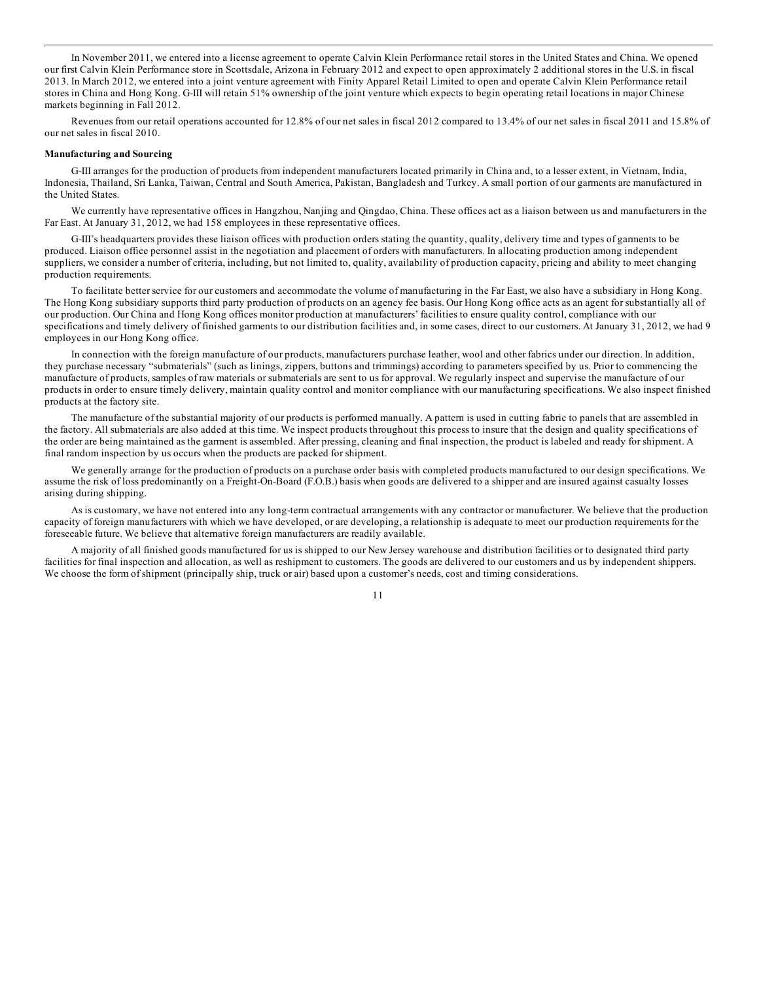In November 2011, we entered into a license agreement to operate Calvin Klein Performance retail stores in the United States and China. We opened our first Calvin Klein Performance store in Scottsdale, Arizona in February 2012 and expect to open approximately 2 additional stores in the U.S. in fiscal 2013. In March 2012, we entered into a joint venture agreement with Finity Apparel Retail Limited to open and operate Calvin Klein Performance retail stores in China and Hong Kong. G-III will retain 51% ownership of the joint venture which expects to begin operating retail locations in major Chinese markets beginning in Fall 2012.

Revenues from our retail operations accounted for 12.8% of our net sales in fiscal 2012 compared to 13.4% of our net sales in fiscal 2011 and 15.8% of our net sales in fiscal 2010.

## **Manufacturing and Sourcing**

G-III arranges for the production of products from independent manufacturers located primarily in China and, to a lesser extent, in Vietnam, India, Indonesia, Thailand, Sri Lanka, Taiwan, Central and South America, Pakistan, Bangladesh and Turkey. A small portion of our garments are manufactured in the United States.

We currently have representative offices in Hangzhou, Nanjing and Qingdao, China. These offices act as a liaison between us and manufacturers in the Far East. At January 31, 2012, we had 158 employees in these representative offices.

G-III's headquarters provides these liaison offices with production orders stating the quantity, quality, delivery time and types of garments to be produced. Liaison office personnel assist in the negotiation and placement of orders with manufacturers. In allocating production among independent suppliers, we consider a number of criteria, including, but not limited to, quality, availability of production capacity, pricing and ability to meet changing production requirements.

To facilitate better service for our customers and accommodate the volume of manufacturing in the Far East, we also have a subsidiary in Hong Kong. The Hong Kong subsidiary supports third party production of products on an agency fee basis. Our Hong Kong office acts as an agent for substantially all of our production. Our China and Hong Kong offices monitor production at manufacturers' facilities to ensure quality control, compliance with our specifications and timely delivery of finished garments to our distribution facilities and, in some cases, direct to our customers. At January 31, 2012, we had 9 employees in our Hong Kong office.

In connection with the foreign manufacture of our products, manufacturers purchase leather, wool and other fabrics under our direction. In addition, they purchase necessary "submaterials" (such as linings, zippers, buttons and trimmings) according to parameters specified by us. Prior to commencing the manufacture of products, samples of raw materials or submaterials are sent to us for approval. We regularly inspect and supervise the manufacture of our products in order to ensure timely delivery, maintain quality control and monitor compliance with our manufacturing specifications. We also inspect finished products at the factory site.

The manufacture of the substantial majority of our products is performed manually. A pattern is used in cutting fabric to panels that are assembled in the factory. All submaterials are also added at this time. We inspect products throughout this process to insure that the design and quality specifications of the order are being maintained as the garment is assembled. After pressing, cleaning and final inspection, the product is labeled and ready for shipment. A final random inspection by us occurs when the products are packed for shipment.

We generally arrange for the production of products on a purchase order basis with completed products manufactured to our design specifications. We assume the risk of loss predominantly on a Freight-On-Board (F.O.B.) basis when goods are delivered to a shipper and are insured against casualty losses arising during shipping.

As is customary, we have not entered into any long-term contractual arrangements with any contractor or manufacturer. We believe that the production capacity of foreign manufacturers with which we have developed, or are developing, a relationship is adequate to meet our production requirements for the foreseeable future. We believe that alternative foreign manufacturers are readily available.

A majority of all finished goods manufactured for us is shipped to our New Jersey warehouse and distribution facilities or to designated third party facilities for final inspection and allocation, as well as reshipment to customers. The goods are delivered to our customers and us by independent shippers. We choose the form of shipment (principally ship, truck or air) based upon a customer's needs, cost and timing considerations.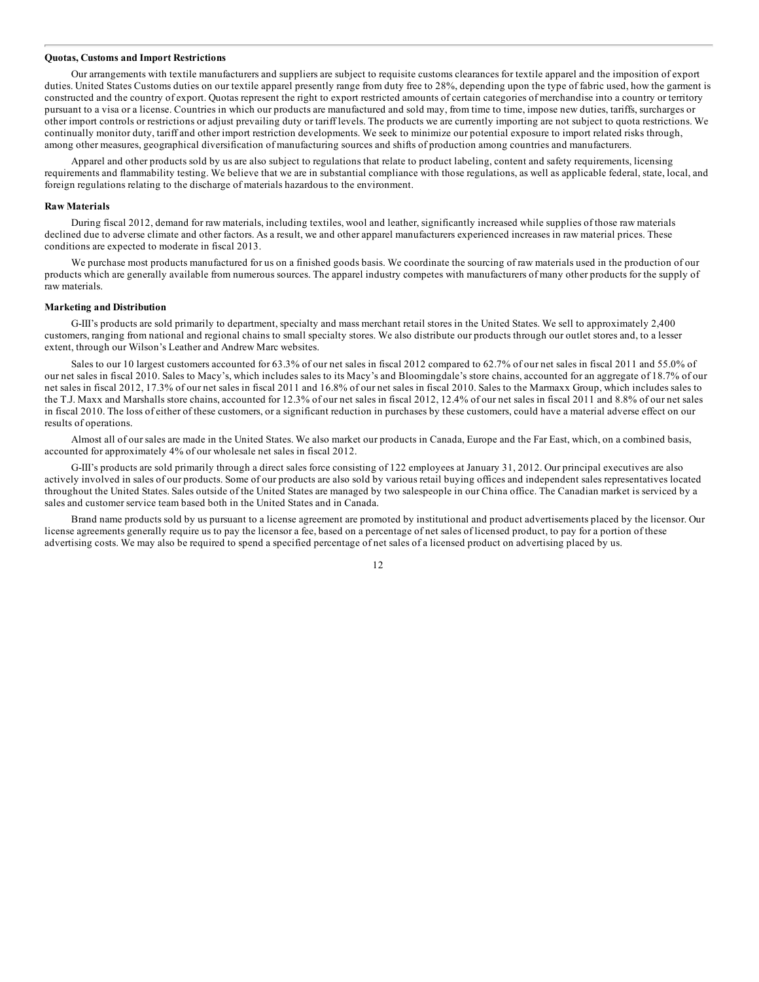#### **Quotas, Customs and Import Restrictions**

Our arrangements with textile manufacturers and suppliers are subject to requisite customs clearances for textile apparel and the imposition of export duties. United States Customs duties on our textile apparel presently range from duty free to 28%, depending upon the type of fabric used, how the garment is constructed and the country of export. Quotas represent the right to export restricted amounts of certain categories of merchandise into a country or territory pursuant to a visa or a license. Countries in which our products are manufactured and sold may, from time to time, impose new duties, tariffs, surcharges or other import controls or restrictions or adjust prevailing duty or tariff levels. The products we are currently importing are not subject to quota restrictions. We continually monitor duty, tariff and other import restriction developments. We seek to minimize our potential exposure to import related risks through, among other measures, geographical diversification of manufacturing sources and shifts of production among countries and manufacturers.

Apparel and other products sold by us are also subject to regulations that relate to product labeling, content and safety requirements, licensing requirements and flammability testing. We believe that we are in substantial compliance with those regulations, as well as applicable federal, state, local, and foreign regulations relating to the discharge of materials hazardous to the environment.

#### **Raw Materials**

During fiscal 2012, demand for raw materials, including textiles, wool and leather, significantly increased while supplies of those raw materials declined due to adverse climate and other factors. As a result, we and other apparel manufacturers experienced increases in raw material prices. These conditions are expected to moderate in fiscal 2013.

We purchase most products manufactured for us on a finished goods basis. We coordinate the sourcing of raw materials used in the production of our products which are generally available from numerous sources. The apparel industry competes with manufacturers of many other products for the supply of raw materials.

#### **Marketing and Distribution**

G-III's products are sold primarily to department, specialty and mass merchant retail stores in the United States. We sell to approximately 2,400 customers, ranging from national and regional chains to small specialty stores. We also distribute our products through our outlet stores and, to a lesser extent, through our Wilson's Leather and Andrew Marc websites.

Sales to our 10 largest customers accounted for 63.3% of our net sales in fiscal 2012 compared to 62.7% of our net sales in fiscal 2011 and 55.0% of our net sales in fiscal 2010. Sales to Macy's, which includes sales to its Macy's and Bloomingdale's store chains, accounted for an aggregate of 18.7% of our net sales in fiscal 2012, 17.3% of our net sales in fiscal 2011 and 16.8% of our net sales in fiscal 2010. Sales to the Marmaxx Group, which includes sales to the T.J. Maxx and Marshalls store chains, accounted for 12.3% of our net sales in fiscal 2012, 12.4% of our net sales in fiscal 2011 and 8.8% of our net sales in fiscal 2010. The loss of either of these customers, or a significant reduction in purchases by these customers, could have a material adverse effect on our results of operations.

Almost all of our sales are made in the United States. We also market our products in Canada, Europe and the Far East, which, on a combined basis, accounted for approximately 4% of our wholesale net sales in fiscal 2012.

G-III's products are sold primarily through a direct sales force consisting of 122 employees at January 31, 2012. Our principal executives are also actively involved in sales of our products. Some of our products are also sold by various retail buying offices and independent sales representatives located throughout the United States. Sales outside of the United States are managed by two salespeople in our China office. The Canadian market is serviced by a sales and customer service team based both in the United States and in Canada.

Brand name products sold by us pursuant to a license agreement are promoted by institutional and product advertisements placed by the licensor. Our license agreements generally require us to pay the licensor a fee, based on a percentage of net sales of licensed product, to pay for a portion of these advertising costs. We may also be required to spend a specified percentage of net sales of a licensed product on advertising placed by us.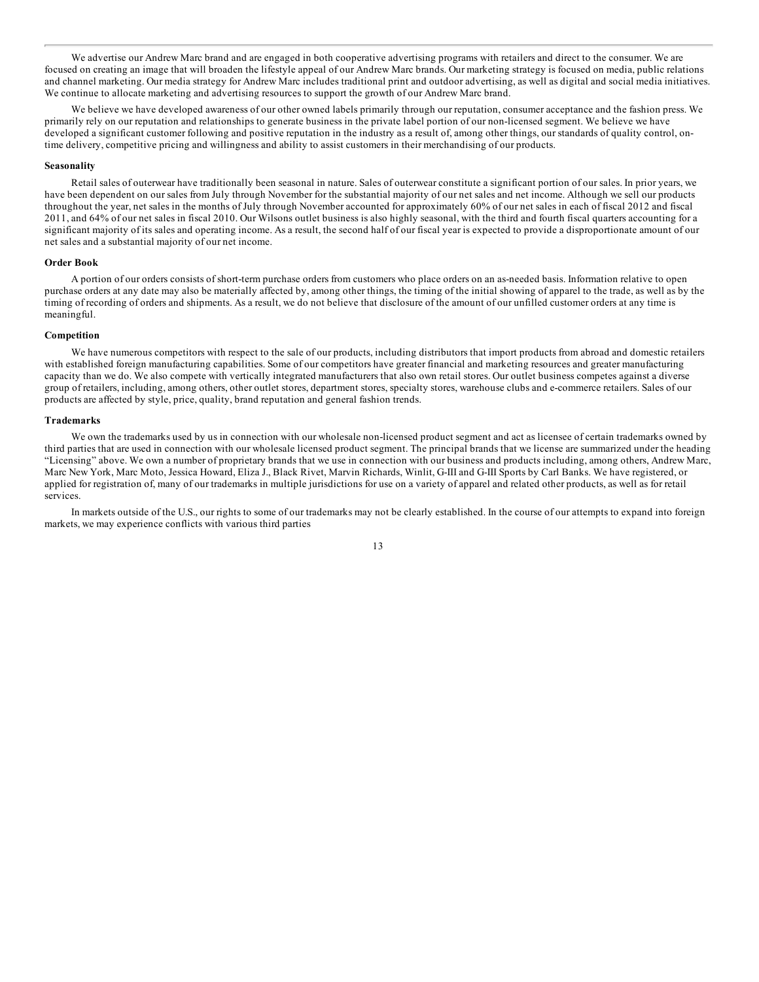We advertise our Andrew Marc brand and are engaged in both cooperative advertising programs with retailers and direct to the consumer. We are focused on creating an image that will broaden the lifestyle appeal of our Andrew Marc brands. Our marketing strategy is focused on media, public relations and channel marketing. Our media strategy for Andrew Marc includes traditional print and outdoor advertising, as well as digital and social media initiatives. We continue to allocate marketing and advertising resources to support the growth of our Andrew Marc brand.

We believe we have developed awareness of our other owned labels primarily through our reputation, consumer acceptance and the fashion press. We primarily rely on our reputation and relationships to generate business in the private label portion of our non-licensed segment. We believe we have developed a significant customer following and positive reputation in the industry as a result of, among other things, our standards of quality control, ontime delivery, competitive pricing and willingness and ability to assist customers in their merchandising of our products.

#### **Seasonality**

Retail sales of outerwear have traditionally been seasonal in nature. Sales of outerwear constitute a significant portion of our sales. In prior years, we have been dependent on our sales from July through November for the substantial majority of our net sales and net income. Although we sell our products throughout the year, net sales in the months of July through November accounted for approximately 60% of our net sales in each of fiscal 2012 and fiscal 2011, and 64% of our net sales in fiscal 2010. Our Wilsons outlet business is also highly seasonal, with the third and fourth fiscal quarters accounting for a significant majority of its sales and operating income. As a result, the second half of our fiscal year is expected to provide a disproportionate amount of our net sales and a substantial majority of our net income.

#### **Order Book**

A portion of our orders consists of short-term purchase orders from customers who place orders on an as-needed basis. Information relative to open purchase orders at any date may also be materially affected by, among other things, the timing of the initial showing of apparel to the trade, as well as by the timing of recording of orders and shipments. As a result, we do not believe that disclosure of the amount of our unfilled customer orders at any time is meaningful.

#### **Competition**

We have numerous competitors with respect to the sale of our products, including distributors that import products from abroad and domestic retailers with established foreign manufacturing capabilities. Some of our competitors have greater financial and marketing resources and greater manufacturing capacity than we do. We also compete with vertically integrated manufacturers that also own retail stores. Our outlet business competes against a diverse group of retailers, including, among others, other outlet stores, department stores, specialty stores, warehouse clubs and e-commerce retailers. Sales of our products are affected by style, price, quality, brand reputation and general fashion trends.

#### **Trademarks**

We own the trademarks used by us in connection with our wholesale non-licensed product segment and act as licensee of certain trademarks owned by third parties that are used in connection with our wholesale licensed product segment. The principal brands that we license are summarized under the heading "Licensing" above. We own a number of proprietary brands that we use in connection with our business and products including, among others, Andrew Marc, Marc New York, Marc Moto, Jessica Howard, Eliza J., Black Rivet, Marvin Richards, Winlit, G-III and G-III Sports by Carl Banks. We have registered, or applied for registration of, many of our trademarks in multiple jurisdictions for use on a variety of apparel and related other products, as well as for retail services.

In markets outside of the U.S., our rights to some of our trademarks may not be clearly established. In the course of our attempts to expand into foreign markets, we may experience conflicts with various third parties

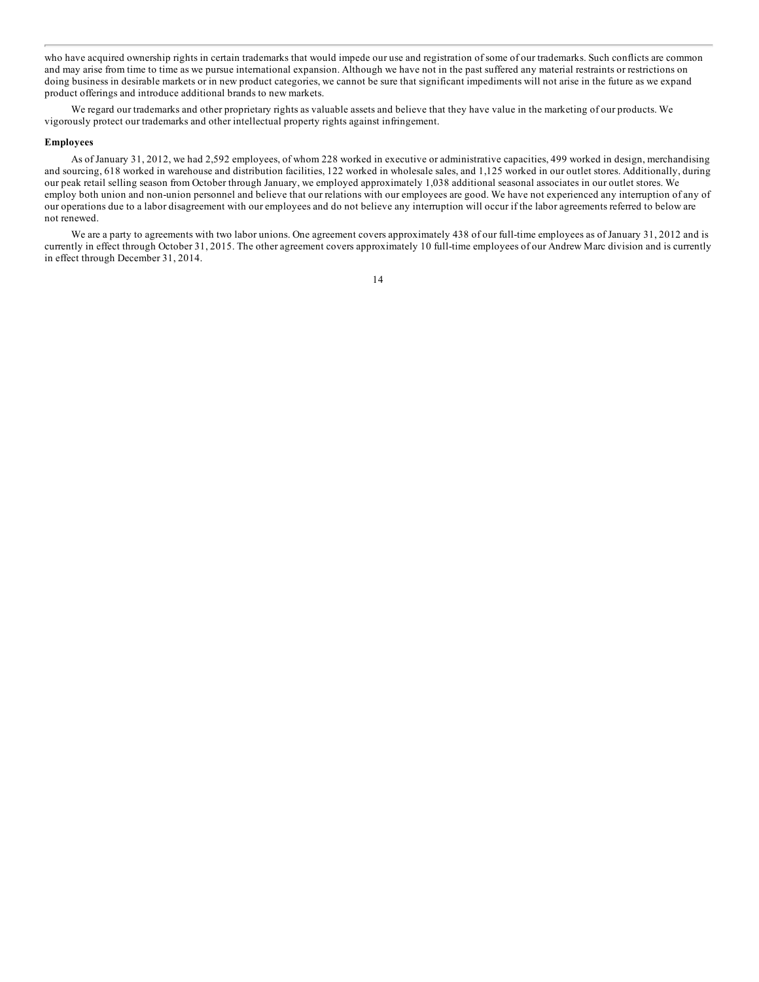who have acquired ownership rights in certain trademarks that would impede our use and registration of some of our trademarks. Such conflicts are common and may arise from time to time as we pursue international expansion. Although we have not in the past suffered any material restraints or restrictions on doing business in desirable markets or in new product categories, we cannot be sure that significant impediments will not arise in the future as we expand product offerings and introduce additional brands to new markets.

We regard our trademarks and other proprietary rights as valuable assets and believe that they have value in the marketing of our products. We vigorously protect our trademarks and other intellectual property rights against infringement.

## **Employees**

As of January 31, 2012, we had 2,592 employees, of whom 228 worked in executive or administrative capacities, 499 worked in design, merchandising and sourcing, 618 worked in warehouse and distribution facilities, 122 worked in wholesale sales, and 1,125 worked in our outlet stores. Additionally, during our peak retail selling season from October through January, we employed approximately 1,038 additional seasonal associates in our outlet stores. We employ both union and non-union personnel and believe that our relations with our employees are good. We have not experienced any interruption of any of our operations due to a labor disagreement with our employees and do not believe any interruption will occur if the labor agreements referred to below are not renewed.

We are a party to agreements with two labor unions. One agreement covers approximately 438 of our full-time employees as of January 31, 2012 and is currently in effect through October 31, 2015. The other agreement covers approximately 10 full-time employees of our Andrew Marc division and is currently in effect through December 31, 2014.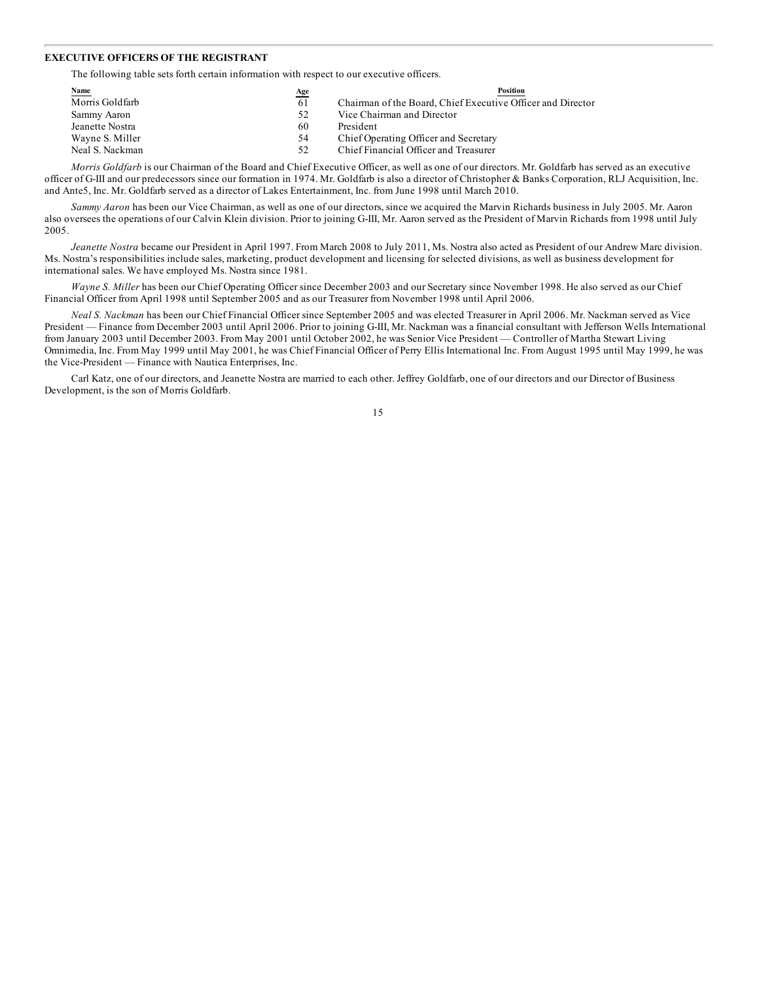## **EXECUTIVE OFFICERS OF THE REGISTRANT**

The following table sets forth certain information with respect to our executive officers.

| Name            | Age | Position                                                    |
|-----------------|-----|-------------------------------------------------------------|
| Morris Goldfarb | 61  | Chairman of the Board, Chief Executive Officer and Director |
| Sammy Aaron     | 52  | Vice Chairman and Director                                  |
| Jeanette Nostra | 60  | President                                                   |
| Wayne S. Miller | 54  | Chief Operating Officer and Secretary                       |
| Neal S. Nackman | 52  | Chief Financial Officer and Treasurer                       |

*Morris Goldfarb* is our Chairman of the Board and Chief Executive Officer, as well as one of our directors. Mr. Goldfarb has served as an executive officer of G-III and our predecessors since our formation in 1974. Mr. Goldfarb is also a director of Christopher & Banks Corporation, RLJ Acquisition, Inc. and Ante5, Inc. Mr. Goldfarb served as a director of Lakes Entertainment, Inc. from June 1998 until March 2010.

*Sammy Aaron* has been our Vice Chairman, as well as one of our directors, since we acquired the Marvin Richards business in July 2005. Mr. Aaron also oversees the operations of our Calvin Klein division. Prior to joining G-III, Mr. Aaron served as the President of Marvin Richards from 1998 until July 2005.

*Jeanette Nostra* became our President in April 1997. From March 2008 to July 2011, Ms. Nostra also acted as President of our Andrew Marc division. Ms. Nostra's responsibilities include sales, marketing, product development and licensing for selected divisions, as well as business development for international sales. We have employed Ms. Nostra since 1981.

*Wayne S. Miller* has been our Chief Operating Officer since December 2003 and our Secretary since November 1998. He also served as our Chief Financial Officer from April 1998 until September 2005 and as our Treasurer from November 1998 until April 2006.

*Neal S. Nackman* has been our Chief Financial Officer since September 2005 and was elected Treasurer in April 2006. Mr. Nackman served as Vice President — Finance from December 2003 until April 2006. Prior to joining G-III, Mr. Nackman was a financial consultant with Jefferson Wells International from January 2003 until December 2003. From May 2001 until October 2002, he was Senior Vice President — Controller of Martha Stewart Living Omnimedia, Inc. From May 1999 until May 2001, he was Chief Financial Officer of Perry Ellis International Inc. From August 1995 until May 1999, he was the Vice-President — Finance with Nautica Enterprises, Inc.

Carl Katz, one of our directors, and Jeanette Nostra are married to each other. Jeffrey Goldfarb, one of our directors and our Director of Business Development, is the son of Morris Goldfarb.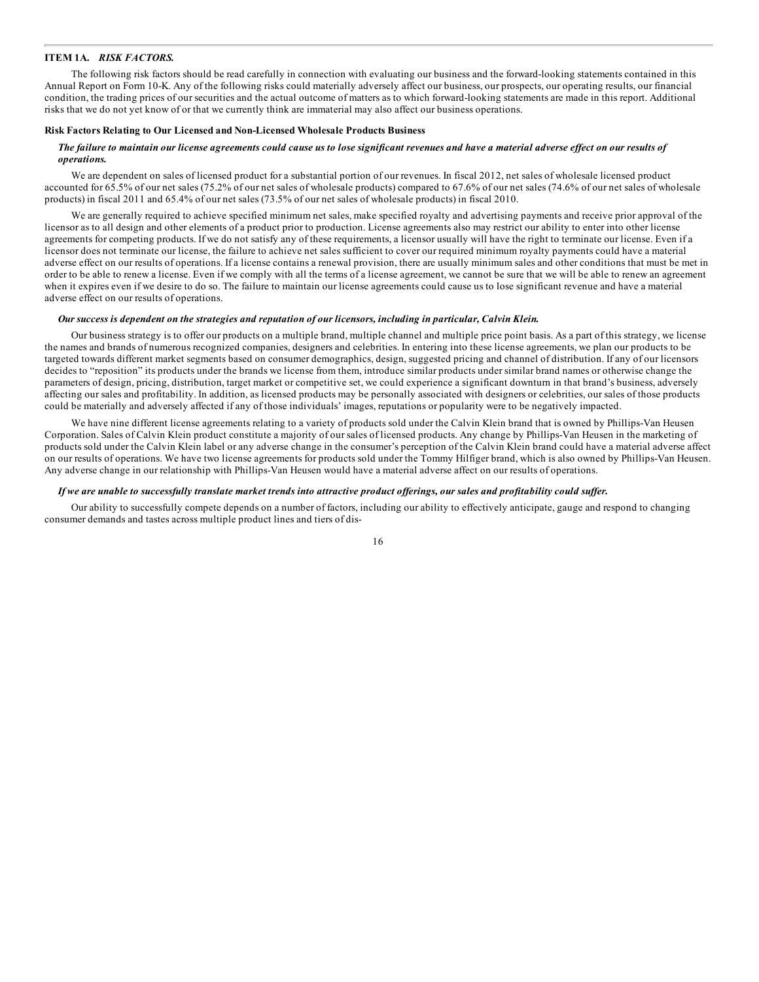## **ITEM 1A.** *RISK FACTORS.*

The following risk factors should be read carefully in connection with evaluating our business and the forward-looking statements contained in this Annual Report on Form 10-K. Any of the following risks could materially adversely affect our business, our prospects, our operating results, our financial condition, the trading prices of our securities and the actual outcome of matters as to which forward-looking statements are made in this report. Additional risks that we do not yet know of or that we currently think are immaterial may also affect our business operations.

## **Risk Factors Relating to Our Licensed and Non-Licensed Wholesale Products Business**

## The failure to maintain our license agreements could cause us to lose significant revenues and have a material adverse effect on our results of *operations.*

We are dependent on sales of licensed product for a substantial portion of our revenues. In fiscal 2012, net sales of wholesale licensed product accounted for 65.5% of our net sales (75.2% of our net sales of wholesale products) compared to 67.6% of our net sales (74.6% of our net sales of wholesale products) in fiscal 2011 and 65.4% of our net sales (73.5% of our net sales of wholesale products) in fiscal 2010.

We are generally required to achieve specified minimum net sales, make specified royalty and advertising payments and receive prior approval of the licensor as to all design and other elements of a product prior to production. License agreements also may restrict our ability to enter into other license agreements for competing products. If we do not satisfy any of these requirements, a licensor usually will have the right to terminate our license. Even if a licensor does not terminate our license, the failure to achieve net sales sufficient to cover our required minimum royalty payments could have a material adverse effect on our results of operations. If a license contains a renewal provision, there are usually minimum sales and other conditions that must be met in order to be able to renew a license. Even if we comply with all the terms of a license agreement, we cannot be sure that we will be able to renew an agreement when it expires even if we desire to do so. The failure to maintain our license agreements could cause us to lose significant revenue and have a material adverse effect on our results of operations.

## Our success is dependent on the strategies and reputation of our licensors, including in particular, Calvin Klein.

Our business strategy is to offer our products on a multiple brand, multiple channel and multiple price point basis. As a part of this strategy, we license the names and brands of numerous recognized companies, designers and celebrities. In entering into these license agreements, we plan our products to be targeted towards different market segments based on consumer demographics, design, suggested pricing and channel of distribution. If any of our licensors decides to "reposition" its products under the brands we license from them, introduce similar products under similar brand names or otherwise change the parameters of design, pricing, distribution, target market or competitive set, we could experience a significant downturn in that brand's business, adversely affecting our sales and profitability. In addition, as licensed products may be personally associated with designers or celebrities, our sales of those products could be materially and adversely affected if any of those individuals' images, reputations or popularity were to be negatively impacted.

We have nine different license agreements relating to a variety of products sold under the Calvin Klein brand that is owned by Phillips-Van Heusen Corporation. Sales of Calvin Klein product constitute a majority of our sales of licensed products. Any change by Phillips-Van Heusen in the marketing of products sold under the Calvin Klein label or any adverse change in the consumer's perception of the Calvin Klein brand could have a material adverse affect on our results of operations. We have two license agreements for products sold under the Tommy Hilfiger brand, which is also owned by Phillips-Van Heusen. Any adverse change in our relationship with Phillips-Van Heusen would have a material adverse affect on our results of operations.

#### If we are unable to successfully translate market trends into attractive product offerings, our sales and profitability could suffer.

Our ability to successfully compete depends on a number of factors, including our ability to effectively anticipate, gauge and respond to changing consumer demands and tastes across multiple product lines and tiers of dis-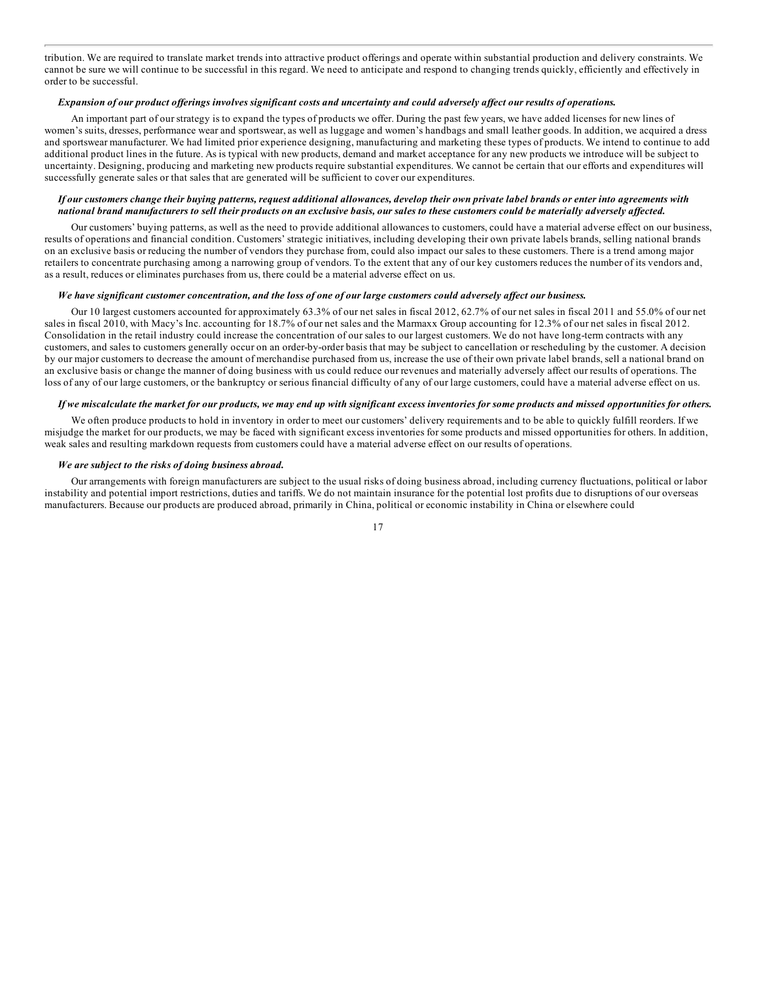tribution. We are required to translate market trends into attractive product offerings and operate within substantial production and delivery constraints. We cannot be sure we will continue to be successful in this regard. We need to anticipate and respond to changing trends quickly, efficiently and effectively in order to be successful.

## Expansion of our product offerings involves significant costs and uncertainty and could adversely affect our results of operations.

An important part of our strategy is to expand the types of products we offer. During the past few years, we have added licenses for new lines of women's suits, dresses, performance wear and sportswear, as well as luggage and women's handbags and small leather goods. In addition, we acquired a dress and sportswear manufacturer. We had limited prior experience designing, manufacturing and marketing these types of products. We intend to continue to add additional product lines in the future. As is typical with new products, demand and market acceptance for any new products we introduce will be subject to uncertainty. Designing, producing and marketing new products require substantial expenditures. We cannot be certain that our efforts and expenditures will successfully generate sales or that sales that are generated will be sufficient to cover our expenditures.

## If our customers change their buying patterns, request additional allowances, develop their own private label brands or enter into agreements with national brand manufacturers to sell their products on an exclusive basis, our sales to these customers could be materially adversely affected.

Our customers' buying patterns, as well as the need to provide additional allowances to customers, could have a material adverse effect on our business, results of operations and financial condition. Customers' strategic initiatives, including developing their own private labels brands, selling national brands on an exclusive basis or reducing the number of vendors they purchase from, could also impact our sales to these customers. There is a trend among major retailers to concentrate purchasing among a narrowing group of vendors. To the extent that any of our key customers reduces the number of its vendors and, as a result, reduces or eliminates purchases from us, there could be a material adverse effect on us.

#### We have significant customer concentration, and the loss of one of our large customers could adversely affect our business.

Our 10 largest customers accounted for approximately 63.3% of our net sales in fiscal 2012, 62.7% of our net sales in fiscal 2011 and 55.0% of our net sales in fiscal 2010, with Macy's Inc. accounting for 18.7% of our net sales and the Marmaxx Group accounting for 12.3% of our net sales in fiscal 2012. Consolidation in the retail industry could increase the concentration of our sales to our largest customers. We do not have long-term contracts with any customers, and sales to customers generally occur on an order-by-order basis that may be subject to cancellation or rescheduling by the customer. A decision by our major customers to decrease the amount of merchandise purchased from us, increase the use of their own private label brands, sell a national brand on an exclusive basis or change the manner of doing business with us could reduce our revenues and materially adversely affect our results of operations. The loss of any of our large customers, or the bankruptcy or serious financial difficulty of any of our large customers, could have a material adverse effect on us.

## If we miscalculate the market for our products, we may end up with significant excess inventories for some products and missed opportunities for others.

We often produce products to hold in inventory in order to meet our customers' delivery requirements and to be able to quickly fulfill reorders. If we misjudge the market for our products, we may be faced with significant excess inventories for some products and missed opportunities for others. In addition, weak sales and resulting markdown requests from customers could have a material adverse effect on our results of operations.

## *We are subject to the risks of doing business abroad.*

Our arrangements with foreign manufacturers are subject to the usual risks of doing business abroad, including currency fluctuations, political or labor instability and potential import restrictions, duties and tariffs. We do not maintain insurance for the potential lost profits due to disruptions of our overseas manufacturers. Because our products are produced abroad, primarily in China, political or economic instability in China or elsewhere could

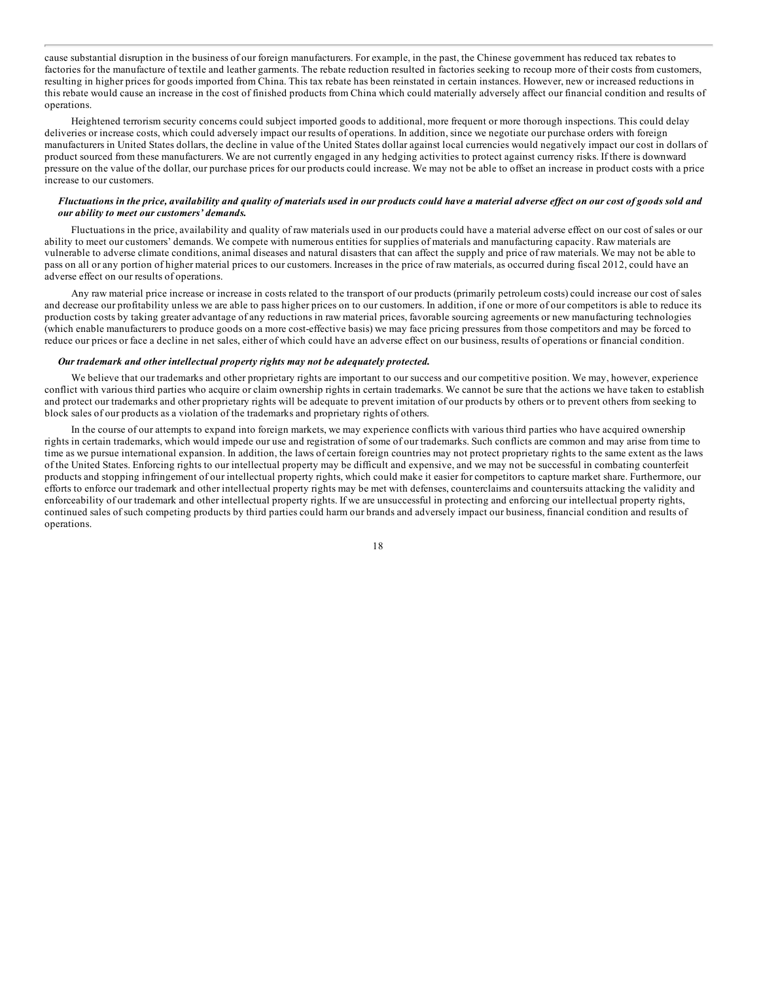cause substantial disruption in the business of our foreign manufacturers. For example, in the past, the Chinese government has reduced tax rebates to factories for the manufacture of textile and leather garments. The rebate reduction resulted in factories seeking to recoup more of their costs from customers, resulting in higher prices for goods imported from China. This tax rebate has been reinstated in certain instances. However, new or increased reductions in this rebate would cause an increase in the cost of finished products from China which could materially adversely affect our financial condition and results of operations.

Heightened terrorism security concerns could subject imported goods to additional, more frequent or more thorough inspections. This could delay deliveries or increase costs, which could adversely impact our results of operations. In addition, since we negotiate our purchase orders with foreign manufacturers in United States dollars, the decline in value of the United States dollar against local currencies would negatively impact our cost in dollars of product sourced from these manufacturers. We are not currently engaged in any hedging activities to protect against currency risks. If there is downward pressure on the value of the dollar, our purchase prices for our products could increase. We may not be able to offset an increase in product costs with a price increase to our customers.

## Fluctuations in the price, availability and quality of materials used in our products could have a material adverse effect on our cost of goods sold and *our ability to meet our customers' demands.*

Fluctuations in the price, availability and quality of raw materials used in our products could have a material adverse effect on our cost of sales or our ability to meet our customers' demands. We compete with numerous entities for supplies of materials and manufacturing capacity. Raw materials are vulnerable to adverse climate conditions, animal diseases and natural disasters that can affect the supply and price of raw materials. We may not be able to pass on all or any portion of higher material prices to our customers. Increases in the price of raw materials, as occurred during fiscal 2012, could have an adverse effect on our results of operations.

Any raw material price increase or increase in costs related to the transport of our products (primarily petroleum costs) could increase our cost of sales and decrease our profitability unless we are able to pass higher prices on to our customers. In addition, if one or more of our competitors is able to reduce its production costs by taking greater advantage of any reductions in raw material prices, favorable sourcing agreements or new manufacturing technologies (which enable manufacturers to produce goods on a more cost-effective basis) we may face pricing pressures from those competitors and may be forced to reduce our prices or face a decline in net sales, either of which could have an adverse effect on our business, results of operations or financial condition.

## *Our trademark and other intellectual property rights may not be adequately protected.*

We believe that our trademarks and other proprietary rights are important to our success and our competitive position. We may, however, experience conflict with various third parties who acquire or claim ownership rights in certain trademarks. We cannot be sure that the actions we have taken to establish and protect our trademarks and other proprietary rights will be adequate to prevent imitation of our products by others or to prevent others from seeking to block sales of our products as a violation of the trademarks and proprietary rights of others.

In the course of our attempts to expand into foreign markets, we may experience conflicts with various third parties who have acquired ownership rights in certain trademarks, which would impede our use and registration of some of our trademarks. Such conflicts are common and may arise from time to time as we pursue international expansion. In addition, the laws of certain foreign countries may not protect proprietary rights to the same extent as the laws of the United States. Enforcing rights to our intellectual property may be difficult and expensive, and we may not be successful in combating counterfeit products and stopping infringement of our intellectual property rights, which could make it easier for competitors to capture market share. Furthermore, our efforts to enforce our trademark and other intellectual property rights may be met with defenses, counterclaims and countersuits attacking the validity and enforceability of our trademark and other intellectual property rights. If we are unsuccessful in protecting and enforcing our intellectual property rights, continued sales of such competing products by third parties could harm our brands and adversely impact our business, financial condition and results of operations.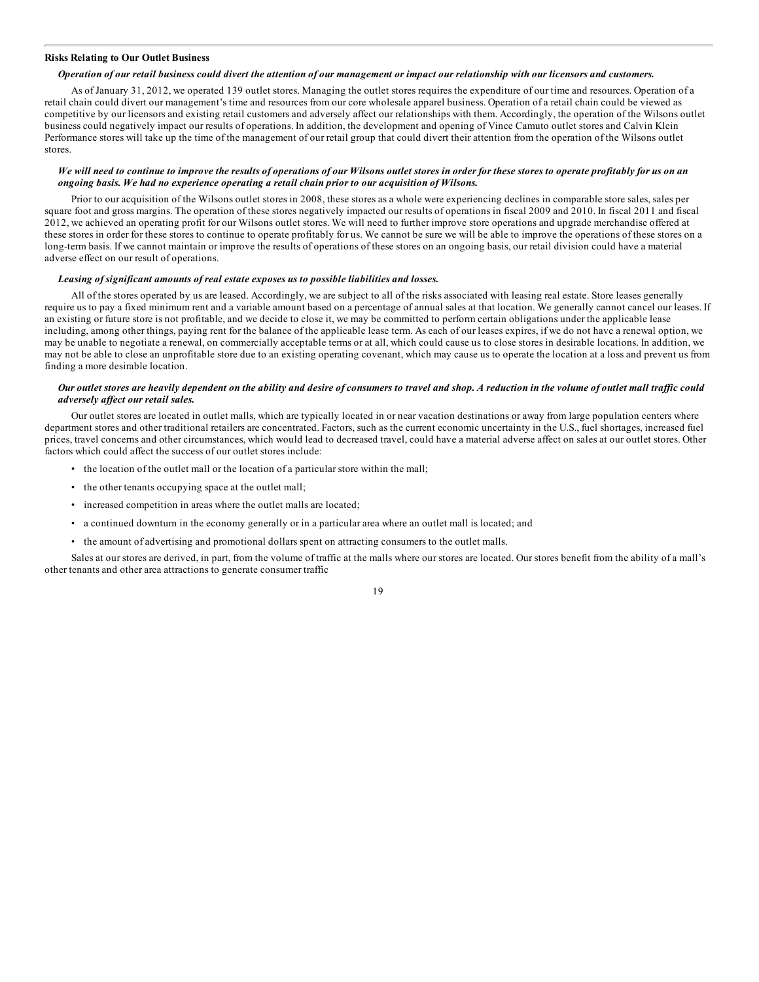#### **Risks Relating to Our Outlet Business**

## Operation of our retail business could divert the attention of our management or impact our relationship with our licensors and customers.

As of January 31, 2012, we operated 139 outlet stores. Managing the outlet stores requires the expenditure of our time and resources. Operation of a retail chain could divert our management's time and resources from our core wholesale apparel business. Operation of a retail chain could be viewed as competitive by our licensors and existing retail customers and adversely affect our relationships with them. Accordingly, the operation of the Wilsons outlet business could negatively impact our results of operations. In addition, the development and opening of Vince Camuto outlet stores and Calvin Klein Performance stores will take up the time of the management of our retail group that could divert their attention from the operation of the Wilsons outlet stores.

## We will need to continue to improve the results of operations of our Wilsons outlet stores in order for these stores to operate profitably for us on an *ongoing basis. We had no experience operating a retail chain prior to our acquisition of Wilsons.*

Prior to our acquisition of the Wilsons outlet stores in 2008, these stores as a whole were experiencing declines in comparable store sales, sales per square foot and gross margins. The operation of these stores negatively impacted our results of operations in fiscal 2009 and 2010. In fiscal 2011 and fiscal 2012, we achieved an operating profit for our Wilsons outlet stores. We will need to further improve store operations and upgrade merchandise offered at these stores in order for these stores to continue to operate profitably for us. We cannot be sure we will be able to improve the operations of these stores on a long-term basis. If we cannot maintain or improve the results of operations of these stores on an ongoing basis, our retail division could have a material adverse effect on our result of operations.

#### *Leasing of significant amounts of real estate exposes us to possible liabilities and losses.*

All of the stores operated by us are leased. Accordingly, we are subject to all of the risks associated with leasing real estate. Store leases generally require us to pay a fixed minimum rent and a variable amount based on a percentage of annual sales at that location. We generally cannot cancel our leases. If an existing or future store is not profitable, and we decide to close it, we may be committed to perform certain obligations under the applicable lease including, among other things, paying rent for the balance of the applicable lease term. As each of our leases expires, if we do not have a renewal option, we may be unable to negotiate a renewal, on commercially acceptable terms or at all, which could cause us to close stores in desirable locations. In addition, we may not be able to close an unprofitable store due to an existing operating covenant, which may cause us to operate the location at a loss and prevent us from finding a more desirable location.

## Our outlet stores are heavily dependent on the ability and desire of consumers to travel and shop. A reduction in the volume of outlet mall traffic could *adversely af ect our retail sales.*

Our outlet stores are located in outlet malls, which are typically located in or near vacation destinations or away from large population centers where department stores and other traditional retailers are concentrated. Factors, such as the current economic uncertainty in the U.S., fuel shortages, increased fuel prices, travel concerns and other circumstances, which would lead to decreased travel, could have a material adverse affect on sales at our outlet stores. Other factors which could affect the success of our outlet stores include:

- the location of the outlet mall or the location of a particular store within the mall;
- the other tenants occupying space at the outlet mall;
- increased competition in areas where the outlet malls are located;
- a continued downturn in the economy generally or in a particular area where an outlet mall is located; and
- the amount of advertising and promotional dollars spent on attracting consumers to the outlet malls.

Sales at our stores are derived, in part, from the volume of traffic at the malls where our stores are located. Our stores benefit from the ability of a mall's other tenants and other area attractions to generate consumer traffic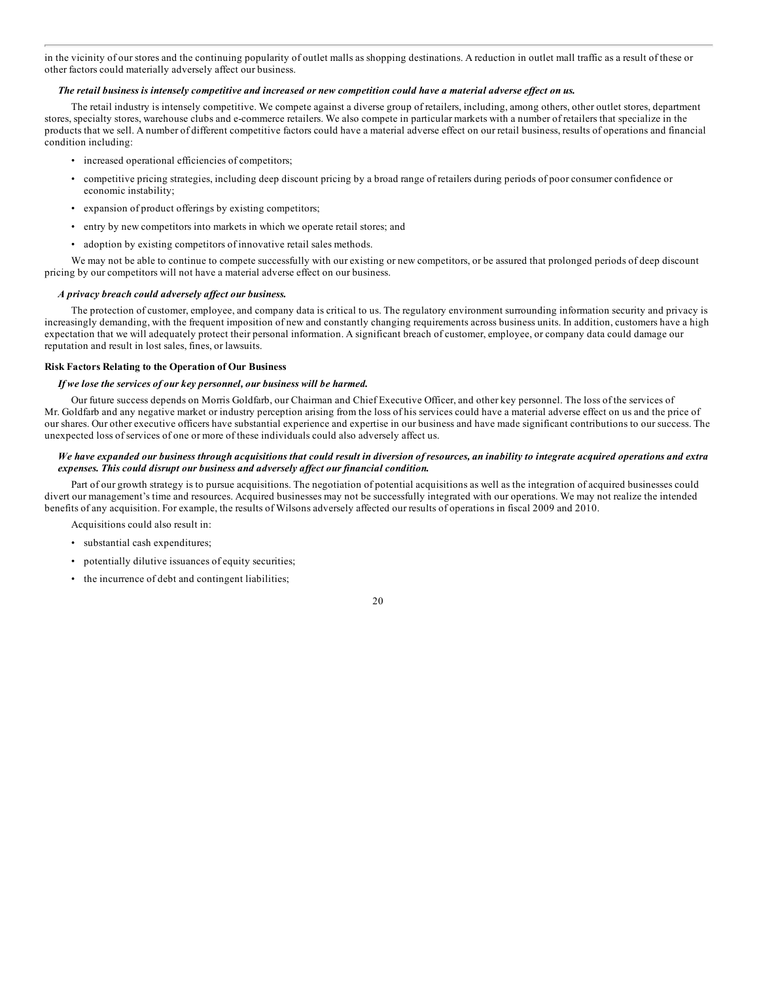in the vicinity of our stores and the continuing popularity of outlet malls as shopping destinations. A reduction in outlet mall traffic as a result of these or other factors could materially adversely affect our business.

## The retail business is intensely competitive and increased or new competition could have a material adverse effect on us.

The retail industry is intensely competitive. We compete against a diverse group of retailers, including, among others, other outlet stores, department stores, specialty stores, warehouse clubs and e-commerce retailers. We also compete in particular markets with a number of retailers that specialize in the products that we sell. A number of different competitive factors could have a material adverse effect on our retail business, results of operations and financial condition including:

- increased operational efficiencies of competitors;
- competitive pricing strategies, including deep discount pricing by a broad range of retailers during periods of poor consumer confidence or economic instability;
- expansion of product offerings by existing competitors;
- entry by new competitors into markets in which we operate retail stores; and
- adoption by existing competitors of innovative retail sales methods.

We may not be able to continue to compete successfully with our existing or new competitors, or be assured that prolonged periods of deep discount pricing by our competitors will not have a material adverse effect on our business.

## *A privacy breach could adversely af ect our business.*

The protection of customer, employee, and company data is critical to us. The regulatory environment surrounding information security and privacy is increasingly demanding, with the frequent imposition of new and constantly changing requirements across business units. In addition, customers have a high expectation that we will adequately protect their personal information. A significant breach of customer, employee, or company data could damage our reputation and result in lost sales, fines, or lawsuits.

## **Risk Factors Relating to the Operation of Our Business**

## *If we lose the services of our key personnel, our business will be harmed.*

Our future success depends on Morris Goldfarb, our Chairman and Chief Executive Officer, and other key personnel. The loss of the services of Mr. Goldfarb and any negative market or industry perception arising from the loss of his services could have a material adverse effect on us and the price of our shares. Our other executive officers have substantial experience and expertise in our business and have made significant contributions to our success. The unexpected loss of services of one or more of these individuals could also adversely affect us.

## We have expanded our business through acquisitions that could result in diversion of resources, an inability to integrate acquired operations and extra *expenses. This could disrupt our business and adversely af ect our financial condition.*

Part of our growth strategy is to pursue acquisitions. The negotiation of potential acquisitions as well as the integration of acquired businesses could divert our management's time and resources. Acquired businesses may not be successfully integrated with our operations. We may not realize the intended benefits of any acquisition. For example, the results of Wilsons adversely affected our results of operations in fiscal 2009 and 2010.

Acquisitions could also result in:

- substantial cash expenditures;
- potentially dilutive issuances of equity securities;
- the incurrence of debt and contingent liabilities;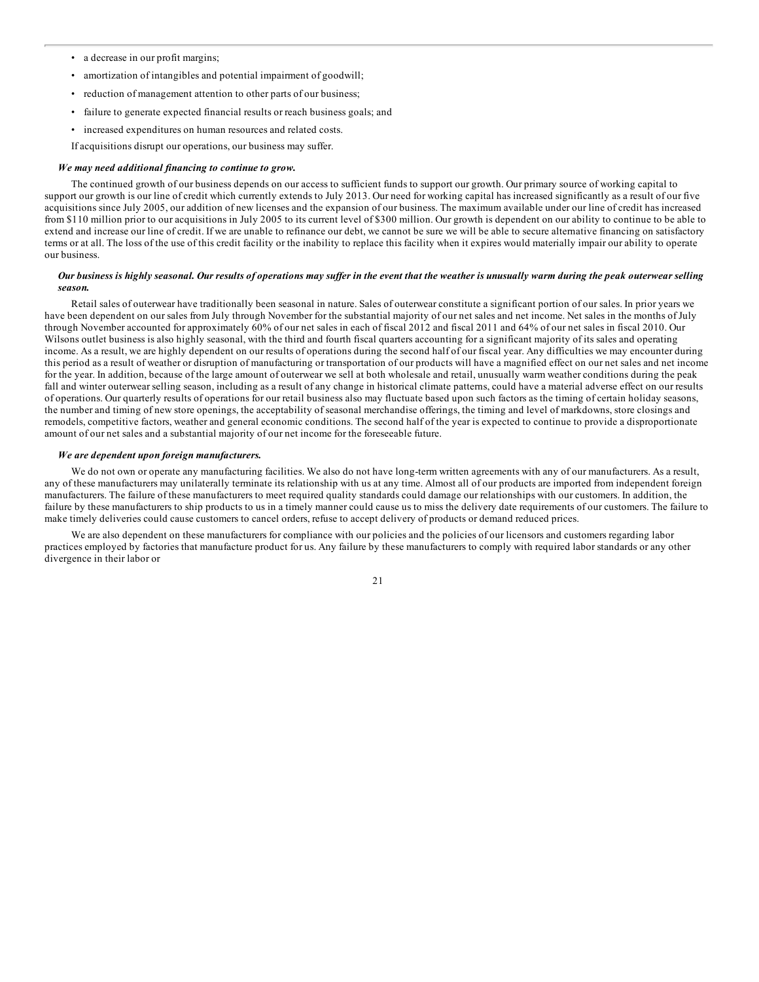- a decrease in our profit margins;
- amortization of intangibles and potential impairment of goodwill;
- reduction of management attention to other parts of our business;
- failure to generate expected financial results or reach business goals; and
- increased expenditures on human resources and related costs.

If acquisitions disrupt our operations, our business may suffer.

#### *We may need additional financing to continue to grow.*

The continued growth of our business depends on our access to sufficient funds to support our growth. Our primary source of working capital to support our growth is our line of credit which currently extends to July 2013. Our need for working capital has increased significantly as a result of our five acquisitions since July 2005, our addition of new licenses and the expansion of our business. The maximum available under our line of credit has increased from \$110 million prior to our acquisitions in July 2005 to its current level of \$300 million. Our growth is dependent on our ability to continue to be able to extend and increase our line of credit. If we are unable to refinance our debt, we cannot be sure we will be able to secure alternative financing on satisfactory terms or at all. The loss of the use of this credit facility or the inability to replace this facility when it expires would materially impair our ability to operate our business.

## Our business is highly seasonal. Our results of operations may suffer in the event that the weather is unusually warm during the peak outerwear selling *season.*

Retail sales of outerwear have traditionally been seasonal in nature. Sales of outerwear constitute a significant portion of our sales. In prior years we have been dependent on our sales from July through November for the substantial majority of our net sales and net income. Net sales in the months of July through November accounted for approximately 60% of our net sales in each of fiscal 2012 and fiscal 2011 and 64% of our net sales in fiscal 2010. Our Wilsons outlet business is also highly seasonal, with the third and fourth fiscal quarters accounting for a significant majority of its sales and operating income. As a result, we are highly dependent on our results of operations during the second half of our fiscal year. Any difficulties we may encounter during this period as a result of weather or disruption of manufacturing or transportation of our products will have a magnified effect on our net sales and net income for the year. In addition, because of the large amount of outerwear we sell at both wholesale and retail, unusually warm weather conditions during the peak fall and winter outerwear selling season, including as a result of any change in historical climate patterns, could have a material adverse effect on our results of operations. Our quarterly results of operations for our retail business also may fluctuate based upon such factors as the timing of certain holiday seasons, the number and timing of new store openings, the acceptability of seasonal merchandise offerings, the timing and level of markdowns, store closings and remodels, competitive factors, weather and general economic conditions. The second half of the year is expected to continue to provide a disproportionate amount of our net sales and a substantial majority of our net income for the foreseeable future.

## *We are dependent upon foreign manufacturers.*

We do not own or operate any manufacturing facilities. We also do not have long-term written agreements with any of our manufacturers. As a result, any of these manufacturers may unilaterally terminate its relationship with us at any time. Almost all of our products are imported from independent foreign manufacturers. The failure of these manufacturers to meet required quality standards could damage our relationships with our customers. In addition, the failure by these manufacturers to ship products to us in a timely manner could cause us to miss the delivery date requirements of our customers. The failure to make timely deliveries could cause customers to cancel orders, refuse to accept delivery of products or demand reduced prices.

We are also dependent on these manufacturers for compliance with our policies and the policies of our licensors and customers regarding labor practices employed by factories that manufacture product for us. Any failure by these manufacturers to comply with required labor standards or any other divergence in their labor or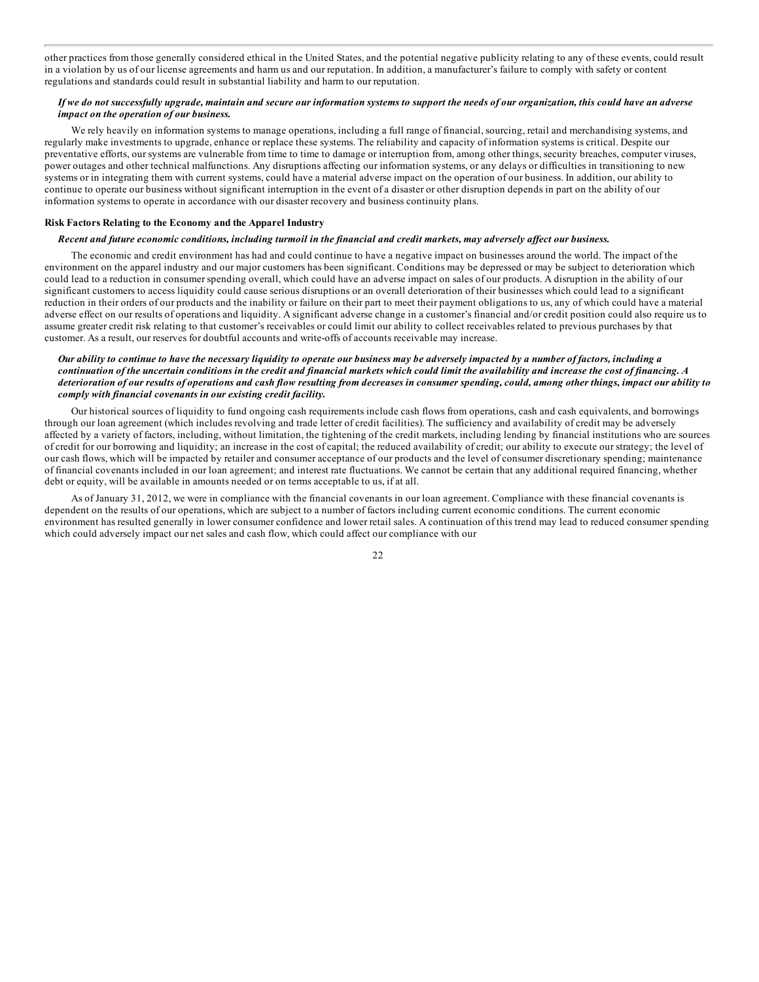other practices from those generally considered ethical in the United States, and the potential negative publicity relating to any of these events, could result in a violation by us of our license agreements and harm us and our reputation. In addition, a manufacturer's failure to comply with safety or content regulations and standards could result in substantial liability and harm to our reputation.

## If we do not successfully upgrade, maintain and secure our information systems to support the needs of our organization, this could have an adverse *impact on the operation of our business.*

We rely heavily on information systems to manage operations, including a full range of financial, sourcing, retail and merchandising systems, and regularly make investments to upgrade, enhance or replace these systems. The reliability and capacity of information systems is critical. Despite our preventative efforts, our systems are vulnerable from time to time to damage or interruption from, among other things, security breaches, computer viruses, power outages and other technical malfunctions. Any disruptions affecting our information systems, or any delays or difficulties in transitioning to new systems or in integrating them with current systems, could have a material adverse impact on the operation of our business. In addition, our ability to continue to operate our business without significant interruption in the event of a disaster or other disruption depends in part on the ability of our information systems to operate in accordance with our disaster recovery and business continuity plans.

## **Risk Factors Relating to the Economy and the Apparel Industry**

## Recent and future economic conditions, including turmoil in the financial and credit markets, may adversely affect our business.

The economic and credit environment has had and could continue to have a negative impact on businesses around the world. The impact of the environment on the apparel industry and our major customers has been significant. Conditions may be depressed or may be subject to deterioration which could lead to a reduction in consumer spending overall, which could have an adverse impact on sales of our products. A disruption in the ability of our significant customers to access liquidity could cause serious disruptions or an overall deterioration of their businesses which could lead to a significant reduction in their orders of our products and the inability or failure on their part to meet their payment obligations to us, any of which could have a material adverse effect on our results of operations and liquidity. A significant adverse change in a customer's financial and/or credit position could also require us to assume greater credit risk relating to that customer's receivables or could limit our ability to collect receivables related to previous purchases by that customer. As a result, our reserves for doubtful accounts and write-offs of accounts receivable may increase.

## Our ability to continue to have the necessary liquidity to operate our business may be adversely impacted by a number of factors, including a continuation of the uncertain conditions in the credit and financial markets which could limit the availability and increase the cost of financing. A deterioration of our results of operations and cash flow resulting from decreases in consumer spending, could, among other things, impact our ability to *comply with financial covenants in our existing credit facility.*

Our historical sources of liquidity to fund ongoing cash requirements include cash flows from operations, cash and cash equivalents, and borrowings through our loan agreement (which includes revolving and trade letter of credit facilities). The sufficiency and availability of credit may be adversely affected by a variety of factors, including, without limitation, the tightening of the credit markets, including lending by financial institutions who are sources of credit for our borrowing and liquidity; an increase in the cost of capital; the reduced availability of credit; our ability to execute our strategy; the level of our cash flows, which will be impacted by retailer and consumer acceptance of our products and the level of consumer discretionary spending; maintenance of financial covenants included in our loan agreement; and interest rate fluctuations. We cannot be certain that any additional required financing, whether debt or equity, will be available in amounts needed or on terms acceptable to us, if at all.

As of January 31, 2012, we were in compliance with the financial covenants in our loan agreement. Compliance with these financial covenants is dependent on the results of our operations, which are subject to a number of factors including current economic conditions. The current economic environment has resulted generally in lower consumer confidence and lower retail sales. A continuation of this trend may lead to reduced consumer spending which could adversely impact our net sales and cash flow, which could affect our compliance with our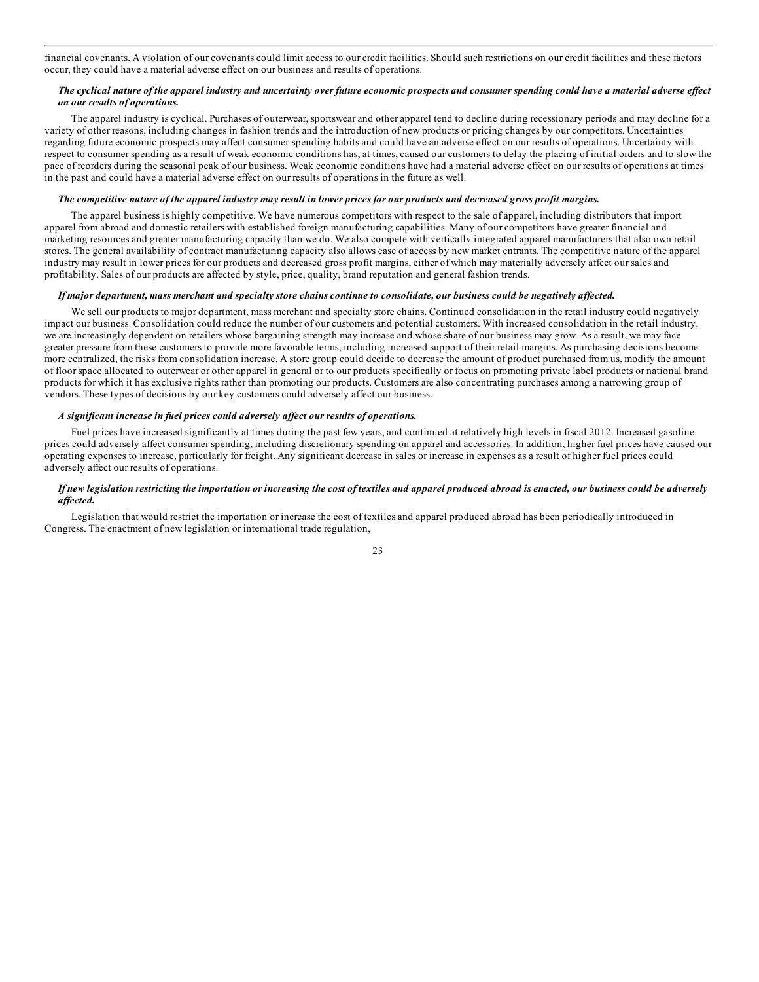financial covenants. A violation of our covenants could limit access to our credit facilities. Should such restrictions on our credit facilities and these factors occur, they could have a material adverse effect on our business and results of operations.

## The cyclical nature of the apparel industry and uncertainty over future economic prospects and consumer spending could have a material adverse effect *on our results of operations.*

The apparel industry is cyclical. Purchases of outerwear, sportswear and other apparel tend to decline during recessionary periods and may decline for a variety of other reasons, including changes in fashion trends and the introduction of new products or pricing changes by our competitors. Uncertainties regarding future economic prospects may affect consumer-spending habits and could have an adverse effect on our results of operations. Uncertainty with respect to consumer spending as a result of weak economic conditions has, at times, caused our customers to delay the placing of initial orders and to slow the pace of reorders during the seasonal peak of our business. Weak economic conditions have had a material adverse effect on our results of operations at times in the past and could have a material adverse effect on our results of operations in the future as well.

## The competitive nature of the apparel industry may result in lower prices for our products and decreased gross profit margins.

The apparel business is highly competitive. We have numerous competitors with respect to the sale of apparel, including distributors that import apparel from abroad and domestic retailers with established foreign manufacturing capabilities. Many of our competitors have greater financial and marketing resources and greater manufacturing capacity than we do. We also compete with vertically integrated apparel manufacturers that also own retail stores. The general availability of contract manufacturing capacity also allows ease of access by new market entrants. The competitive nature of the apparel industry may result in lower prices for our products and decreased gross profit margins, either of which may materially adversely affect our sales and profitability. Sales of our products are affected by style, price, quality, brand reputation and general fashion trends.

#### If major department, mass merchant and specialty store chains continue to consolidate, our business could be negatively affected.

We sell our products to major department, mass merchant and specialty store chains. Continued consolidation in the retail industry could negatively impact our business. Consolidation could reduce the number of our customers and potential customers. With increased consolidation in the retail industry, we are increasingly dependent on retailers whose bargaining strength may increase and whose share of our business may grow. As a result, we may face greater pressure from these customers to provide more favorable terms, including increased support of their retail margins. As purchasing decisions become more centralized, the risks from consolidation increase. A store group could decide to decrease the amount of product purchased from us, modify the amount of floor space allocated to outerwear or other apparel in general or to our products specifically or focus on promoting private label products or national brand products for which it has exclusive rights rather than promoting our products. Customers are also concentrating purchases among a narrowing group of vendors. These types of decisions by our key customers could adversely affect our business.

## *A significant increase in fuel prices could adversely af ect our results of operations.*

Fuel prices have increased significantly at times during the past few years, and continued at relatively high levels in fiscal 2012. Increased gasoline prices could adversely affect consumer spending, including discretionary spending on apparel and accessories. In addition, higher fuel prices have caused our operating expenses to increase, particularly for freight. Any significant decrease in sales or increase in expenses as a result of higher fuel prices could adversely affect our results of operations.

## If new legislation restricting the importation or increasing the cost of textiles and apparel produced abroad is enacted, our business could be adversely *af ected.*

Legislation that would restrict the importation or increase the cost of textiles and apparel produced abroad has been periodically introduced in Congress. The enactment of new legislation or international trade regulation,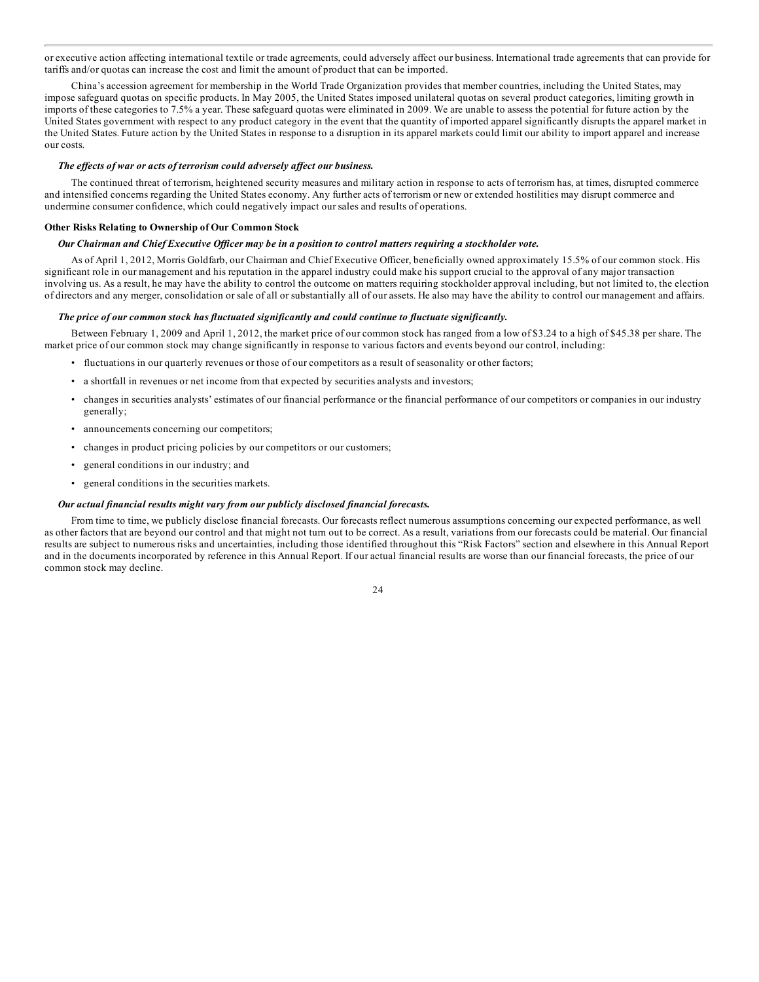or executive action affecting international textile or trade agreements, could adversely affect our business. International trade agreements that can provide for tariffs and/or quotas can increase the cost and limit the amount of product that can be imported.

China's accession agreement for membership in the World Trade Organization provides that member countries, including the United States, may impose safeguard quotas on specific products. In May 2005, the United States imposed unilateral quotas on several product categories, limiting growth in imports of these categories to 7.5% a year. These safeguard quotas were eliminated in 2009. We are unable to assess the potential for future action by the United States government with respect to any product category in the event that the quantity of imported apparel significantly disrupts the apparel market in the United States. Future action by the United States in response to a disruption in its apparel markets could limit our ability to import apparel and increase our costs.

#### *The ef ects of war or acts of terrorism could adversely af ect our business.*

The continued threat of terrorism, heightened security measures and military action in response to acts of terrorism has, at times, disrupted commerce and intensified concerns regarding the United States economy. Any further acts of terrorism or new or extended hostilities may disrupt commerce and undermine consumer confidence, which could negatively impact our sales and results of operations.

#### **Other Risks Relating to Ownership of Our Common Stock**

## Our Chairman and Chief Executive Officer may be in a position to control matters requiring a stockholder vote.

As of April 1, 2012, Morris Goldfarb, our Chairman and Chief Executive Officer, beneficially owned approximately 15.5% of our common stock. His significant role in our management and his reputation in the apparel industry could make his support crucial to the approval of any major transaction involving us. As a result, he may have the ability to control the outcome on matters requiring stockholder approval including, but not limited to, the election of directors and any merger, consolidation or sale of all or substantially all of our assets. He also may have the ability to control our management and affairs.

#### *The price of our common stock has fluctuated significantly and could continue to fluctuate significantly.*

Between February 1, 2009 and April 1, 2012, the market price of our common stock has ranged from a low of \$3.24 to a high of \$45.38 per share. The market price of our common stock may change significantly in response to various factors and events beyond our control, including:

- fluctuations in our quarterly revenues or those of our competitors as a result of seasonality or other factors;
- a shortfall in revenues or net income from that expected by securities analysts and investors;
- changes in securities analysts' estimates of our financial performance or the financial performance of our competitors or companies in our industry generally;
- announcements concerning our competitors;
- changes in product pricing policies by our competitors or our customers;
- general conditions in our industry; and
- general conditions in the securities markets.

## *Our actual financial results might vary from our publicly disclosed financial forecasts.*

From time to time, we publicly disclose financial forecasts. Our forecasts reflect numerous assumptions concerning our expected performance, as well as other factors that are beyond our control and that might not turn out to be correct. As a result, variations from our forecasts could be material. Our financial results are subject to numerous risks and uncertainties, including those identified throughout this "Risk Factors" section and elsewhere in this Annual Report and in the documents incorporated by reference in this Annual Report. If our actual financial results are worse than our financial forecasts, the price of our common stock may decline.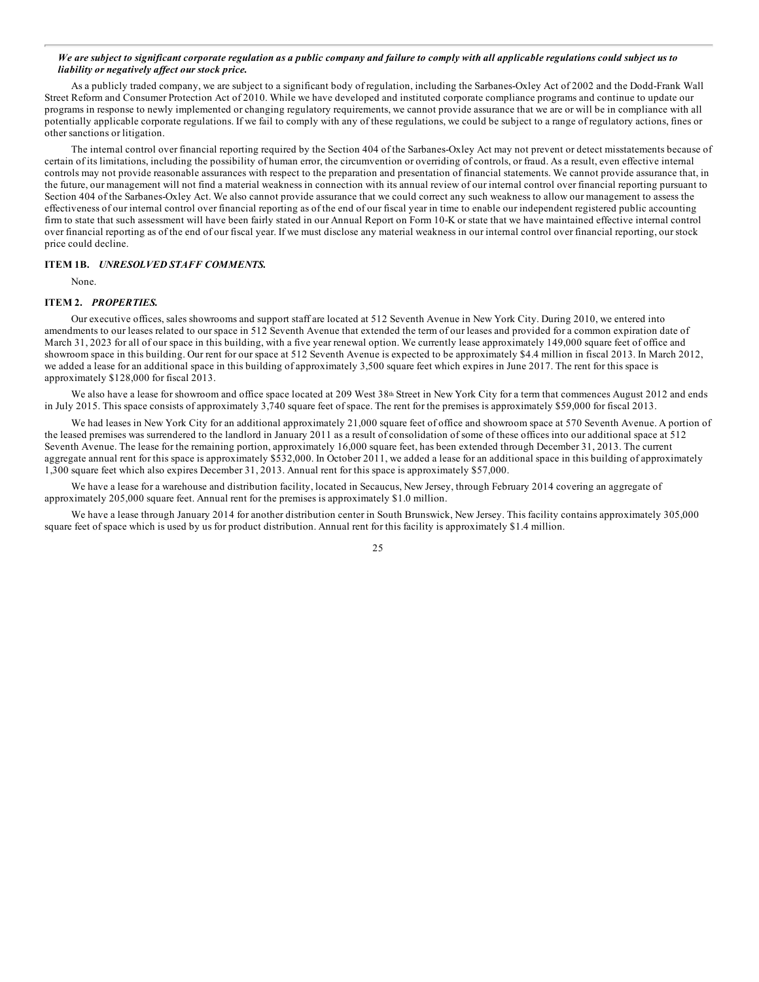## We are subject to significant corporate regulation as a public company and failure to comply with all applicable regulations could subject us to *liability or negatively af ect our stock price.*

As a publicly traded company, we are subject to a significant body of regulation, including the Sarbanes-Oxley Act of 2002 and the Dodd-Frank Wall Street Reform and Consumer Protection Act of 2010. While we have developed and instituted corporate compliance programs and continue to update our programs in response to newly implemented or changing regulatory requirements, we cannot provide assurance that we are or will be in compliance with all potentially applicable corporate regulations. If we fail to comply with any of these regulations, we could be subject to a range of regulatory actions, fines or other sanctions or litigation.

The internal control over financial reporting required by the Section 404 of the Sarbanes-Oxley Act may not prevent or detect misstatements because of certain of its limitations, including the possibility of human error, the circumvention or overriding of controls, or fraud. As a result, even effective internal controls may not provide reasonable assurances with respect to the preparation and presentation of financial statements. We cannot provide assurance that, in the future, our management will not find a material weakness in connection with its annual review of our internal control over financial reporting pursuant to Section 404 of the Sarbanes-Oxley Act. We also cannot provide assurance that we could correct any such weakness to allow our management to assess the effectiveness of our internal control over financial reporting as of the end of our fiscal year in time to enable our independent registered public accounting firm to state that such assessment will have been fairly stated in our Annual Report on Form 10-K or state that we have maintained effective internal control over financial reporting as of the end of our fiscal year. If we must disclose any material weakness in our internal control over financial reporting, our stock price could decline.

## **ITEM 1B.** *UNRESOLVED STAFF COMMENTS.*

None.

#### **ITEM 2.** *PROPERTIES.*

Our executive offices, sales showrooms and support staff are located at 512 Seventh Avenue in New York City. During 2010, we entered into amendments to our leases related to our space in 512 Seventh Avenue that extended the term of our leases and provided for a common expiration date of March 31, 2023 for all of our space in this building, with a five year renewal option. We currently lease approximately 149,000 square feet of office and showroom space in this building. Our rent for our space at 512 Seventh Avenue is expected to be approximately \$4.4 million in fiscal 2013. In March 2012, we added a lease for an additional space in this building of approximately 3,500 square feet which expires in June 2017. The rent for this space is approximately \$128,000 for fiscal 2013.

We also have a lease for showroom and office space located at 209 West 38<sup>th</sup> Street in New York City for a term that commences August 2012 and ends in July 2015. This space consists of approximately 3,740 square feet of space. The rent for the premises is approximately \$59,000 for fiscal 2013.

We had leases in New York City for an additional approximately 21,000 square feet of office and showroom space at 570 Seventh Avenue. A portion of the leased premises was surrendered to the landlord in January 2011 as a result of consolidation of some of these offices into our additional space at 512 Seventh Avenue. The lease for the remaining portion, approximately 16,000 square feet, has been extended through December 31, 2013. The current aggregate annual rent for this space is approximately \$532,000. In October 2011, we added a lease for an additional space in this building of approximately 1,300 square feet which also expires December 31, 2013. Annual rent for this space is approximately \$57,000.

We have a lease for a warehouse and distribution facility, located in Secaucus, New Jersey, through February 2014 covering an aggregate of approximately 205,000 square feet. Annual rent for the premises is approximately \$1.0 million.

We have a lease through January 2014 for another distribution center in South Brunswick, New Jersey. This facility contains approximately 305,000 square feet of space which is used by us for product distribution. Annual rent for this facility is approximately \$1.4 million.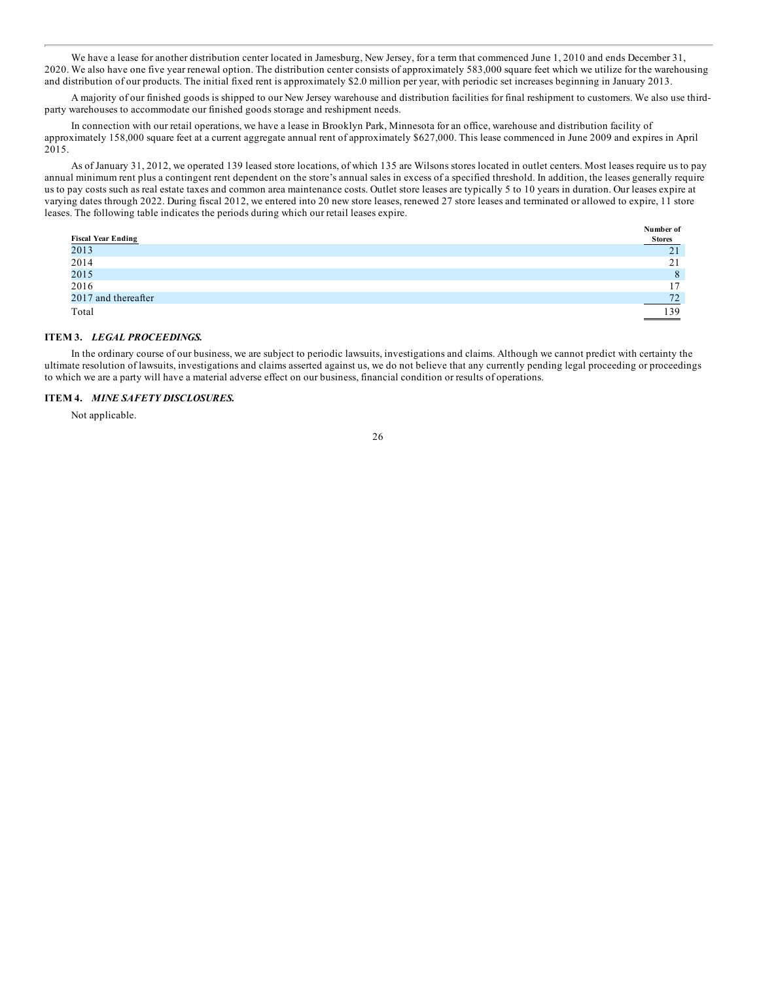We have a lease for another distribution center located in Jamesburg, New Jersey, for a term that commenced June 1, 2010 and ends December 31, 2020. We also have one five year renewal option. The distribution center consists of approximately 583,000 square feet which we utilize for the warehousing and distribution of our products. The initial fixed rent is approximately \$2.0 million per year, with periodic set increases beginning in January 2013.

A majority of our finished goods is shipped to our New Jersey warehouse and distribution facilities for final reshipment to customers. We also use thirdparty warehouses to accommodate our finished goods storage and reshipment needs.

In connection with our retail operations, we have a lease in Brooklyn Park, Minnesota for an office, warehouse and distribution facility of approximately 158,000 square feet at a current aggregate annual rent of approximately \$627,000. This lease commenced in June 2009 and expires in April 2015.

As of January 31, 2012, we operated 139 leased store locations, of which 135 are Wilsons stores located in outlet centers. Most leases require us to pay annual minimum rent plus a contingent rent dependent on the store's annual sales in excess of a specified threshold. In addition, the leases generally require us to pay costs such as real estate taxes and common area maintenance costs. Outlet store leases are typically 5 to 10 years in duration. Our leases expire at varying dates through 2022. During fiscal 2012, we entered into 20 new store leases, renewed 27 store leases and terminated or allowed to expire, 11 store leases. The following table indicates the periods during which our retail leases expire.

|                           | Number of     |
|---------------------------|---------------|
| <b>Fiscal Year Ending</b> | <b>Stores</b> |
| 2013                      | 21            |
| $\frac{2014}{2015}$       | 21<br>∠ ⊥     |
|                           | 8             |
| 2016                      | 17            |
| 2017 and thereafter       | 72            |
| Total                     | 139           |

## **ITEM 3.** *LEGAL PROCEEDINGS.*

In the ordinary course of our business, we are subject to periodic lawsuits, investigations and claims. Although we cannot predict with certainty the ultimate resolution of lawsuits, investigations and claims asserted against us, we do not believe that any currently pending legal proceeding or proceedings to which we are a party will have a material adverse effect on our business, financial condition or results of operations.

## **ITEM 4.** *MINE SAFETY DISCLOSURES.*

Not applicable.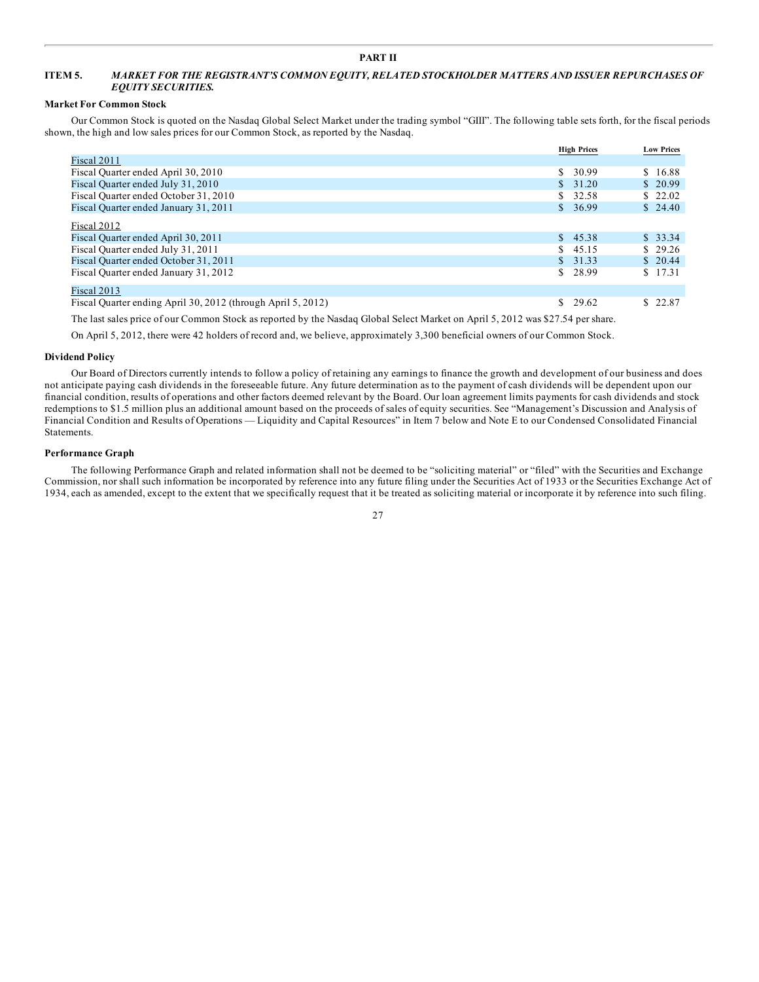## **PART II**

## **ITEM 5.** *MARKET FOR THE REGISTRANT'S COMMON EQUITY, RELATED STOCKHOLDER MATTERS AND ISSUER REPURCHASES OF EQUITY SECURITIES.*

## **Market For Common Stock**

Our Common Stock is quoted on the Nasdaq Global Select Market under the trading symbol "GIII". The following table sets forth, for the fiscal periods shown, the high and low sales prices for our Common Stock, as reported by the Nasdaq.

|                                                              | <b>High Prices</b> | <b>Low Prices</b> |
|--------------------------------------------------------------|--------------------|-------------------|
| Fiscal 2011                                                  |                    |                   |
| Fiscal Quarter ended April 30, 2010                          | S.<br>30.99        | \$16.88           |
| Fiscal Quarter ended July 31, 2010                           | \$31.20            | \$20.99           |
| Fiscal Quarter ended October 31, 2010                        | \$32.58            | \$22.02           |
| Fiscal Quarter ended January 31, 2011                        | \$36.99            | \$24.40           |
| Fiscal 2012                                                  |                    |                   |
| Fiscal Quarter ended April 30, 2011                          | \$45.38            | \$33.34           |
| Fiscal Quarter ended July 31, 2011                           | \$45.15            | \$29.26           |
| Fiscal Quarter ended October 31, 2011                        | \$31.33            | \$20.44           |
| Fiscal Quarter ended January 31, 2012                        | \$28.99            | \$17.31           |
| Fiscal 2013                                                  |                    |                   |
| Fiscal Quarter ending April 30, 2012 (through April 5, 2012) | \$29.62            | \$22.87           |

The last sales price of our Common Stock as reported by the Nasdaq Global Select Market on April 5, 2012 was \$27.54 per share.

On April 5, 2012, there were 42 holders of record and, we believe, approximately 3,300 beneficial owners of our Common Stock.

## **Dividend Policy**

Our Board of Directors currently intends to follow a policy of retaining any earnings to finance the growth and development of our business and does not anticipate paying cash dividends in the foreseeable future. Any future determination as to the payment of cash dividends will be dependent upon our financial condition, results of operations and other factors deemed relevant by the Board. Our loan agreement limits payments for cash dividends and stock redemptions to \$1.5 million plus an additional amount based on the proceeds of sales of equity securities. See "Management's Discussion and Analysis of Financial Condition and Results of Operations — Liquidity and Capital Resources" in Item 7 below and Note E to our Condensed Consolidated Financial Statements.

## **Performance Graph**

The following Performance Graph and related information shall not be deemed to be "soliciting material" or "filed" with the Securities and Exchange Commission, nor shall such information be incorporated by reference into any future filing under the Securities Act of 1933 or the Securities Exchange Act of 1934, each as amended, except to the extent that we specifically request that it be treated as soliciting material or incorporate it by reference into such filing.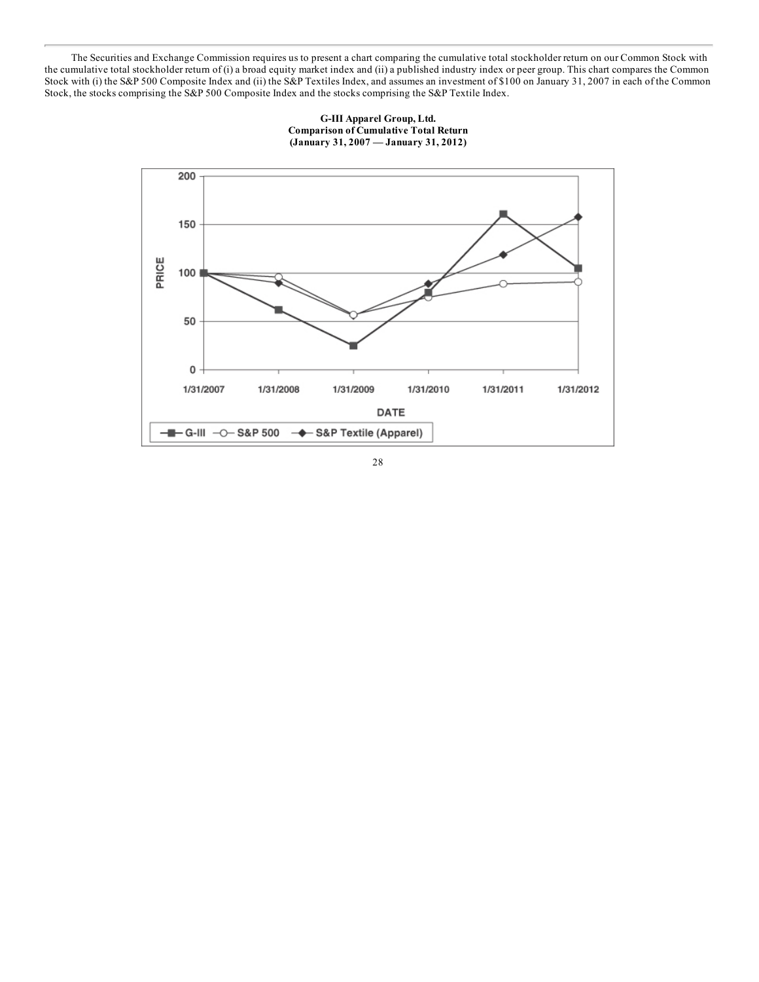The Securities and Exchange Commission requires us to present a chart comparing the cumulative total stockholder return on our Common Stock with the cumulative total stockholder return of (i) a broad equity market index and (ii) a published industry index or peer group. This chart compares the Common Stock with (i) the S&P 500 Composite Index and (ii) the S&P Textiles Index, and assumes an investment of \$100 on January 31, 2007 in each of the Common Stock, the stocks comprising the S&P 500 Composite Index and the stocks comprising the S&P Textile Index.



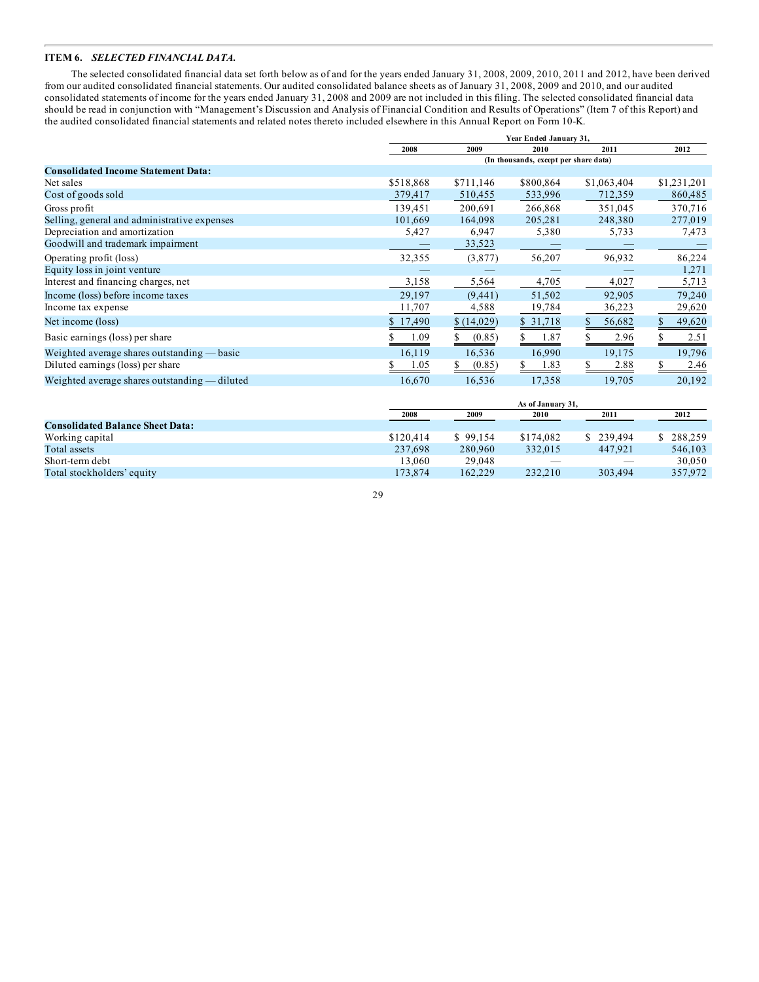## **ITEM 6.** *SELECTED FINANCIAL DATA.*

The selected consolidated financial data set forth below as of and for the years ended January 31, 2008, 2009, 2010, 2011 and 2012, have been derived from our audited consolidated financial statements. Our audited consolidated balance sheets as of January 31, 2008, 2009 and 2010, and our audited consolidated statements of income for the years ended January 31, 2008 and 2009 are not included in this filing. The selected consolidated financial data should be read in conjunction with "Management's Discussion and Analysis of Financial Condition and Results of Operations" (Item 7 of this Report) and the audited consolidated financial statements and related notes thereto included elsewhere in this Annual Report on Form 10-K.

|                                               |           | Year Ended January 31,                |           |             |             |  |
|-----------------------------------------------|-----------|---------------------------------------|-----------|-------------|-------------|--|
|                                               | 2008      | 2009                                  | 2010      | 2011        | 2012        |  |
|                                               |           | (In thousands, except per share data) |           |             |             |  |
| <b>Consolidated Income Statement Data:</b>    |           |                                       |           |             |             |  |
| Net sales                                     | \$518,868 | \$711,146                             | \$800,864 | \$1,063,404 | \$1,231,201 |  |
| Cost of goods sold                            | 379,417   | 510,455                               | 533,996   | 712,359     | 860,485     |  |
| Gross profit                                  | 139,451   | 200,691                               | 266,868   | 351,045     | 370,716     |  |
| Selling, general and administrative expenses  | 101,669   | 164,098                               | 205,281   | 248,380     | 277,019     |  |
| Depreciation and amortization                 | 5,427     | 6,947                                 | 5,380     | 5,733       | 7,473       |  |
| Goodwill and trademark impairment             |           | 33,523                                |           |             |             |  |
| Operating profit (loss)                       | 32,355    | (3,877)                               | 56,207    | 96,932      | 86,224      |  |
| Equity loss in joint venture                  |           |                                       |           |             | 1,271       |  |
| Interest and financing charges, net           | 3,158     | 5,564                                 | 4,705     | 4,027       | 5,713       |  |
| Income (loss) before income taxes             | 29,197    | (9,441)                               | 51,502    | 92,905      | 79,240      |  |
| Income tax expense                            | 11,707    | 4,588                                 | 19,784    | 36,223      | 29,620      |  |
| Net income (loss)                             | \$17,490  | \$(14,029)                            | \$31,718  | 56,682      | 49,620      |  |
| Basic earnings (loss) per share               | 1.09      | (0.85)<br>S.                          | 1.87      | 2.96        | 2.51        |  |
| Weighted average shares outstanding $-$ basic | 16,119    | 16,536                                | 16,990    | 19,175      | 19,796      |  |
| Diluted earnings (loss) per share             | 1.05      | (0.85)<br>S.                          | 1.83      | 2.88        | 2.46        |  |
| Weighted average shares outstanding — diluted | 16,670    | 16,536                                | 17,358    | 19,705      | 20,192      |  |

|                                         |           | As of January 31. |           |                 |         |
|-----------------------------------------|-----------|-------------------|-----------|-----------------|---------|
|                                         | 2008      | 2009              | 2010      | 2011            | 2012    |
| <b>Consolidated Balance Sheet Data:</b> |           |                   |           |                 |         |
| Working capital                         | \$120.414 | \$99.154          | \$174,082 | \$239,494       | 288,259 |
| Total assets                            | 237,698   | 280,960           | 332,015   | 447.921         | 546,103 |
| Short-term debt                         | 13.060    | 29,048            | $\sim$    | $\qquad \qquad$ | 30,050  |
| Total stockholders' equity              | 173.874   | 162.229           | 232,210   | 303,494         | 357,972 |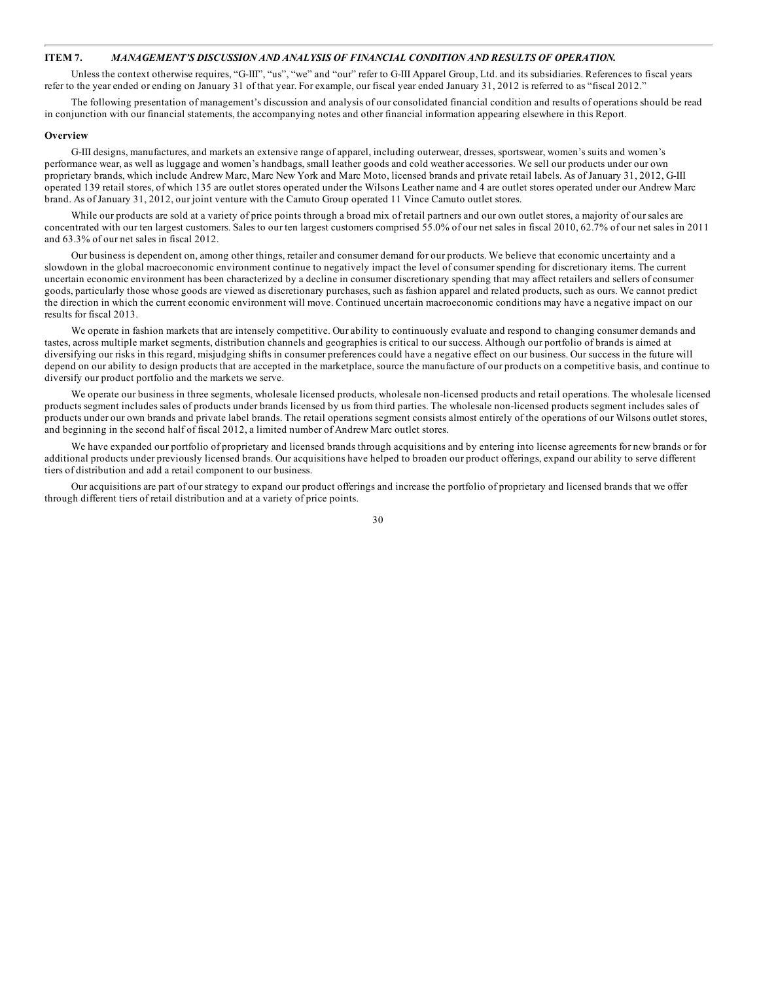## **ITEM 7.** *MANAGEMENT'S DISCUSSION AND ANALYSIS OF FINANCIAL CONDITION AND RESULTS OF OPERATION.*

Unless the context otherwise requires, "G-III", "us", "we" and "our" refer to G-III Apparel Group, Ltd. and its subsidiaries. References to fiscal years refer to the year ended or ending on January 31 of that year. For example, our fiscal year ended January 31, 2012 is referred to as "fiscal 2012."

The following presentation of management's discussion and analysis of our consolidated financial condition and results of operations should be read in conjunction with our financial statements, the accompanying notes and other financial information appearing elsewhere in this Report.

### **Overview**

G-III designs, manufactures, and markets an extensive range of apparel, including outerwear, dresses, sportswear, women's suits and women's performance wear, as well as luggage and women's handbags, small leather goods and cold weather accessories. We sell our products under our own proprietary brands, which include Andrew Marc, Marc New York and Marc Moto, licensed brands and private retail labels. As of January 31, 2012, G-III operated 139 retail stores, of which 135 are outlet stores operated under the Wilsons Leather name and 4 are outlet stores operated under our Andrew Marc brand. As of January 31, 2012, our joint venture with the Camuto Group operated 11 Vince Camuto outlet stores.

While our products are sold at a variety of price points through a broad mix of retail partners and our own outlet stores, a majority of our sales are concentrated with our ten largest customers. Sales to our ten largest customers comprised 55.0% of our net sales in fiscal 2010, 62.7% of our net sales in 2011 and 63.3% of our net sales in fiscal 2012.

Our business is dependent on, among other things, retailer and consumer demand for our products. We believe that economic uncertainty and a slowdown in the global macroeconomic environment continue to negatively impact the level of consumer spending for discretionary items. The current uncertain economic environment has been characterized by a decline in consumer discretionary spending that may affect retailers and sellers of consumer goods, particularly those whose goods are viewed as discretionary purchases, such as fashion apparel and related products, such as ours. We cannot predict the direction in which the current economic environment will move. Continued uncertain macroeconomic conditions may have a negative impact on our results for fiscal 2013.

We operate in fashion markets that are intensely competitive. Our ability to continuously evaluate and respond to changing consumer demands and tastes, across multiple market segments, distribution channels and geographies is critical to our success. Although our portfolio of brands is aimed at diversifying our risks in this regard, misjudging shifts in consumer preferences could have a negative effect on our business. Our success in the future will depend on our ability to design products that are accepted in the marketplace, source the manufacture of our products on a competitive basis, and continue to diversify our product portfolio and the markets we serve.

We operate our business in three segments, wholesale licensed products, wholesale non-licensed products and retail operations. The wholesale licensed products segment includes sales of products under brands licensed by us from third parties. The wholesale non-licensed products segment includes sales of products under our own brands and private label brands. The retail operations segment consists almost entirely of the operations of our Wilsons outlet stores, and beginning in the second half of fiscal 2012, a limited number of Andrew Marc outlet stores.

We have expanded our portfolio of proprietary and licensed brands through acquisitions and by entering into license agreements for new brands or for additional products under previously licensed brands. Our acquisitions have helped to broaden our product offerings, expand our ability to serve different tiers of distribution and add a retail component to our business.

Our acquisitions are part of our strategy to expand our product offerings and increase the portfolio of proprietary and licensed brands that we offer through different tiers of retail distribution and at a variety of price points.

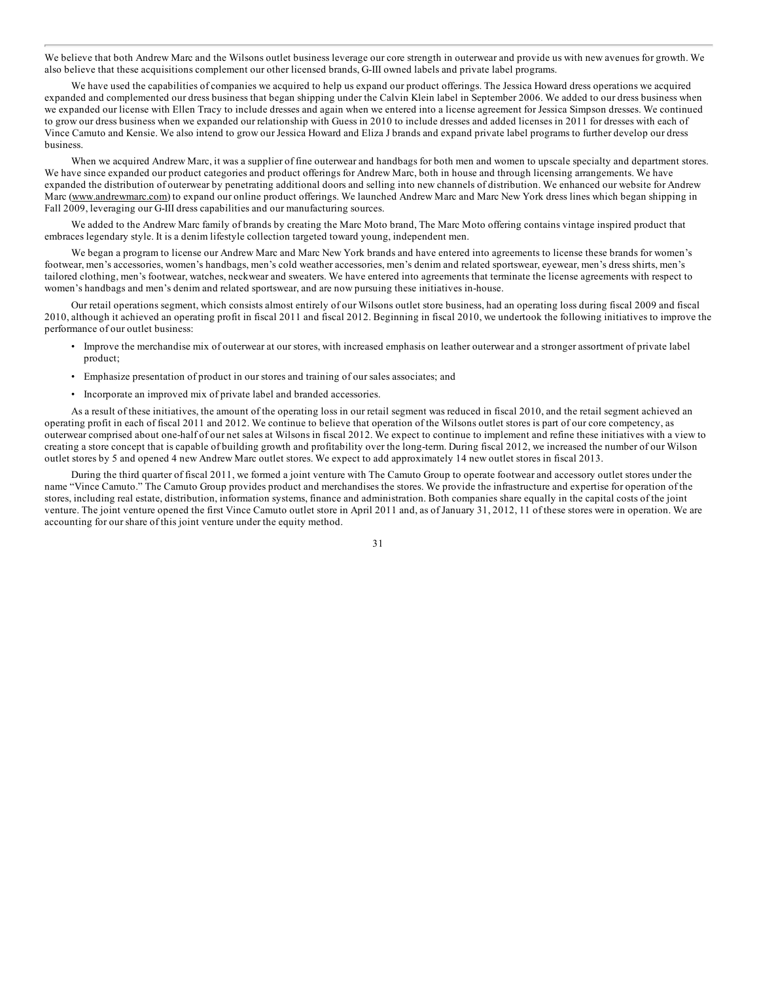We believe that both Andrew Marc and the Wilsons outlet business leverage our core strength in outerwear and provide us with new avenues for growth. We also believe that these acquisitions complement our other licensed brands, G-III owned labels and private label programs.

We have used the capabilities of companies we acquired to help us expand our product offerings. The Jessica Howard dress operations we acquired expanded and complemented our dress business that began shipping under the Calvin Klein label in September 2006. We added to our dress business when we expanded our license with Ellen Tracy to include dresses and again when we entered into a license agreement for Jessica Simpson dresses. We continued to grow our dress business when we expanded our relationship with Guess in 2010 to include dresses and added licenses in 2011 for dresses with each of Vince Camuto and Kensie. We also intend to grow our Jessica Howard and Eliza J brands and expand private label programs to further develop our dress business.

When we acquired Andrew Marc, it was a supplier of fine outerwear and handbags for both men and women to upscale specialty and department stores. We have since expanded our product categories and product offerings for Andrew Marc, both in house and through licensing arrangements. We have expanded the distribution of outerwear by penetrating additional doors and selling into new channels of distribution. We enhanced our website for Andrew Marc (www.andrewmarc.com) to expand our online product offerings. We launched Andrew Marc and Marc New York dress lines which began shipping in Fall 2009, leveraging our G-III dress capabilities and our manufacturing sources.

We added to the Andrew Marc family of brands by creating the Marc Moto brand, The Marc Moto offering contains vintage inspired product that embraces legendary style. It is a denim lifestyle collection targeted toward young, independent men.

We began a program to license our Andrew Marc and Marc New York brands and have entered into agreements to license these brands for women's footwear, men's accessories, women's handbags, men's cold weather accessories, men's denim and related sportswear, eyewear, men's dress shirts, men's tailored clothing, men's footwear, watches, neckwear and sweaters. We have entered into agreements that terminate the license agreements with respect to women's handbags and men's denim and related sportswear, and are now pursuing these initiatives in-house.

Our retail operations segment, which consists almost entirely of our Wilsons outlet store business, had an operating loss during fiscal 2009 and fiscal 2010, although it achieved an operating profit in fiscal 2011 and fiscal 2012. Beginning in fiscal 2010, we undertook the following initiatives to improve the performance of our outlet business:

- Improve the merchandise mix of outerwear at our stores, with increased emphasis on leather outerwear and a stronger assortment of private label product;
- Emphasize presentation of product in our stores and training of our sales associates; and
- Incorporate an improved mix of private label and branded accessories.

As a result of these initiatives, the amount of the operating loss in our retail segment was reduced in fiscal 2010, and the retail segment achieved an operating profit in each of fiscal 2011 and 2012. We continue to believe that operation of the Wilsons outlet stores is part of our core competency, as outerwear comprised about one-half of our net sales at Wilsons in fiscal 2012. We expect to continue to implement and refine these initiatives with a view to creating a store concept that is capable of building growth and profitability over the long-term. During fiscal 2012, we increased the number of our Wilson outlet stores by 5 and opened 4 new Andrew Marc outlet stores. We expect to add approximately 14 new outlet stores in fiscal 2013.

During the third quarter of fiscal 2011, we formed a joint venture with The Camuto Group to operate footwear and accessory outlet stores under the name "Vince Camuto." The Camuto Group provides product and merchandises the stores. We provide the infrastructure and expertise for operation of the stores, including real estate, distribution, information systems, finance and administration. Both companies share equally in the capital costs of the joint venture. The joint venture opened the first Vince Camuto outlet store in April 2011 and, as of January 31, 2012, 11 of these stores were in operation. We are accounting for our share of this joint venture under the equity method.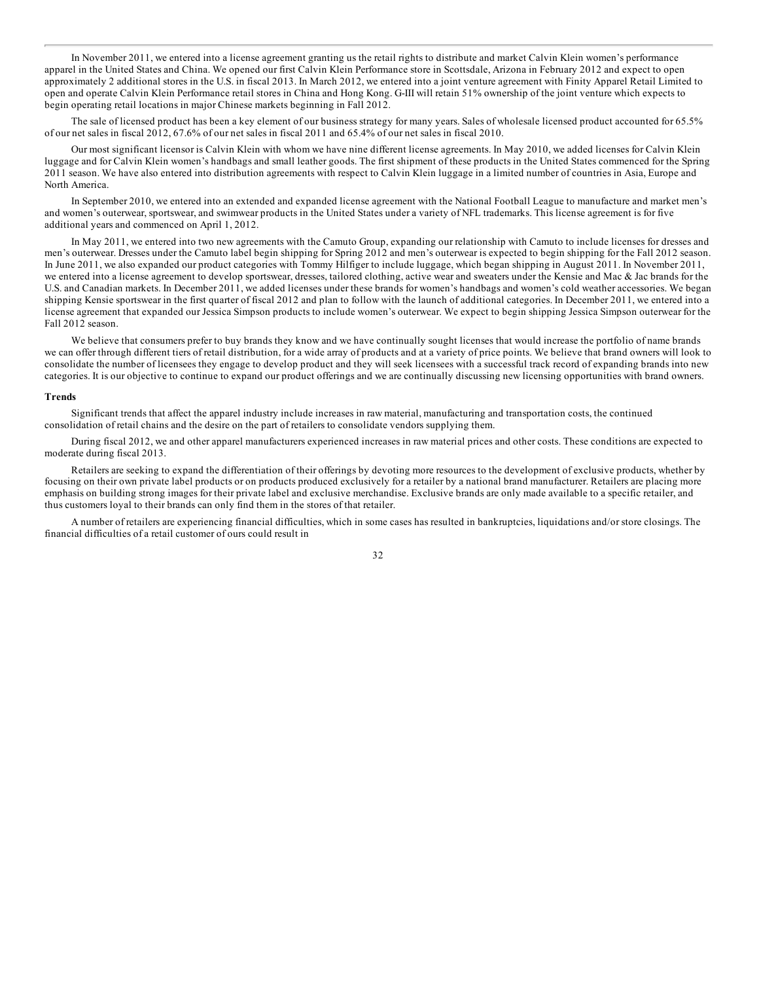In November 2011, we entered into a license agreement granting us the retail rights to distribute and market Calvin Klein women's performance apparel in the United States and China. We opened our first Calvin Klein Performance store in Scottsdale, Arizona in February 2012 and expect to open approximately 2 additional stores in the U.S. in fiscal 2013. In March 2012, we entered into a joint venture agreement with Finity Apparel Retail Limited to open and operate Calvin Klein Performance retail stores in China and Hong Kong. G-III will retain 51% ownership of the joint venture which expects to begin operating retail locations in major Chinese markets beginning in Fall 2012.

The sale of licensed product has been a key element of our business strategy for many years. Sales of wholesale licensed product accounted for 65.5% of our net sales in fiscal 2012, 67.6% of our net sales in fiscal 2011 and 65.4% of our net sales in fiscal 2010.

Our most significant licensor is Calvin Klein with whom we have nine different license agreements. In May 2010, we added licenses for Calvin Klein luggage and for Calvin Klein women's handbags and small leather goods. The first shipment of these products in the United States commenced for the Spring 2011 season. We have also entered into distribution agreements with respect to Calvin Klein luggage in a limited number of countries in Asia, Europe and North America.

In September 2010, we entered into an extended and expanded license agreement with the National Football League to manufacture and market men's and women's outerwear, sportswear, and swimwear products in the United States under a variety of NFL trademarks. This license agreement is for five additional years and commenced on April 1, 2012.

In May 2011, we entered into two new agreements with the Camuto Group, expanding our relationship with Camuto to include licenses for dresses and men's outerwear. Dresses under the Camuto label begin shipping for Spring 2012 and men's outerwear is expected to begin shipping for the Fall 2012 season. In June 2011, we also expanded our product categories with Tommy Hilfiger to include luggage, which began shipping in August 2011. In November 2011, we entered into a license agreement to develop sportswear, dresses, tailored clothing, active wear and sweaters under the Kensie and Mac & Jac brands for the U.S. and Canadian markets. In December 2011, we added licenses under these brands for women's handbags and women's cold weather accessories. We began shipping Kensie sportswear in the first quarter of fiscal 2012 and plan to follow with the launch of additional categories. In December 2011, we entered into a license agreement that expanded our Jessica Simpson products to include women's outerwear. We expect to begin shipping Jessica Simpson outerwear for the Fall 2012 season.

We believe that consumers prefer to buy brands they know and we have continually sought licenses that would increase the portfolio of name brands we can offer through different tiers of retail distribution, for a wide array of products and at a variety of price points. We believe that brand owners will look to consolidate the number of licensees they engage to develop product and they will seek licensees with a successful track record of expanding brands into new categories. It is our objective to continue to expand our product offerings and we are continually discussing new licensing opportunities with brand owners.

#### **Trends**

Significant trends that affect the apparel industry include increases in raw material, manufacturing and transportation costs, the continued consolidation of retail chains and the desire on the part of retailers to consolidate vendors supplying them.

During fiscal 2012, we and other apparel manufacturers experienced increases in raw material prices and other costs. These conditions are expected to moderate during fiscal 2013.

Retailers are seeking to expand the differentiation of their offerings by devoting more resources to the development of exclusive products, whether by focusing on their own private label products or on products produced exclusively for a retailer by a national brand manufacturer. Retailers are placing more emphasis on building strong images for their private label and exclusive merchandise. Exclusive brands are only made available to a specific retailer, and thus customers loyal to their brands can only find them in the stores of that retailer.

A number of retailers are experiencing financial difficulties, which in some cases has resulted in bankruptcies, liquidations and/or store closings. The financial difficulties of a retail customer of ours could result in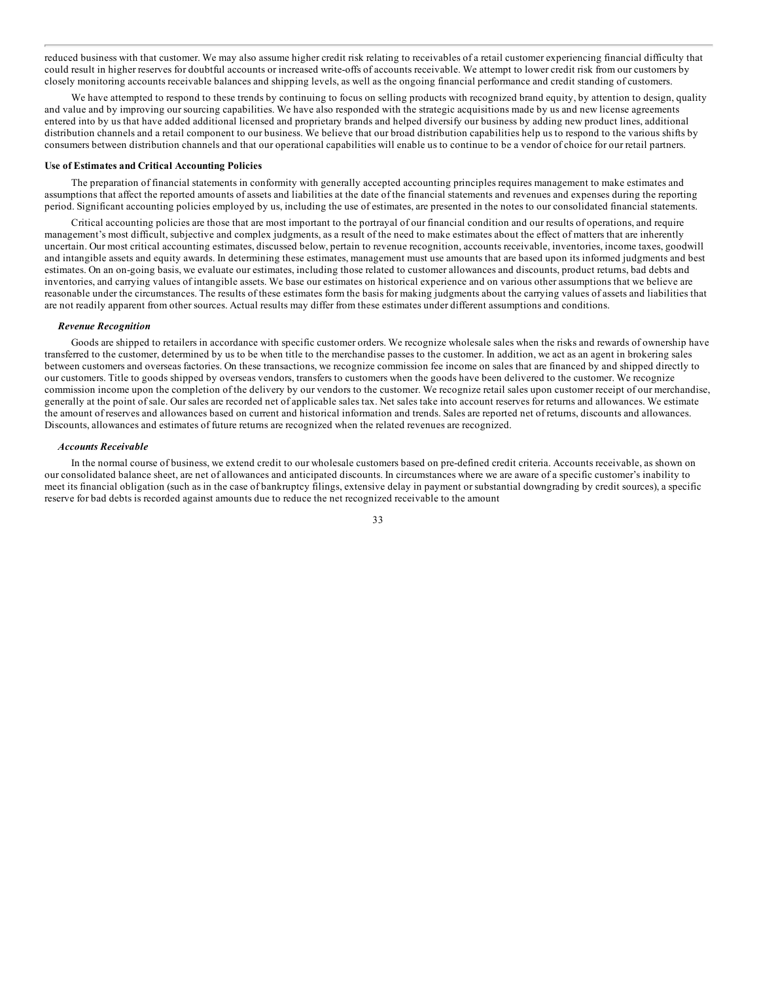reduced business with that customer. We may also assume higher credit risk relating to receivables of a retail customer experiencing financial difficulty that could result in higher reserves for doubtful accounts or increased write-offs of accounts receivable. We attempt to lower credit risk from our customers by closely monitoring accounts receivable balances and shipping levels, as well as the ongoing financial performance and credit standing of customers.

We have attempted to respond to these trends by continuing to focus on selling products with recognized brand equity, by attention to design, quality and value and by improving our sourcing capabilities. We have also responded with the strategic acquisitions made by us and new license agreements entered into by us that have added additional licensed and proprietary brands and helped diversify our business by adding new product lines, additional distribution channels and a retail component to our business. We believe that our broad distribution capabilities help us to respond to the various shifts by consumers between distribution channels and that our operational capabilities will enable us to continue to be a vendor of choice for our retail partners.

#### **Use of Estimates and Critical Accounting Policies**

The preparation of financial statements in conformity with generally accepted accounting principles requires management to make estimates and assumptions that affect the reported amounts of assets and liabilities at the date of the financial statements and revenues and expenses during the reporting period. Significant accounting policies employed by us, including the use of estimates, are presented in the notes to our consolidated financial statements.

Critical accounting policies are those that are most important to the portrayal of our financial condition and our results of operations, and require management's most difficult, subjective and complex judgments, as a result of the need to make estimates about the effect of matters that are inherently uncertain. Our most critical accounting estimates, discussed below, pertain to revenue recognition, accounts receivable, inventories, income taxes, goodwill and intangible assets and equity awards. In determining these estimates, management must use amounts that are based upon its informed judgments and best estimates. On an on-going basis, we evaluate our estimates, including those related to customer allowances and discounts, product returns, bad debts and inventories, and carrying values of intangible assets. We base our estimates on historical experience and on various other assumptions that we believe are reasonable under the circumstances. The results of these estimates form the basis for making judgments about the carrying values of assets and liabilities that are not readily apparent from other sources. Actual results may differ from these estimates under different assumptions and conditions.

## *Revenue Recognition*

Goods are shipped to retailers in accordance with specific customer orders. We recognize wholesale sales when the risks and rewards of ownership have transferred to the customer, determined by us to be when title to the merchandise passes to the customer. In addition, we act as an agent in brokering sales between customers and overseas factories. On these transactions, we recognize commission fee income on sales that are financed by and shipped directly to our customers. Title to goods shipped by overseas vendors, transfers to customers when the goods have been delivered to the customer. We recognize commission income upon the completion of the delivery by our vendors to the customer. We recognize retail sales upon customer receipt of our merchandise, generally at the point of sale. Our sales are recorded net of applicable sales tax. Net sales take into account reserves for returns and allowances. We estimate the amount of reserves and allowances based on current and historical information and trends. Sales are reported net of returns, discounts and allowances. Discounts, allowances and estimates of future returns are recognized when the related revenues are recognized.

#### *Accounts Receivable*

In the normal course of business, we extend credit to our wholesale customers based on pre-defined credit criteria. Accounts receivable, as shown on our consolidated balance sheet, are net of allowances and anticipated discounts. In circumstances where we are aware of a specific customer's inability to meet its financial obligation (such as in the case of bankruptcy filings, extensive delay in payment or substantial downgrading by credit sources), a specific reserve for bad debts is recorded against amounts due to reduce the net recognized receivable to the amount

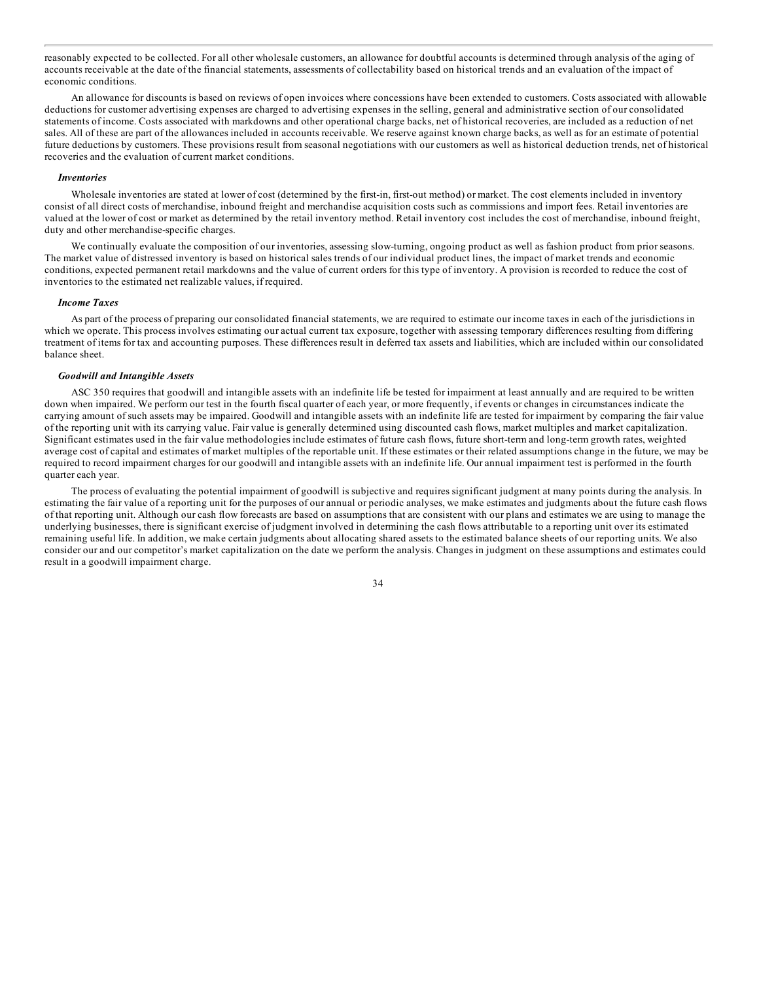reasonably expected to be collected. For all other wholesale customers, an allowance for doubtful accounts is determined through analysis of the aging of accounts receivable at the date of the financial statements, assessments of collectability based on historical trends and an evaluation of the impact of economic conditions.

An allowance for discounts is based on reviews of open invoices where concessions have been extended to customers. Costs associated with allowable deductions for customer advertising expenses are charged to advertising expenses in the selling, general and administrative section of our consolidated statements of income. Costs associated with markdowns and other operational charge backs, net of historical recoveries, are included as a reduction of net sales. All of these are part of the allowances included in accounts receivable. We reserve against known charge backs, as well as for an estimate of potential future deductions by customers. These provisions result from seasonal negotiations with our customers as well as historical deduction trends, net of historical recoveries and the evaluation of current market conditions.

#### *Inventories*

Wholesale inventories are stated at lower of cost (determined by the first-in, first-out method) or market. The cost elements included in inventory consist of all direct costs of merchandise, inbound freight and merchandise acquisition costs such as commissions and import fees. Retail inventories are valued at the lower of cost or market as determined by the retail inventory method. Retail inventory cost includes the cost of merchandise, inbound freight, duty and other merchandise-specific charges.

We continually evaluate the composition of our inventories, assessing slow-turning, ongoing product as well as fashion product from prior seasons. The market value of distressed inventory is based on historical sales trends of our individual product lines, the impact of market trends and economic conditions, expected permanent retail markdowns and the value of current orders for this type of inventory. A provision is recorded to reduce the cost of inventories to the estimated net realizable values, if required.

#### *Income Taxes*

As part of the process of preparing our consolidated financial statements, we are required to estimate our income taxes in each of the jurisdictions in which we operate. This process involves estimating our actual current tax exposure, together with assessing temporary differences resulting from differing treatment of items for tax and accounting purposes. These differences result in deferred tax assets and liabilities, which are included within our consolidated balance sheet.

## *Goodwill and Intangible Assets*

ASC 350 requires that goodwill and intangible assets with an indefinite life be tested for impairment at least annually and are required to be written down when impaired. We perform our test in the fourth fiscal quarter of each year, or more frequently, if events or changes in circumstances indicate the carrying amount of such assets may be impaired. Goodwill and intangible assets with an indefinite life are tested for impairment by comparing the fair value of the reporting unit with its carrying value. Fair value is generally determined using discounted cash flows, market multiples and market capitalization. Significant estimates used in the fair value methodologies include estimates of future cash flows, future short-term and long-term growth rates, weighted average cost of capital and estimates of market multiples of the reportable unit. If these estimates or their related assumptions change in the future, we may be required to record impairment charges for our goodwill and intangible assets with an indefinite life. Our annual impairment test is performed in the fourth quarter each year.

The process of evaluating the potential impairment of goodwill is subjective and requires significant judgment at many points during the analysis. In estimating the fair value of a reporting unit for the purposes of our annual or periodic analyses, we make estimates and judgments about the future cash flows of that reporting unit. Although our cash flow forecasts are based on assumptions that are consistent with our plans and estimates we are using to manage the underlying businesses, there is significant exercise of judgment involved in determining the cash flows attributable to a reporting unit over its estimated remaining useful life. In addition, we make certain judgments about allocating shared assets to the estimated balance sheets of our reporting units. We also consider our and our competitor's market capitalization on the date we perform the analysis. Changes in judgment on these assumptions and estimates could result in a goodwill impairment charge.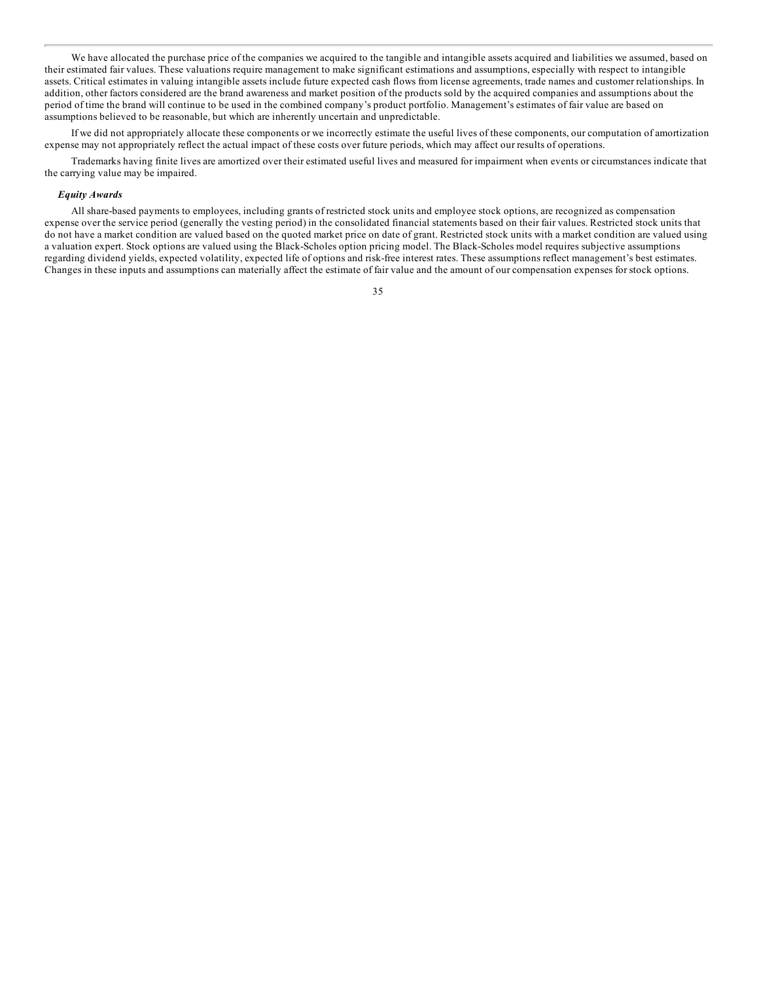We have allocated the purchase price of the companies we acquired to the tangible and intangible assets acquired and liabilities we assumed, based on their estimated fair values. These valuations require management to make significant estimations and assumptions, especially with respect to intangible assets. Critical estimates in valuing intangible assets include future expected cash flows from license agreements, trade names and customer relationships. In addition, other factors considered are the brand awareness and market position of the products sold by the acquired companies and assumptions about the period of time the brand will continue to be used in the combined company's product portfolio. Management's estimates of fair value are based on assumptions believed to be reasonable, but which are inherently uncertain and unpredictable.

If we did not appropriately allocate these components or we incorrectly estimate the useful lives of these components, our computation of amortization expense may not appropriately reflect the actual impact of these costs over future periods, which may affect our results of operations.

Trademarks having finite lives are amortized over their estimated useful lives and measured for impairment when events or circumstances indicate that the carrying value may be impaired.

#### *Equity Awards*

All share-based payments to employees, including grants of restricted stock units and employee stock options, are recognized as compensation expense over the service period (generally the vesting period) in the consolidated financial statements based on their fair values. Restricted stock units that do not have a market condition are valued based on the quoted market price on date of grant. Restricted stock units with a market condition are valued using a valuation expert. Stock options are valued using the Black-Scholes option pricing model. The Black-Scholes model requires subjective assumptions regarding dividend yields, expected volatility, expected life of options and risk-free interest rates. These assumptions reflect management's best estimates. Changes in these inputs and assumptions can materially affect the estimate of fair value and the amount of our compensation expenses for stock options.

<sup>35</sup>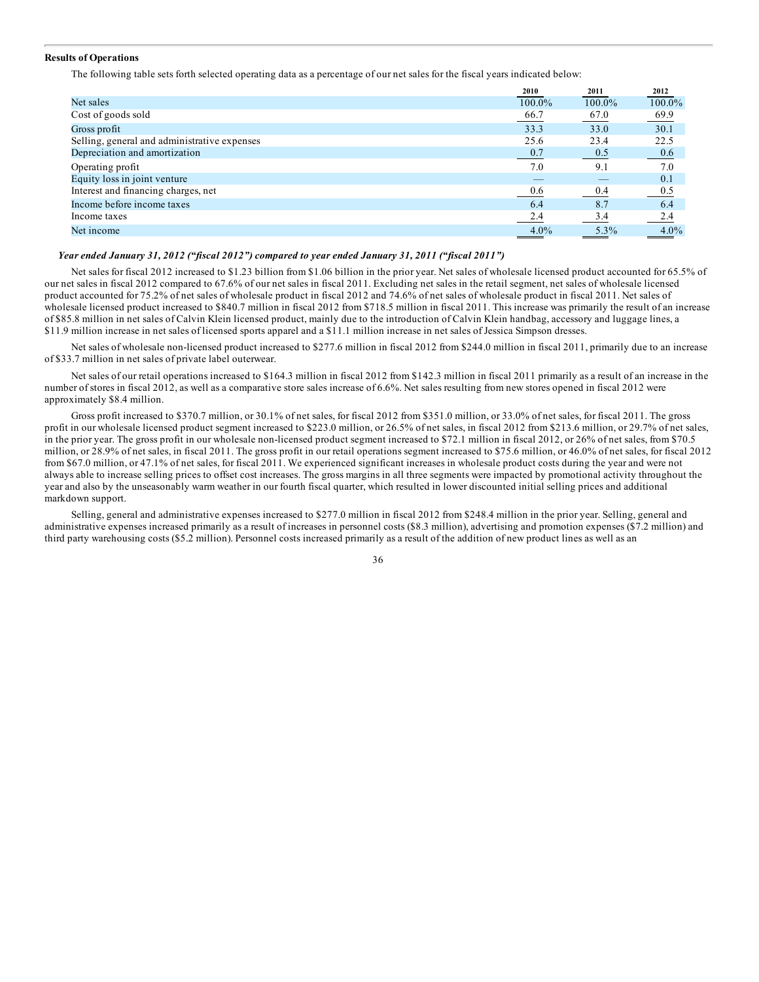#### **Results of Operations**

The following table sets forth selected operating data as a percentage of our net sales for the fiscal years indicated below:

|                                              | 2010          | 2011          | 2012          |
|----------------------------------------------|---------------|---------------|---------------|
| Net sales                                    | 100.0%        | 100.0%        | 100.0%        |
| Cost of goods sold                           | <u>66.7</u>   | 67.0          | 69.9          |
| Gross profit                                 | 33.3          | 33.0          | 30.1          |
| Selling, general and administrative expenses | 25.6          | 23.4          | 22.5          |
| Depreciation and amortization                | $\boxed{0.7}$ | $\boxed{0.5}$ | $\boxed{0.6}$ |
| Operating profit                             | 7.0           | 9.1           | 7.0           |
| Equity loss in joint venture                 |               |               | 0.1           |
| Interest and financing charges, net          | 0.6           | 0.4           | 0.5           |
| Income before income taxes                   | 6.4           | 8.7           | 6.4           |
| Income taxes                                 | 2.4           | 3.4           | 2.4           |
| Net income                                   | $4.0\%$       | $5.3\%$       | 4.0%          |

## *Year ended January 31, 2012 ("fiscal 2012") compared to year ended January 31, 2011 ("fiscal 2011")*

Net sales for fiscal 2012 increased to \$1.23 billion from \$1.06 billion in the prior year. Net sales of wholesale licensed product accounted for 65.5% of our net sales in fiscal 2012 compared to 67.6% of our net sales in fiscal 2011. Excluding net sales in the retail segment, net sales of wholesale licensed product accounted for 75.2% of net sales of wholesale product in fiscal 2012 and 74.6% of net sales of wholesale product in fiscal 2011. Net sales of wholesale licensed product increased to \$840.7 million in fiscal 2012 from \$718.5 million in fiscal 2011. This increase was primarily the result of an increase of \$85.8 million in net sales of Calvin Klein licensed product, mainly due to the introduction of Calvin Klein handbag, accessory and luggage lines, a \$11.9 million increase in net sales of licensed sports apparel and a \$11.1 million increase in net sales of Jessica Simpson dresses.

Net sales of wholesale non-licensed product increased to \$277.6 million in fiscal 2012 from \$244.0 million in fiscal 2011, primarily due to an increase of \$33.7 million in net sales of private label outerwear.

Net sales of our retail operations increased to \$164.3 million in fiscal 2012 from \$142.3 million in fiscal 2011 primarily as a result of an increase in the number of stores in fiscal 2012, as well as a comparative store sales increase of 6.6%. Net sales resulting from new stores opened in fiscal 2012 were approximately \$8.4 million.

Gross profit increased to \$370.7 million, or 30.1% of net sales, for fiscal 2012 from \$351.0 million, or 33.0% of net sales, for fiscal 2011. The gross profit in our wholesale licensed product segment increased to \$223.0 million, or 26.5% of net sales, in fiscal 2012 from \$213.6 million, or 29.7% of net sales, in the prior year. The gross profit in our wholesale non-licensed product segment increased to \$72.1 million in fiscal 2012, or 26% of net sales, from \$70.5 million, or 28.9% of net sales, in fiscal 2011. The gross profit in our retail operations segment increased to \$75.6 million, or 46.0% of net sales, for fiscal 2012 from \$67.0 million, or 47.1% of net sales, for fiscal 2011. We experienced significant increases in wholesale product costs during the year and were not always able to increase selling prices to offset cost increases. The gross margins in all three segments were impacted by promotional activity throughout the year and also by the unseasonably warm weather in our fourth fiscal quarter, which resulted in lower discounted initial selling prices and additional markdown support.

Selling, general and administrative expenses increased to \$277.0 million in fiscal 2012 from \$248.4 million in the prior year. Selling, general and administrative expenses increased primarily as a result of increases in personnel costs (\$8.3 million), advertising and promotion expenses (\$7.2 million) and third party warehousing costs (\$5.2 million). Personnel costs increased primarily as a result of the addition of new product lines as well as an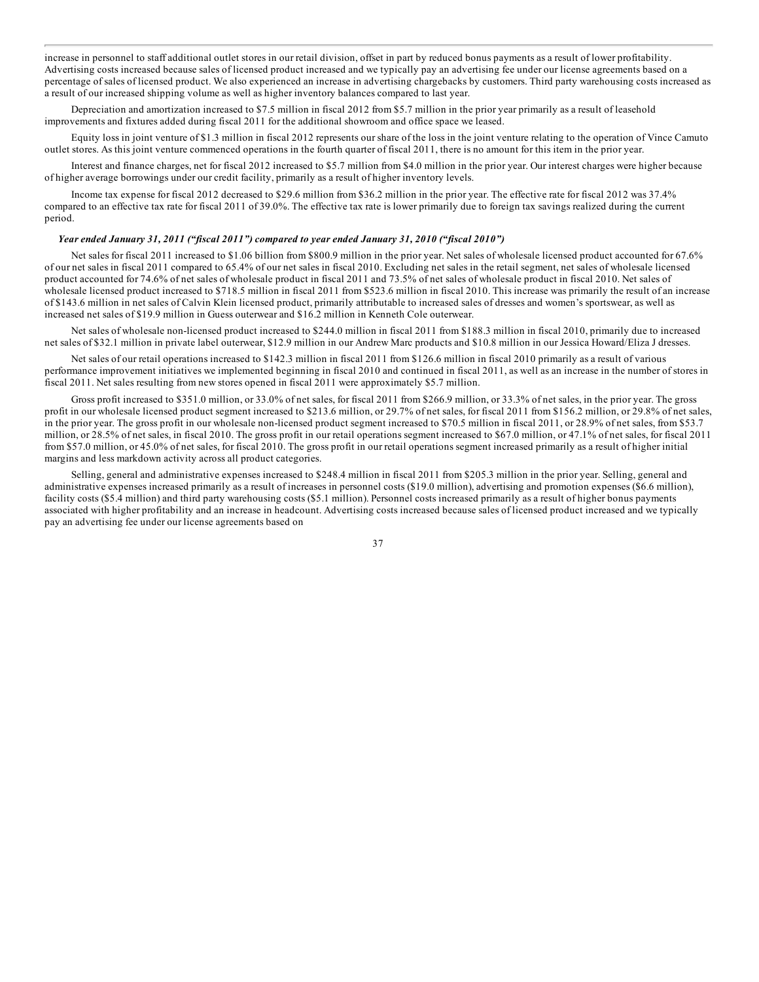increase in personnel to staff additional outlet stores in our retail division, offset in part by reduced bonus payments as a result of lower profitability. Advertising costs increased because sales of licensed product increased and we typically pay an advertising fee under our license agreements based on a percentage of sales of licensed product. We also experienced an increase in advertising chargebacks by customers. Third party warehousing costs increased as a result of our increased shipping volume as well as higher inventory balances compared to last year.

Depreciation and amortization increased to \$7.5 million in fiscal 2012 from \$5.7 million in the prior year primarily as a result of leasehold improvements and fixtures added during fiscal 2011 for the additional showroom and office space we leased.

Equity loss in joint venture of \$1.3 million in fiscal 2012 represents our share of the loss in the joint venture relating to the operation of Vince Camuto outlet stores. As this joint venture commenced operations in the fourth quarter of fiscal 2011, there is no amount for this item in the prior year.

Interest and finance charges, net for fiscal 2012 increased to \$5.7 million from \$4.0 million in the prior year. Our interest charges were higher because of higher average borrowings under our credit facility, primarily as a result of higher inventory levels.

Income tax expense for fiscal 2012 decreased to \$29.6 million from \$36.2 million in the prior year. The effective rate for fiscal 2012 was 37.4% compared to an effective tax rate for fiscal 2011 of 39.0%. The effective tax rate is lower primarily due to foreign tax savings realized during the current period.

#### *Year ended January 31, 2011 ("fiscal 2011") compared to year ended January 31, 2010 ("fiscal 2010")*

Net sales for fiscal 2011 increased to \$1.06 billion from \$800.9 million in the prior year. Net sales of wholesale licensed product accounted for 67.6% of our net sales in fiscal 2011 compared to 65.4% of our net sales in fiscal 2010. Excluding net sales in the retail segment, net sales of wholesale licensed product accounted for 74.6% of net sales of wholesale product in fiscal 2011 and 73.5% of net sales of wholesale product in fiscal 2010. Net sales of wholesale licensed product increased to \$718.5 million in fiscal 2011 from \$523.6 million in fiscal 2010. This increase was primarily the result of an increase of \$143.6 million in net sales of Calvin Klein licensed product, primarily attributable to increased sales of dresses and women's sportswear, as well as increased net sales of \$19.9 million in Guess outerwear and \$16.2 million in Kenneth Cole outerwear.

Net sales of wholesale non-licensed product increased to \$244.0 million in fiscal 2011 from \$188.3 million in fiscal 2010, primarily due to increased net sales of \$32.1 million in private label outerwear, \$12.9 million in our Andrew Marc products and \$10.8 million in our Jessica Howard/Eliza J dresses.

Net sales of our retail operations increased to \$142.3 million in fiscal 2011 from \$126.6 million in fiscal 2010 primarily as a result of various performance improvement initiatives we implemented beginning in fiscal 2010 and continued in fiscal 2011, as well as an increase in the number of stores in fiscal 2011. Net sales resulting from new stores opened in fiscal 2011 were approximately \$5.7 million.

Gross profit increased to \$351.0 million, or 33.0% of net sales, for fiscal 2011 from \$266.9 million, or 33.3% of net sales, in the prior year. The gross profit in our wholesale licensed product segment increased to \$213.6 million, or 29.7% of net sales, for fiscal 2011 from \$156.2 million, or 29.8% of net sales, in the prior year. The gross profit in our wholesale non-licensed product segment increased to \$70.5 million in fiscal 2011, or 28.9% of net sales, from \$53.7 million, or 28.5% of net sales, in fiscal 2010. The gross profit in our retail operations segment increased to \$67.0 million, or 47.1% of net sales, for fiscal 2011 from \$57.0 million, or 45.0% of net sales, for fiscal 2010. The gross profit in our retail operations segment increased primarily as a result of higher initial margins and less markdown activity across all product categories.

Selling, general and administrative expenses increased to \$248.4 million in fiscal 2011 from \$205.3 million in the prior year. Selling, general and administrative expenses increased primarily as a result of increases in personnel costs (\$19.0 million), advertising and promotion expenses (\$6.6 million), facility costs (\$5.4 million) and third party warehousing costs (\$5.1 million). Personnel costs increased primarily as a result of higher bonus payments associated with higher profitability and an increase in headcount. Advertising costs increased because sales of licensed product increased and we typically pay an advertising fee under our license agreements based on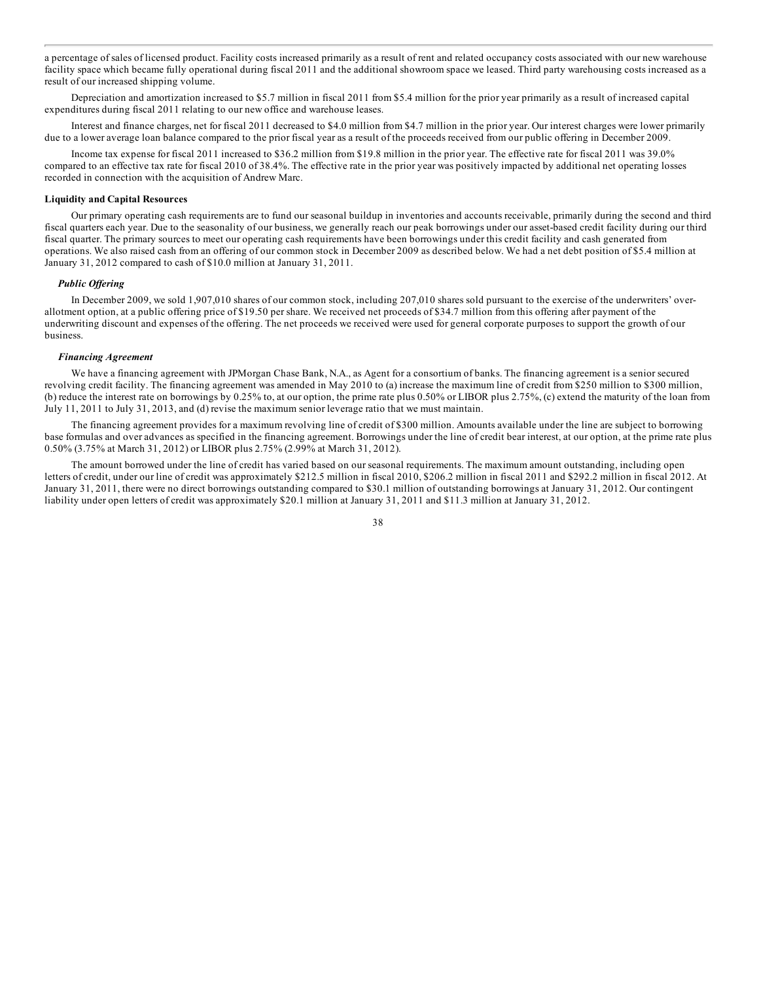a percentage of sales of licensed product. Facility costs increased primarily as a result of rent and related occupancy costs associated with our new warehouse facility space which became fully operational during fiscal 2011 and the additional showroom space we leased. Third party warehousing costs increased as a result of our increased shipping volume.

Depreciation and amortization increased to \$5.7 million in fiscal 2011 from \$5.4 million for the prior year primarily as a result of increased capital expenditures during fiscal 2011 relating to our new office and warehouse leases.

Interest and finance charges, net for fiscal 2011 decreased to \$4.0 million from \$4.7 million in the prior year. Our interest charges were lower primarily due to a lower average loan balance compared to the prior fiscal year as a result of the proceeds received from our public offering in December 2009.

Income tax expense for fiscal 2011 increased to \$36.2 million from \$19.8 million in the prior year. The effective rate for fiscal 2011 was 39.0% compared to an effective tax rate for fiscal 2010 of 38.4%. The effective rate in the prior year was positively impacted by additional net operating losses recorded in connection with the acquisition of Andrew Marc.

#### **Liquidity and Capital Resources**

Our primary operating cash requirements are to fund our seasonal buildup in inventories and accounts receivable, primarily during the second and third fiscal quarters each year. Due to the seasonality of our business, we generally reach our peak borrowings under our asset-based credit facility during our third fiscal quarter. The primary sources to meet our operating cash requirements have been borrowings under this credit facility and cash generated from operations. We also raised cash from an offering of our common stock in December 2009 as described below. We had a net debt position of \$5.4 million at January 31, 2012 compared to cash of \$10.0 million at January 31, 2011.

#### *Public Of ering*

In December 2009, we sold 1,907,010 shares of our common stock, including 207,010 shares sold pursuant to the exercise of the underwriters' overallotment option, at a public offering price of \$19.50 per share. We received net proceeds of \$34.7 million from this offering after payment of the underwriting discount and expenses of the offering. The net proceeds we received were used for general corporate purposes to support the growth of our business.

#### *Financing Agreement*

We have a financing agreement with JPMorgan Chase Bank, N.A., as Agent for a consortium of banks. The financing agreement is a senior secured revolving credit facility. The financing agreement was amended in May 2010 to (a) increase the maximum line of credit from \$250 million to \$300 million, (b) reduce the interest rate on borrowings by 0.25% to, at our option, the prime rate plus 0.50% or LIBOR plus 2.75%, (c) extend the maturity of the loan from July 11, 2011 to July 31, 2013, and (d) revise the maximum senior leverage ratio that we must maintain.

The financing agreement provides for a maximum revolving line of credit of \$300 million. Amounts available under the line are subject to borrowing base formulas and over advances as specified in the financing agreement. Borrowings under the line of credit bear interest, at our option, at the prime rate plus 0.50% (3.75% at March 31, 2012) or LIBOR plus 2.75% (2.99% at March 31, 2012).

The amount borrowed under the line of credit has varied based on our seasonal requirements. The maximum amount outstanding, including open letters of credit, under our line of credit was approximately \$212.5 million in fiscal 2010, \$206.2 million in fiscal 2011 and \$292.2 million in fiscal 2012. At January 31, 2011, there were no direct borrowings outstanding compared to \$30.1 million of outstanding borrowings at January 31, 2012. Our contingent liability under open letters of credit was approximately \$20.1 million at January 31, 2011 and \$11.3 million at January 31, 2012.

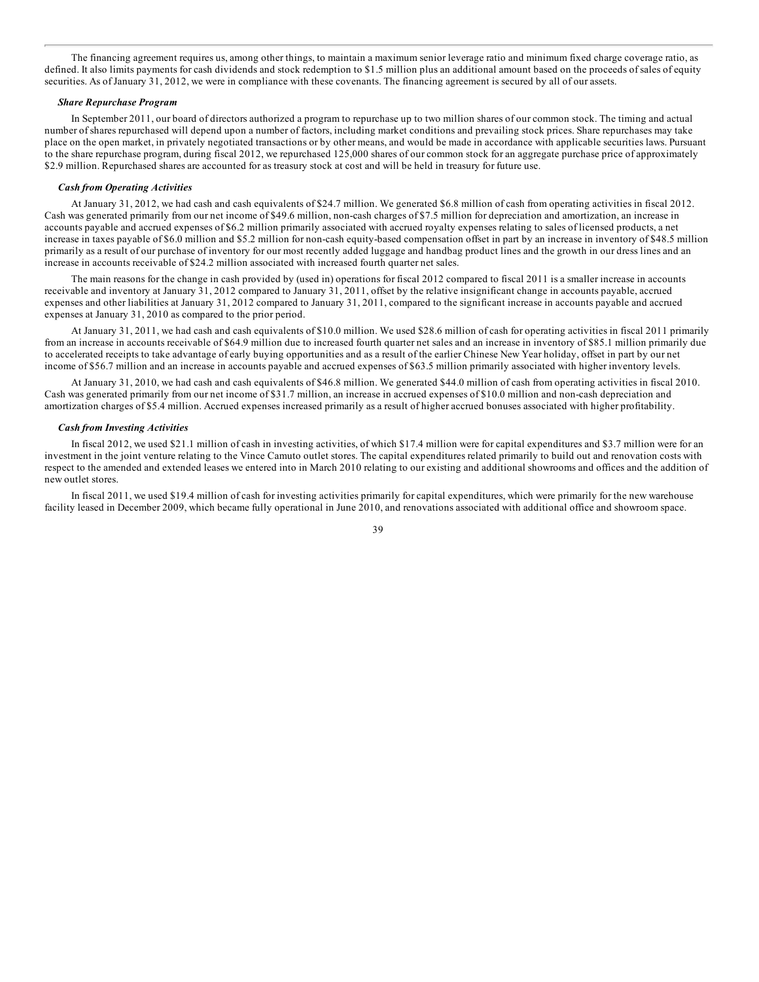The financing agreement requires us, among other things, to maintain a maximum senior leverage ratio and minimum fixed charge coverage ratio, as defined. It also limits payments for cash dividends and stock redemption to \$1.5 million plus an additional amount based on the proceeds of sales of equity securities. As of January 31, 2012, we were in compliance with these covenants. The financing agreement is secured by all of our assets.

#### *Share Repurchase Program*

In September 2011, our board of directors authorized a program to repurchase up to two million shares of our common stock. The timing and actual number of shares repurchased will depend upon a number of factors, including market conditions and prevailing stock prices. Share repurchases may take place on the open market, in privately negotiated transactions or by other means, and would be made in accordance with applicable securities laws. Pursuant to the share repurchase program, during fiscal 2012, we repurchased 125,000 shares of our common stock for an aggregate purchase price of approximately \$2.9 million. Repurchased shares are accounted for as treasury stock at cost and will be held in treasury for future use.

#### *Cash from Operating Activities*

At January 31, 2012, we had cash and cash equivalents of \$24.7 million. We generated \$6.8 million of cash from operating activities in fiscal 2012. Cash was generated primarily from our net income of \$49.6 million, non-cash charges of \$7.5 million for depreciation and amortization, an increase in accounts payable and accrued expenses of \$6.2 million primarily associated with accrued royalty expenses relating to sales of licensed products, a net increase in taxes payable of \$6.0 million and \$5.2 million for non-cash equity-based compensation offset in part by an increase in inventory of \$48.5 million primarily as a result of our purchase of inventory for our most recently added luggage and handbag product lines and the growth in our dress lines and an increase in accounts receivable of \$24.2 million associated with increased fourth quarter net sales.

The main reasons for the change in cash provided by (used in) operations for fiscal 2012 compared to fiscal 2011 is a smaller increase in accounts receivable and inventory at January 31, 2012 compared to January 31, 2011, offset by the relative insignificant change in accounts payable, accrued expenses and other liabilities at January 31, 2012 compared to January 31, 2011, compared to the significant increase in accounts payable and accrued expenses at January 31, 2010 as compared to the prior period.

At January 31, 2011, we had cash and cash equivalents of \$10.0 million. We used \$28.6 million of cash for operating activities in fiscal 2011 primarily from an increase in accounts receivable of \$64.9 million due to increased fourth quarter net sales and an increase in inventory of \$85.1 million primarily due to accelerated receipts to take advantage of early buying opportunities and as a result of the earlier Chinese New Year holiday, offset in part by our net income of \$56.7 million and an increase in accounts payable and accrued expenses of \$63.5 million primarily associated with higher inventory levels.

At January 31, 2010, we had cash and cash equivalents of \$46.8 million. We generated \$44.0 million of cash from operating activities in fiscal 2010. Cash was generated primarily from our net income of \$31.7 million, an increase in accrued expenses of \$10.0 million and non-cash depreciation and amortization charges of \$5.4 million. Accrued expenses increased primarily as a result of higher accrued bonuses associated with higher profitability.

#### *Cash from Investing Activities*

In fiscal 2012, we used \$21.1 million of cash in investing activities, of which \$17.4 million were for capital expenditures and \$3.7 million were for an investment in the joint venture relating to the Vince Camuto outlet stores. The capital expenditures related primarily to build out and renovation costs with respect to the amended and extended leases we entered into in March 2010 relating to our existing and additional showrooms and offices and the addition of new outlet stores.

In fiscal 2011, we used \$19.4 million of cash for investing activities primarily for capital expenditures, which were primarily for the new warehouse facility leased in December 2009, which became fully operational in June 2010, and renovations associated with additional office and showroom space.

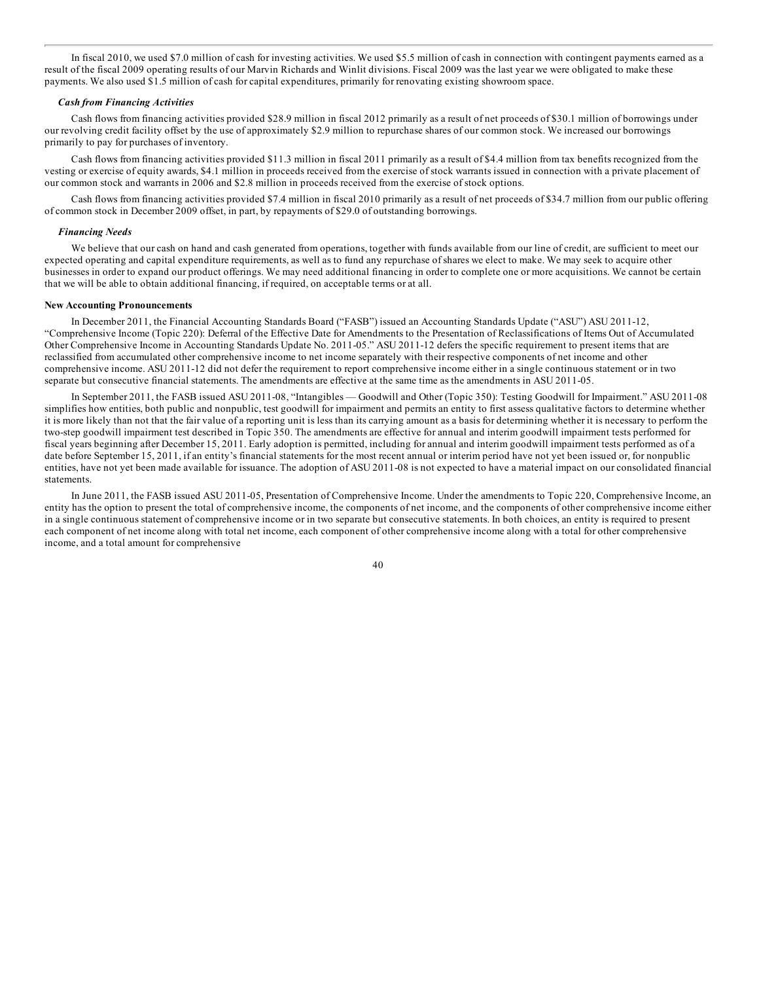In fiscal 2010, we used \$7.0 million of cash for investing activities. We used \$5.5 million of cash in connection with contingent payments earned as a result of the fiscal 2009 operating results of our Marvin Richards and Winlit divisions. Fiscal 2009 was the last year we were obligated to make these payments. We also used \$1.5 million of cash for capital expenditures, primarily for renovating existing showroom space.

#### *Cash from Financing Activities*

Cash flows from financing activities provided \$28.9 million in fiscal 2012 primarily as a result of net proceeds of \$30.1 million of borrowings under our revolving credit facility offset by the use of approximately \$2.9 million to repurchase shares of our common stock. We increased our borrowings primarily to pay for purchases of inventory.

Cash flows from financing activities provided \$11.3 million in fiscal 2011 primarily as a result of \$4.4 million from tax benefits recognized from the vesting or exercise of equity awards, \$4.1 million in proceeds received from the exercise of stock warrants issued in connection with a private placement of our common stock and warrants in 2006 and \$2.8 million in proceeds received from the exercise of stock options.

Cash flows from financing activities provided \$7.4 million in fiscal 2010 primarily as a result of net proceeds of \$34.7 million from our public offering of common stock in December 2009 offset, in part, by repayments of \$29.0 of outstanding borrowings.

#### *Financing Needs*

We believe that our cash on hand and cash generated from operations, together with funds available from our line of credit, are sufficient to meet our expected operating and capital expenditure requirements, as well as to fund any repurchase of shares we elect to make. We may seek to acquire other businesses in order to expand our product offerings. We may need additional financing in order to complete one or more acquisitions. We cannot be certain that we will be able to obtain additional financing, if required, on acceptable terms or at all.

#### **New Accounting Pronouncements**

In December 2011, the Financial Accounting Standards Board ("FASB") issued an Accounting Standards Update ("ASU") ASU 2011-12, "Comprehensive Income (Topic 220): Deferral of the Effective Date for Amendments to the Presentation of Reclassifications of Items Out of Accumulated Other Comprehensive Income in Accounting Standards Update No. 2011-05." ASU 2011-12 defers the specific requirement to present items that are reclassified from accumulated other comprehensive income to net income separately with their respective components of net income and other comprehensive income. ASU 2011-12 did not defer the requirement to report comprehensive income either in a single continuous statement or in two separate but consecutive financial statements. The amendments are effective at the same time as the amendments in ASU 2011-05.

In September 2011, the FASB issued ASU 2011-08, "Intangibles — Goodwill and Other (Topic 350): Testing Goodwill for Impairment." ASU 2011-08 simplifies how entities, both public and nonpublic, test goodwill for impairment and permits an entity to first assess qualitative factors to determine whether it is more likely than not that the fair value of a reporting unit is less than its carrying amount as a basis for determining whether it is necessary to perform the two-step goodwill impairment test described in Topic 350. The amendments are effective for annual and interim goodwill impairment tests performed for fiscal years beginning after December 15, 2011. Early adoption is permitted, including for annual and interim goodwill impairment tests performed as of a date before September 15, 2011, if an entity's financial statements for the most recent annual or interim period have not yet been issued or, for nonpublic entities, have not yet been made available for issuance. The adoption of ASU 2011-08 is not expected to have a material impact on our consolidated financial statements.

In June 2011, the FASB issued ASU 2011-05, Presentation of Comprehensive Income. Under the amendments to Topic 220, Comprehensive Income, an entity has the option to present the total of comprehensive income, the components of net income, and the components of other comprehensive income either in a single continuous statement of comprehensive income or in two separate but consecutive statements. In both choices, an entity is required to present each component of net income along with total net income, each component of other comprehensive income along with a total for other comprehensive income, and a total amount for comprehensive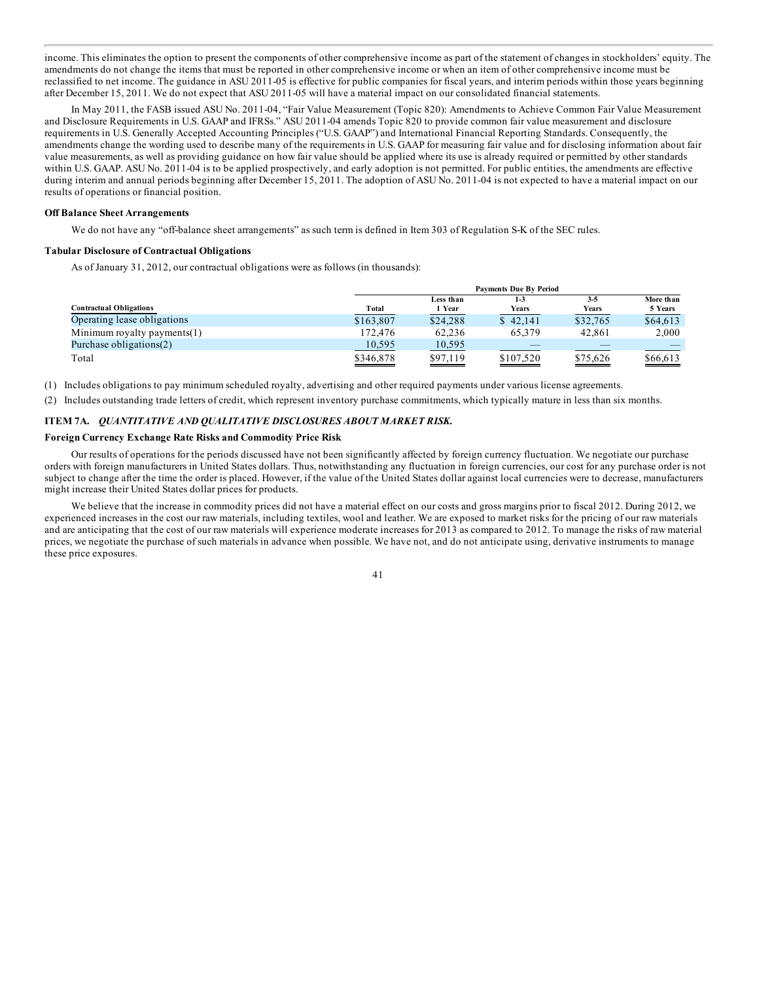income. This eliminates the option to present the components of other comprehensive income as part of the statement of changes in stockholders' equity. The amendments do not change the items that must be reported in other comprehensive income or when an item of other comprehensive income must be reclassified to net income. The guidance in ASU 2011-05 is effective for public companies for fiscal years, and interim periods within those years beginning after December 15, 2011. We do not expect that ASU 2011-05 will have a material impact on our consolidated financial statements.

In May 2011, the FASB issued ASU No. 2011-04, "Fair Value Measurement (Topic 820): Amendments to Achieve Common Fair Value Measurement and Disclosure Requirements in U.S. GAAP and IFRSs." ASU 2011-04 amends Topic 820 to provide common fair value measurement and disclosure requirements in U.S. Generally Accepted Accounting Principles ("U.S. GAAP") and International Financial Reporting Standards. Consequently, the amendments change the wording used to describe many of the requirements in U.S. GAAP for measuring fair value and for disclosing information about fair value measurements, as well as providing guidance on how fair value should be applied where its use is already required or permitted by other standards within U.S. GAAP. ASU No. 2011-04 is to be applied prospectively, and early adoption is not permitted. For public entities, the amendments are effective during interim and annual periods beginning after December 15, 2011. The adoption of ASU No. 2011-04 is not expected to have a material impact on our results of operations or financial position.

#### **Off Balance Sheet Arrangements**

We do not have any "off-balance sheet arrangements" as such term is defined in Item 303 of Regulation S-K of the SEC rules.

#### **Tabular Disclosure of Contractual Obligations**

As of January 31, 2012, our contractual obligations were as follows (in thousands):

|                                |                    |           | <b>Payments Due By Period</b> |                |           |
|--------------------------------|--------------------|-----------|-------------------------------|----------------|-----------|
|                                |                    | Less than | $1-3$                         | $3-5$          | More than |
| <b>Contractual Obligations</b> | Total              | 1 Year    | Years                         | Years          | 5 Years   |
| Operating lease obligations    | \$163,807          | \$24,288  | \$42.141                      | \$32,765       | \$64,613  |
| Minimum royalty payments $(1)$ | 172,476            | 62.236    | 65,379                        | 42,861         | 2,000     |
| Purchase obligations(2)        | <u>10,595</u>      | 10,595    |                               |                |           |
| Total                          | \$346,878<br>_____ | \$97,119  | \$107,520                     | \$75,626<br>—— | \$66,613  |

(1) Includes obligations to pay minimum scheduled royalty, advertising and other required payments under various license agreements.

(2) Includes outstanding trade letters of credit, which represent inventory purchase commitments, which typically mature in less than six months.

### **ITEM 7A.** *QUANTITATIVE AND QUALITATIVE DISCLOSURES ABOUT MARKET RISK.*

#### **Foreign Currency Exchange Rate Risks and Commodity Price Risk**

Our results of operations for the periods discussed have not been significantly affected by foreign currency fluctuation. We negotiate our purchase orders with foreign manufacturers in United States dollars. Thus, notwithstanding any fluctuation in foreign currencies, our cost for any purchase order is not subject to change after the time the order is placed. However, if the value of the United States dollar against local currencies were to decrease, manufacturers might increase their United States dollar prices for products.

We believe that the increase in commodity prices did not have a material effect on our costs and gross margins prior to fiscal 2012. During 2012, we experienced increases in the cost our raw materials, including textiles, wool and leather. We are exposed to market risks for the pricing of our raw materials and are anticipating that the cost of our raw materials will experience moderate increases for 2013 as compared to 2012. To manage the risks of raw material prices, we negotiate the purchase of such materials in advance when possible. We have not, and do not anticipate using, derivative instruments to manage these price exposures.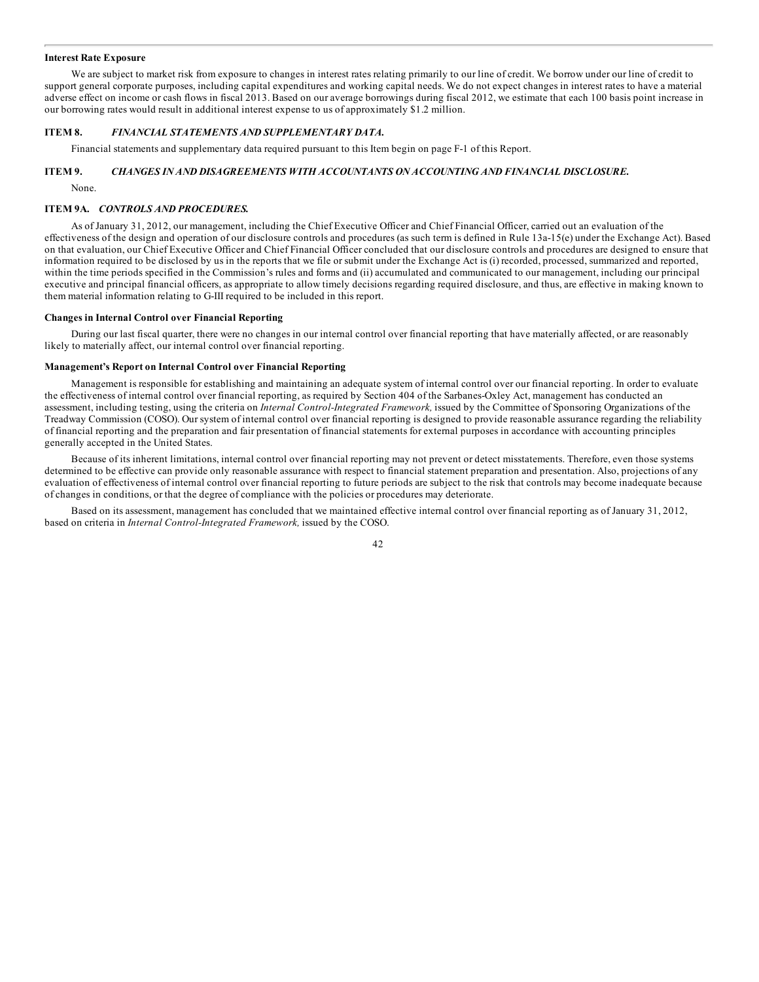#### **Interest Rate Exposure**

We are subject to market risk from exposure to changes in interest rates relating primarily to our line of credit. We borrow under our line of credit to support general corporate purposes, including capital expenditures and working capital needs. We do not expect changes in interest rates to have a material adverse effect on income or cash flows in fiscal 2013. Based on our average borrowings during fiscal 2012, we estimate that each 100 basis point increase in our borrowing rates would result in additional interest expense to us of approximately \$1.2 million.

#### **ITEM 8.** *FINANCIAL STATEMENTS AND SUPPLEMENTARY DATA.*

Financial statements and supplementary data required pursuant to this Item begin on page F-1 of this Report.

## **ITEM 9.** *CHANGES IN AND DISAGREEMENTS WITH ACCOUNTANTS ON ACCOUNTING AND FINANCIAL DISCLOSURE.*

None.

#### **ITEM 9A.** *CONTROLS AND PROCEDURES.*

As of January 31, 2012, our management, including the Chief Executive Officer and Chief Financial Officer, carried out an evaluation of the effectiveness of the design and operation of our disclosure controls and procedures (as such term is defined in Rule 13a-15(e) under the Exchange Act). Based on that evaluation, our Chief Executive Officer and Chief Financial Officer concluded that our disclosure controls and procedures are designed to ensure that information required to be disclosed by us in the reports that we file or submit under the Exchange Act is (i) recorded, processed, summarized and reported, within the time periods specified in the Commission's rules and forms and (ii) accumulated and communicated to our management, including our principal executive and principal financial officers, as appropriate to allow timely decisions regarding required disclosure, and thus, are effective in making known to them material information relating to G-III required to be included in this report.

#### **Changes in Internal Control over Financial Reporting**

During our last fiscal quarter, there were no changes in our internal control over financial reporting that have materially affected, or are reasonably likely to materially affect, our internal control over financial reporting.

#### **Management's Report on Internal Control over Financial Reporting**

Management is responsible for establishing and maintaining an adequate system of internal control over our financial reporting. In order to evaluate the effectiveness of internal control over financial reporting, as required by Section 404 of the Sarbanes-Oxley Act, management has conducted an assessment, including testing, using the criteria on *Internal Control-Integrated Framework,* issued by the Committee of Sponsoring Organizations of the Treadway Commission (COSO). Our system of internal control over financial reporting is designed to provide reasonable assurance regarding the reliability of financial reporting and the preparation and fair presentation of financial statements for external purposes in accordance with accounting principles generally accepted in the United States.

Because of its inherent limitations, internal control over financial reporting may not prevent or detect misstatements. Therefore, even those systems determined to be effective can provide only reasonable assurance with respect to financial statement preparation and presentation. Also, projections of any evaluation of effectiveness of internal control over financial reporting to future periods are subject to the risk that controls may become inadequate because of changes in conditions, or that the degree of compliance with the policies or procedures may deteriorate.

Based on its assessment, management has concluded that we maintained effective internal control over financial reporting as of January 31, 2012, based on criteria in *Internal Control-Integrated Framework,* issued by the COSO.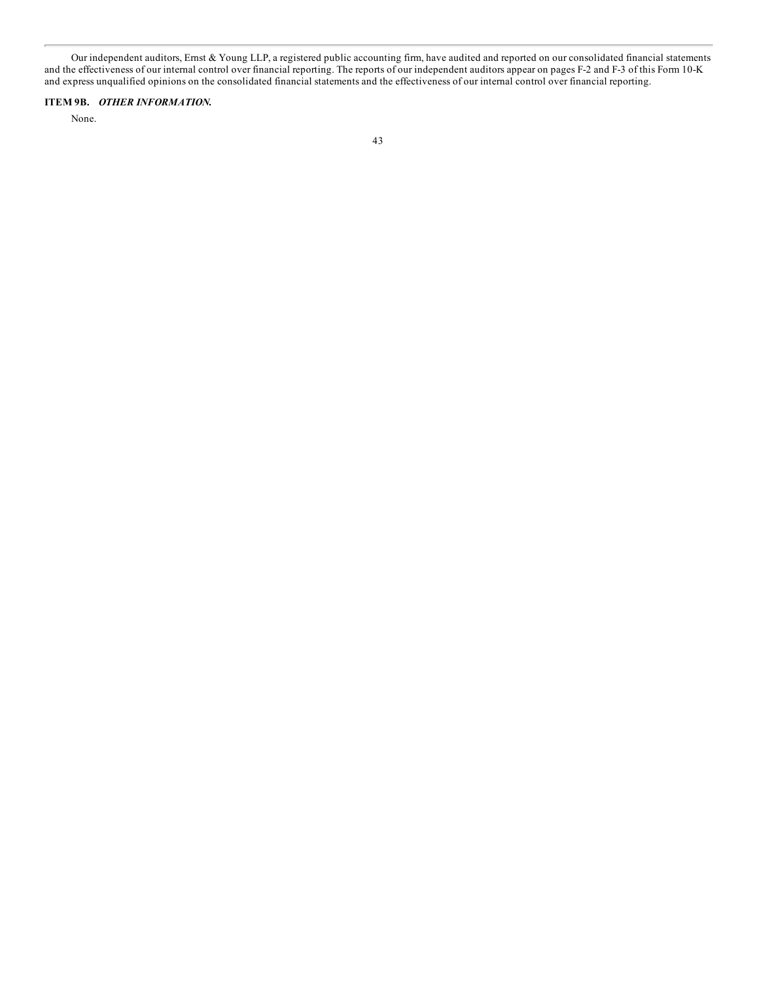Our independent auditors, Ernst & Young LLP, a registered public accounting firm, have audited and reported on our consolidated financial statements and the effectiveness of our internal control over financial reporting. The reports of our independent auditors appear on pages F-2 and F-3 of this Form 10-K and express unqualified opinions on the consolidated financial statements and the effectiveness of our internal control over financial reporting.

# **ITEM 9B.** *OTHER INFORMATION.*

None.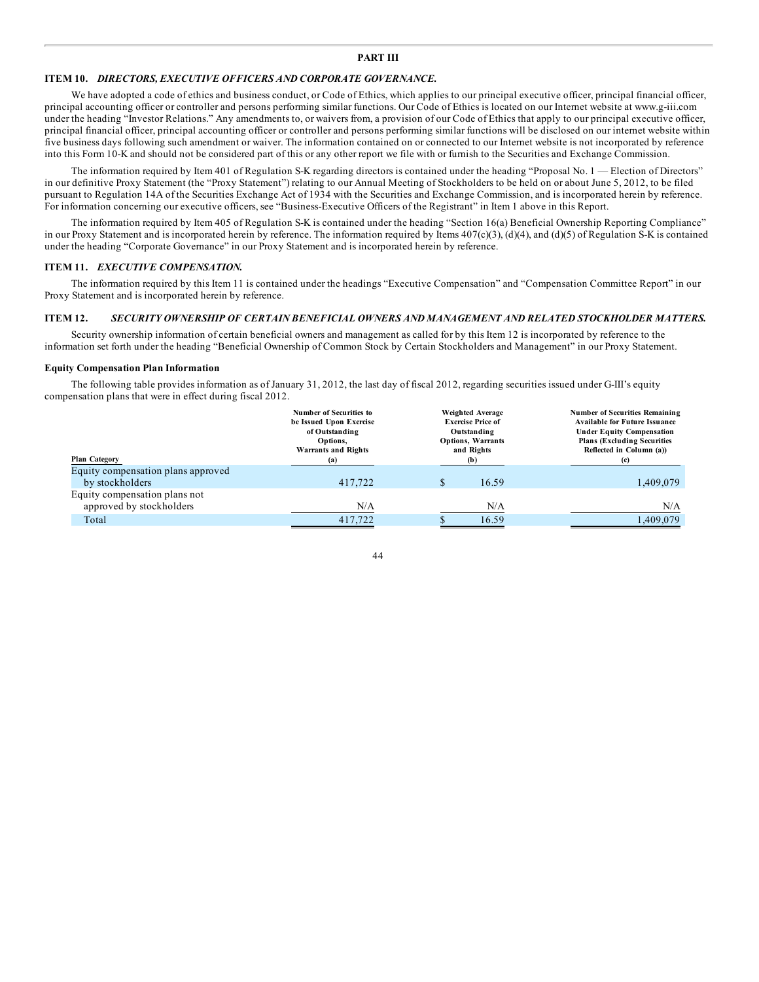### **ITEM 10.** *DIRECTORS, EXECUTIVE OFFICERS AND CORPORATE GOVERNANCE.*

We have adopted a code of ethics and business conduct, or Code of Ethics, which applies to our principal executive officer, principal financial officer, principal accounting officer or controller and persons performing similar functions. Our Code of Ethics is located on our Internet website at www.g-iii.com under the heading "Investor Relations." Any amendments to, or waivers from, a provision of our Code of Ethics that apply to our principal executive officer, principal financial officer, principal accounting officer or controller and persons performing similar functions will be disclosed on our internet website within five business days following such amendment or waiver. The information contained on or connected to our Internet website is not incorporated by reference into this Form 10-K and should not be considered part of this or any other report we file with or furnish to the Securities and Exchange Commission.

The information required by Item 401 of Regulation S-K regarding directors is contained under the heading "Proposal No. 1 — Election of Directors" in our definitive Proxy Statement (the "Proxy Statement") relating to our Annual Meeting of Stockholders to be held on or about June 5, 2012, to be filed pursuant to Regulation 14A of the Securities Exchange Act of 1934 with the Securities and Exchange Commission, and is incorporated herein by reference. For information concerning our executive officers, see "Business-Executive Officers of the Registrant" in Item 1 above in this Report.

The information required by Item 405 of Regulation S-K is contained under the heading "Section 16(a) Beneficial Ownership Reporting Compliance" in our Proxy Statement and is incorporated herein by reference. The information required by Items  $407(c)(3)$ , (d)(4), and (d)(5) of Regulation S-K is contained under the heading "Corporate Governance" in our Proxy Statement and is incorporated herein by reference.

#### **ITEM 11.** *EXECUTIVE COMPENSATION.*

The information required by this Item 11 is contained under the headings "Executive Compensation" and "Compensation Committee Report" in our Proxy Statement and is incorporated herein by reference.

#### **ITEM 12.** *SECURITY OWNERSHIP OF CERTAIN BENEFICIAL OWNERS AND MANAGEMENT AND RELATED STOCKHOLDER MATTERS.*

Security ownership information of certain beneficial owners and management as called for by this Item 12 is incorporated by reference to the information set forth under the heading "Beneficial Ownership of Common Stock by Certain Stockholders and Management" in our Proxy Statement.

#### **Equity Compensation Plan Information**

The following table provides information as of January 31, 2012, the last day of fiscal 2012, regarding securities issued under G-III's equity compensation plans that were in effect during fiscal 2012.

|                                    | <b>Number of Securities to</b><br>be Issued Upon Exercise<br>of Outstanding<br>Options,<br><b>Warrants and Rights</b> | Weighted Average<br><b>Exercise Price of</b><br>Outstanding<br><b>Options, Warrants</b><br>and Rights | <b>Number of Securities Remaining</b><br><b>Available for Future Issuance</b><br><b>Under Equity Compensation</b><br><b>Plans (Excluding Securities)</b><br>Reflected in Column (a)) |
|------------------------------------|-----------------------------------------------------------------------------------------------------------------------|-------------------------------------------------------------------------------------------------------|--------------------------------------------------------------------------------------------------------------------------------------------------------------------------------------|
| <b>Plan Category</b>               | (a)                                                                                                                   | (b)                                                                                                   | (c)                                                                                                                                                                                  |
| Equity compensation plans approved |                                                                                                                       |                                                                                                       |                                                                                                                                                                                      |
| by stockholders                    | 417,722                                                                                                               | 16.59                                                                                                 | 1,409,079                                                                                                                                                                            |
| Equity compensation plans not      |                                                                                                                       |                                                                                                       |                                                                                                                                                                                      |
| approved by stockholders           | N/A                                                                                                                   | N/A                                                                                                   | N/A                                                                                                                                                                                  |
| Total                              | 417,722                                                                                                               | 16.59                                                                                                 | 1,409,079                                                                                                                                                                            |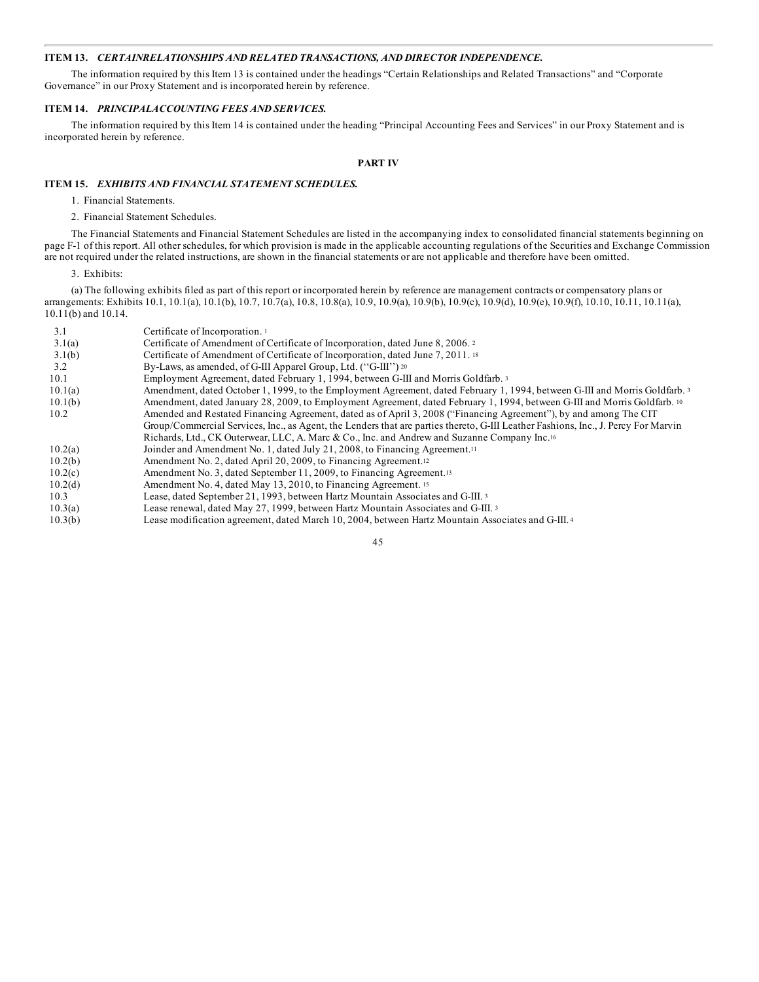### **ITEM 13.** *CERTAINRELATIONSHIPS AND RELATED TRANSACTIONS, AND DIRECTOR INDEPENDENCE.*

The information required by this Item 13 is contained under the headings "Certain Relationships and Related Transactions" and "Corporate Governance" in our Proxy Statement and is incorporated herein by reference.

## **ITEM 14.** *PRINCIPALACCOUNTING FEES AND SERVICES.*

The information required by this Item 14 is contained under the heading "Principal Accounting Fees and Services" in our Proxy Statement and is incorporated herein by reference.

### **PART IV**

## **ITEM 15.** *EXHIBITS AND FINANCIAL STATEMENT SCHEDULES.*

1. Financial Statements.

2. Financial Statement Schedules.

The Financial Statements and Financial Statement Schedules are listed in the accompanying index to consolidated financial statements beginning on page F-1 of this report. All other schedules, for which provision is made in the applicable accounting regulations of the Securities and Exchange Commission are not required under the related instructions, are shown in the financial statements or are not applicable and therefore have been omitted.

3. Exhibits:

(a) The following exhibits filed as part of this report or incorporated herein by reference are management contracts or compensatory plans or arrangements: Exhibits 10.1, 10.1(a), 10.1(b), 10.7, 10.7(a), 10.8, 10.8(a), 10.9, 10.9(a), 10.9(b), 10.9(c), 10.9(d), 10.9(e), 10.9(f), 10.10, 10.11, 10.11(a), 10.11(b) and 10.14.

| 3.1     | Certificate of Incorporation. <sup>1</sup>                                                                                         |
|---------|------------------------------------------------------------------------------------------------------------------------------------|
| 3.1(a)  | Certificate of Amendment of Certificate of Incorporation, dated June 8, 2006.                                                      |
| 3.1(b)  | Certificate of Amendment of Certificate of Incorporation, dated June 7, 2011. 18                                                   |
| 3.2     | By-Laws, as amended, of G-III Apparel Group, Ltd. ("G-III") 20                                                                     |
| 10.1    | Employment Agreement, dated February 1, 1994, between G-III and Morris Goldfarb. 3                                                 |
| 10.1(a) | Amendment, dated October 1, 1999, to the Employment Agreement, dated February 1, 1994, between G-III and Morris Goldfarb. 3        |
| 10.1(b) | Amendment, dated January 28, 2009, to Employment Agreement, dated February 1, 1994, between G-III and Morris Goldfarb. 10          |
| 10.2    | Amended and Restated Financing Agreement, dated as of April 3, 2008 ("Financing Agreement"), by and among The CIT                  |
|         | Group/Commercial Services, Inc., as Agent, the Lenders that are parties thereto, G-III Leather Fashions, Inc., J. Percy For Marvin |
|         | Richards, Ltd., CK Outerwear, LLC, A. Marc & Co., Inc. and Andrew and Suzanne Company Inc. <sup>16</sup>                           |
| 10.2(a) | Joinder and Amendment No. 1, dated July 21, 2008, to Financing Agreement. <sup>11</sup>                                            |
| 10.2(b) | Amendment No. 2, dated April 20, 2009, to Financing Agreement. <sup>12</sup>                                                       |
| 10.2(c) | Amendment No. 3, dated September 11, 2009, to Financing Agreement. <sup>13</sup>                                                   |
| 10.2(d) | Amendment No. 4, dated May 13, 2010, to Financing Agreement. 15                                                                    |
| 10.3    | Lease, dated September 21, 1993, between Hartz Mountain Associates and G-III. 3                                                    |
| 10.3(a) | Lease renewal, dated May 27, 1999, between Hartz Mountain Associates and G-III. <sup>3</sup>                                       |
| 10.3(b) | Lease modification agreement, dated March 10, 2004, between Hartz Mountain Associates and G-III. 4                                 |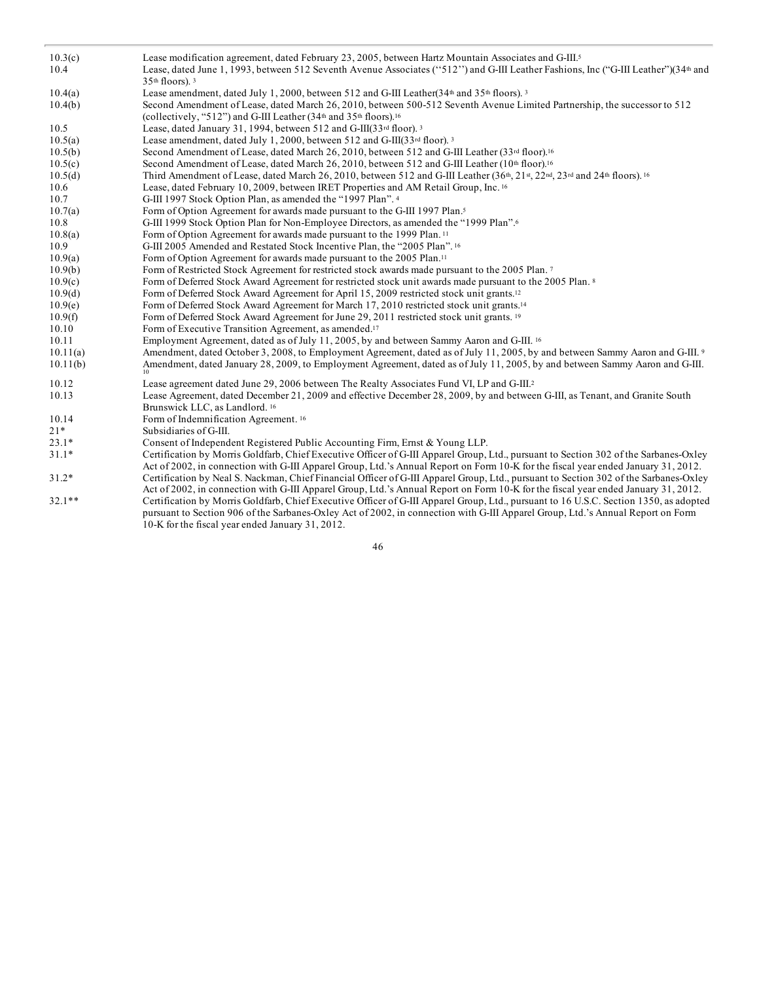| 10.3(c)  | Lease modification agreement, dated February 23, 2005, between Hartz Mountain Associates and G-III.5                                                                                                                                                                                                                          |
|----------|-------------------------------------------------------------------------------------------------------------------------------------------------------------------------------------------------------------------------------------------------------------------------------------------------------------------------------|
| 10.4     | Lease, dated June 1, 1993, between 512 Seventh Avenue Associates ("512") and G-III Leather Fashions, Inc ("G-III Leather")(34th and<br>$35th$ floors). $3$                                                                                                                                                                    |
| 10.4(a)  | Lease amendment, dated July 1, 2000, between 512 and G-III Leather (34th and 35th floors). 3                                                                                                                                                                                                                                  |
| 10.4(b)  | Second Amendment of Lease, dated March 26, 2010, between 500-512 Seventh Avenue Limited Partnership, the successor to 512<br>(collectively, "512") and G-III Leather (34th and 35th floors). <sup>16</sup>                                                                                                                    |
| 10.5     | Lease, dated January 31, 1994, between 512 and G-III(33rd floor). 3                                                                                                                                                                                                                                                           |
| 10.5(a)  | Lease amendment, dated July 1, 2000, between 512 and G-III(33rd floor). 3                                                                                                                                                                                                                                                     |
| 10.5(b)  | Second Amendment of Lease, dated March 26, 2010, between 512 and G-III Leather (33rd floor). <sup>16</sup>                                                                                                                                                                                                                    |
| 10.5(c)  | Second Amendment of Lease, dated March 26, 2010, between 512 and G-III Leather (10th floor). <sup>16</sup>                                                                                                                                                                                                                    |
| 10.5(d)  | Third Amendment of Lease, dated March 26, 2010, between 512 and G-III Leather $(36th, 21st, 22nd, 23rd and 24th floors)$ .                                                                                                                                                                                                    |
| 10.6     | Lease, dated February 10, 2009, between IRET Properties and AM Retail Group, Inc. 16                                                                                                                                                                                                                                          |
| 10.7     | G-III 1997 Stock Option Plan, as amended the "1997 Plan". 4                                                                                                                                                                                                                                                                   |
| 10.7(a)  | Form of Option Agreement for awards made pursuant to the G-III 1997 Plan. <sup>5</sup>                                                                                                                                                                                                                                        |
| 10.8     | G-III 1999 Stock Option Plan for Non-Employee Directors, as amended the "1999 Plan". <sup>6</sup>                                                                                                                                                                                                                             |
| 10.8(a)  | Form of Option Agreement for awards made pursuant to the 1999 Plan. <sup>11</sup>                                                                                                                                                                                                                                             |
| 10.9     | G-III 2005 Amended and Restated Stock Incentive Plan, the "2005 Plan". 16                                                                                                                                                                                                                                                     |
| 10.9(a)  | Form of Option Agreement for awards made pursuant to the 2005 Plan. <sup>11</sup>                                                                                                                                                                                                                                             |
| 10.9(b)  | Form of Restricted Stock Agreement for restricted stock awards made pursuant to the 2005 Plan. 7                                                                                                                                                                                                                              |
| 10.9(c)  | Form of Deferred Stock Award Agreement for restricted stock unit awards made pursuant to the 2005 Plan. 8                                                                                                                                                                                                                     |
| 10.9(d)  | Form of Deferred Stock Award Agreement for April 15, 2009 restricted stock unit grants. <sup>12</sup>                                                                                                                                                                                                                         |
| 10.9(e)  | Form of Deferred Stock Award Agreement for March 17, 2010 restricted stock unit grants. <sup>14</sup>                                                                                                                                                                                                                         |
| 10.9(f)  | Form of Deferred Stock Award Agreement for June 29, 2011 restricted stock unit grants. <sup>19</sup>                                                                                                                                                                                                                          |
| 10.10    | Form of Executive Transition Agreement, as amended. <sup>17</sup>                                                                                                                                                                                                                                                             |
| 10.11    | Employment Agreement, dated as of July 11, 2005, by and between Sammy Aaron and G-III. 16                                                                                                                                                                                                                                     |
| 10.11(a) | Amendment, dated October 3, 2008, to Employment Agreement, dated as of July 11, 2005, by and between Sammy Aaron and G-III. 9                                                                                                                                                                                                 |
| 10.11(b) | Amendment, dated January 28, 2009, to Employment Agreement, dated as of July 11, 2005, by and between Sammy Aaron and G-III.                                                                                                                                                                                                  |
| 10.12    | Lease agreement dated June 29, 2006 between The Realty Associates Fund VI, LP and G-III. <sup>2</sup>                                                                                                                                                                                                                         |
| 10.13    | Lease Agreement, dated December 21, 2009 and effective December 28, 2009, by and between G-III, as Tenant, and Granite South<br>Brunswick LLC, as Landlord. 16                                                                                                                                                                |
| 10.14    | Form of Indemnification Agreement. <sup>16</sup>                                                                                                                                                                                                                                                                              |
| $21*$    | Subsidiaries of G-III.                                                                                                                                                                                                                                                                                                        |
| $23.1*$  | Consent of Independent Registered Public Accounting Firm, Ernst & Young LLP.                                                                                                                                                                                                                                                  |
| $31.1*$  | Certification by Morris Goldfarb, Chief Executive Officer of G-III Apparel Group, Ltd., pursuant to Section 302 of the Sarbanes-Oxley                                                                                                                                                                                         |
|          | Act of 2002, in connection with G-III Apparel Group, Ltd.'s Annual Report on Form 10-K for the fiscal year ended January 31, 2012.                                                                                                                                                                                            |
| $31.2*$  | Certification by Neal S. Nackman, Chief Financial Officer of G-III Apparel Group, Ltd., pursuant to Section 302 of the Sarbanes-Oxley<br>Act of 2002, in connection with G-III Apparel Group, Ltd.'s Annual Report on Form 10-K for the fiscal year ended January 31, 2012.                                                   |
| $32.1**$ | Certification by Morris Goldfarb, Chief Executive Officer of G-III Apparel Group, Ltd., pursuant to 16 U.S.C. Section 1350, as adopted<br>pursuant to Section 906 of the Sarbanes-Oxley Act of 2002, in connection with G-III Apparel Group, Ltd.'s Annual Report on Form<br>10-K for the fiscal year ended January 31, 2012. |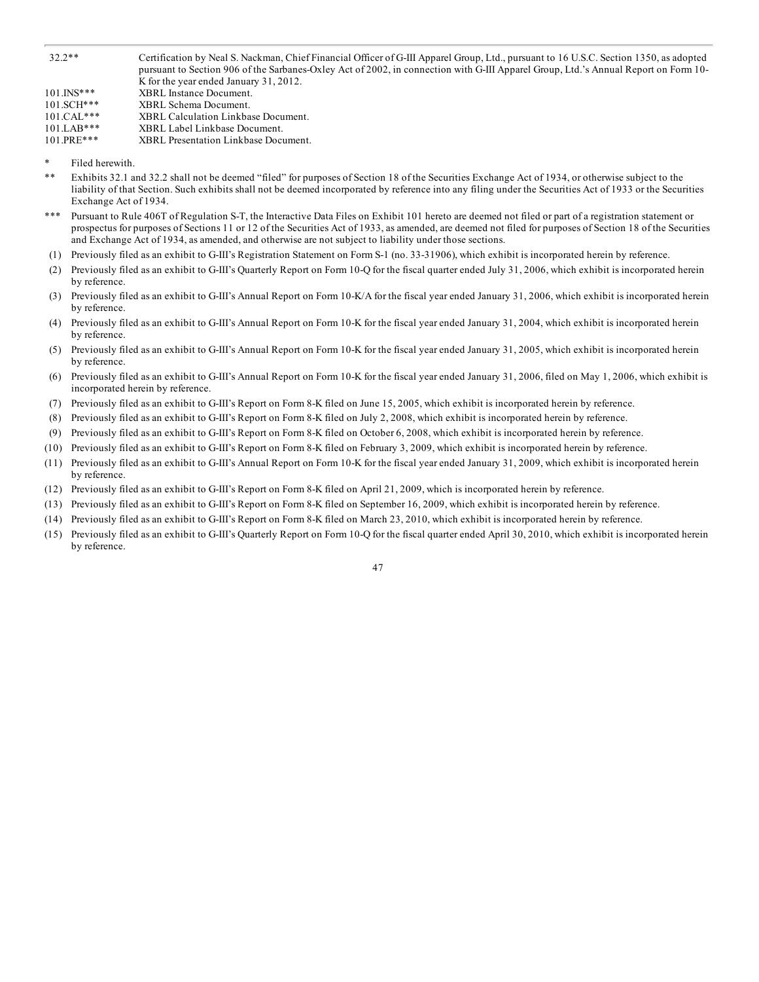| $32.2**$ | Certification by Neal S. Nackman, Chief Financial Officer of G-III Apparel Group, Ltd., pursuant to 16 U.S.C. Section 1350, as adopted |
|----------|----------------------------------------------------------------------------------------------------------------------------------------|
|          | pursuant to Section 906 of the Sarbanes-Oxley Act of 2002, in connection with G-III Apparel Group, Ltd.'s Annual Report on Form 10-    |
|          | K for the year ended January 31, 2012.                                                                                                 |
|          |                                                                                                                                        |

101.INS\*\*\* XBRL Instance Document.

- 101.SCH\*\*\* XBRL Schema Document.<br>101.CAL\*\*\* XBRL Calculation Linkha 101.CAL\*\*\* XBRL Calculation Linkbase Document.<br>101.LAB\*\*\* XBRL Label Linkbase Document.
- 
- 101.LAB\*\*\* XBRL Label Linkbase Document. XBRL Presentation Linkbase Document.
- Filed herewith.
- \*\* Exhibits 32.1 and 32.2 shall not be deemed "filed" for purposes of Section 18 of the Securities Exchange Act of 1934, or otherwise subject to the liability of that Section. Such exhibits shall not be deemed incorporated by reference into any filing under the Securities Act of 1933 or the Securities Exchange Act of 1934.
- \*\*\* Pursuant to Rule 406T of Regulation S-T, the Interactive Data Files on Exhibit 101 hereto are deemed not filed or part of a registration statement or prospectus for purposes of Sections 11 or 12 of the Securities Act of 1933, as amended, are deemed not filed for purposes of Section 18 of the Securities and Exchange Act of 1934, as amended, and otherwise are not subject to liability under those sections.
- (1) Previously filed as an exhibit to G-III's Registration Statement on Form S-1 (no. 33-31906), which exhibit is incorporated herein by reference.
- (2) Previously filed as an exhibit to G-III's Quarterly Report on Form 10-Q for the fiscal quarter ended July 31, 2006, which exhibit is incorporated herein by reference.
- (3) Previously filed as an exhibit to G-III's Annual Report on Form 10-K/A for the fiscal year ended January 31, 2006, which exhibit is incorporated herein by reference.
- (4) Previously filed as an exhibit to G-III's Annual Report on Form 10-K for the fiscal year ended January 31, 2004, which exhibit is incorporated herein by reference.
- (5) Previously filed as an exhibit to G-III's Annual Report on Form 10-K for the fiscal year ended January 31, 2005, which exhibit is incorporated herein by reference.
- (6) Previously filed as an exhibit to G-III's Annual Report on Form 10-K for the fiscal year ended January 31, 2006, filed on May 1, 2006, which exhibit is incorporated herein by reference.
- (7) Previously filed as an exhibit to G-III's Report on Form 8-K filed on June 15, 2005, which exhibit is incorporated herein by reference.
- (8) Previously filed as an exhibit to G-III's Report on Form 8-K filed on July 2, 2008, which exhibit is incorporated herein by reference.
- (9) Previously filed as an exhibit to G-III's Report on Form 8-K filed on October 6, 2008, which exhibit is incorporated herein by reference.
- (10) Previously filed as an exhibit to G-III's Report on Form 8-K filed on February 3, 2009, which exhibit is incorporated herein by reference.
- (11) Previously filed as an exhibit to G-III's Annual Report on Form 10-K for the fiscal year ended January 31, 2009, which exhibit is incorporated herein by reference.
- (12) Previously filed as an exhibit to G-III's Report on Form 8-K filed on April 21, 2009, which is incorporated herein by reference.
- (13) Previously filed as an exhibit to G-III's Report on Form 8-K filed on September 16, 2009, which exhibit is incorporated herein by reference.
- (14) Previously filed as an exhibit to G-III's Report on Form 8-K filed on March 23, 2010, which exhibit is incorporated herein by reference.
- (15) Previously filed as an exhibit to G-III's Quarterly Report on Form 10-Q for the fiscal quarter ended April 30, 2010, which exhibit is incorporated herein by reference.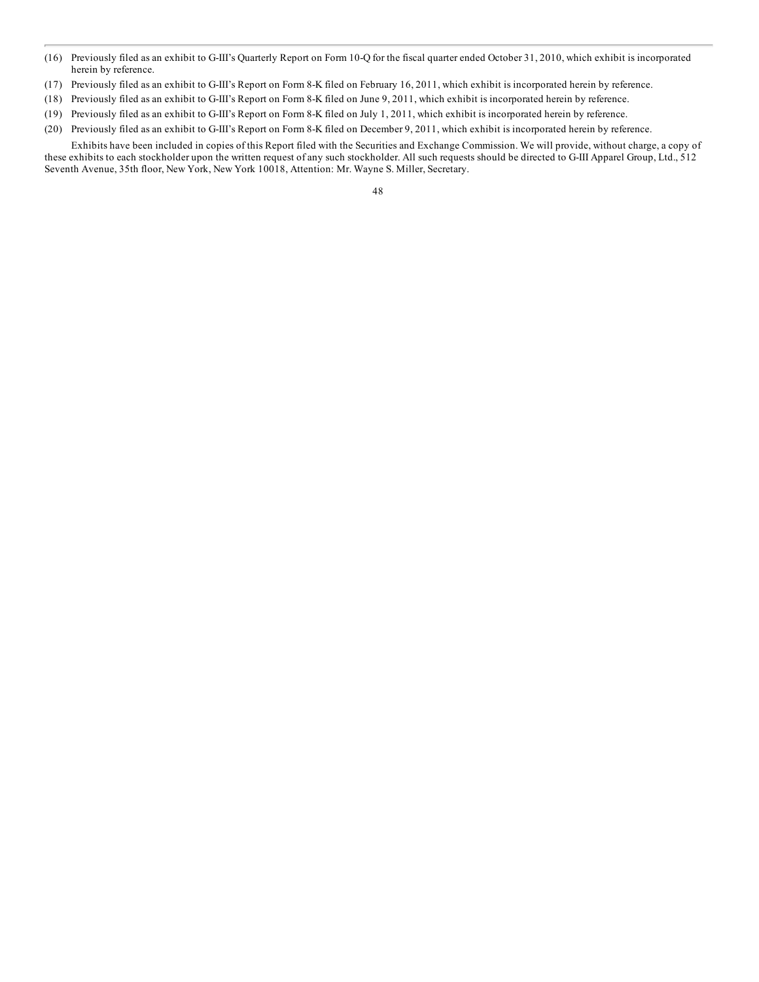- (16) Previously filed as an exhibit to G-III's Quarterly Report on Form 10-Q for the fiscal quarter ended October 31, 2010, which exhibit is incorporated herein by reference.
- (17) Previously filed as an exhibit to G-III's Report on Form 8-K filed on February 16, 2011, which exhibit is incorporated herein by reference.
- (18) Previously filed as an exhibit to G-III's Report on Form 8-K filed on June 9, 2011, which exhibit is incorporated herein by reference.
- (19) Previously filed as an exhibit to G-III's Report on Form 8-K filed on July 1, 2011, which exhibit is incorporated herein by reference.
- (20) Previously filed as an exhibit to G-III's Report on Form 8-K filed on December 9, 2011, which exhibit is incorporated herein by reference.

Exhibits have been included in copies of this Report filed with the Securities and Exchange Commission. We will provide, without charge, a copy of these exhibits to each stockholder upon the written request of any such stockholder. All such requests should be directed to G-III Apparel Group, Ltd., 512 Seventh Avenue, 35th floor, New York, New York 10018, Attention: Mr. Wayne S. Miller, Secretary.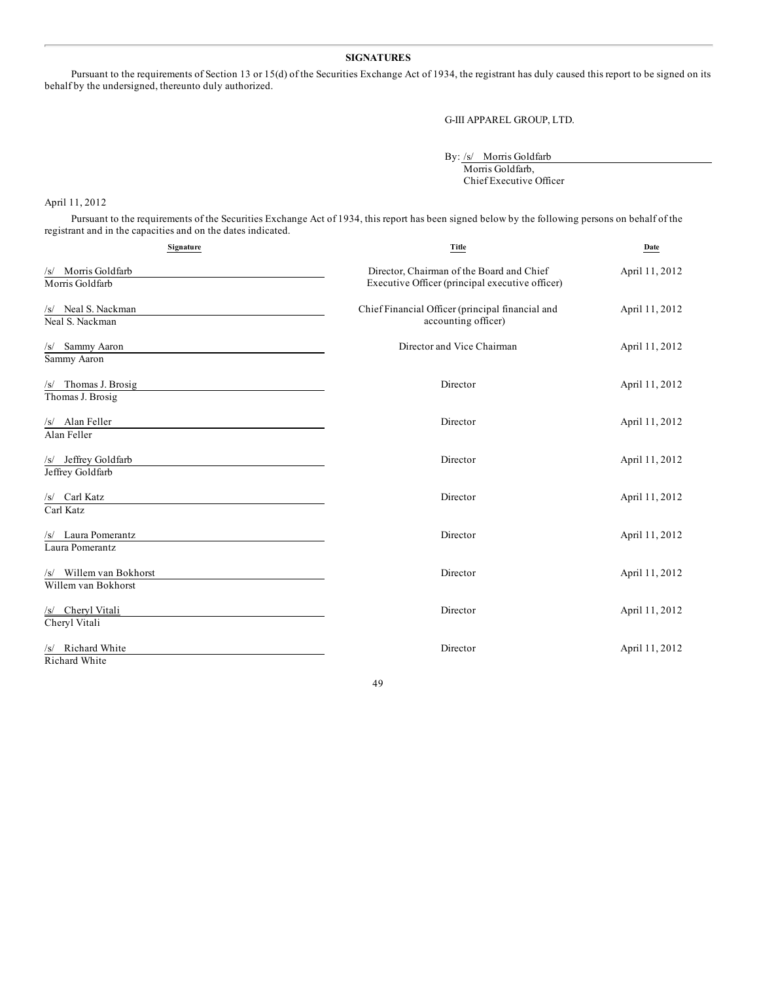**SIGNATURES**

Pursuant to the requirements of Section 13 or 15(d) of the Securities Exchange Act of 1934, the registrant has duly caused this report to be signed on its behalf by the undersigned, thereunto duly authorized.

G-III APPAREL GROUP, LTD.

By: /s/ Morris Goldfarb

Morris Goldfarb, Chief Executive Officer

April 11, 2012

Pursuant to the requirements of the Securities Exchange Act of 1934, this report has been signed below by the following persons on behalf of the registrant and in the capacities and on the dates indicated.

| Signature                                        | Title                                                                                        | Date           |
|--------------------------------------------------|----------------------------------------------------------------------------------------------|----------------|
| Morris Goldfarb<br>$\sqrt{s}$<br>Morris Goldfarb | Director, Chairman of the Board and Chief<br>Executive Officer (principal executive officer) | April 11, 2012 |
| /s/ Neal S. Nackman<br>Neal S. Nackman           | Chief Financial Officer (principal financial and<br>accounting officer)                      | April 11, 2012 |
| /s/ Sammy Aaron<br>Sammy Aaron                   | Director and Vice Chairman                                                                   | April 11, 2012 |
| /s/ Thomas J. Brosig<br>Thomas J. Brosig         | Director                                                                                     | April 11, 2012 |
| /s/ Alan Feller<br>Alan Feller                   | Director                                                                                     | April 11, 2012 |
| /s/ Jeffrey Goldfarb<br>Jeffrey Goldfarb         | Director                                                                                     | April 11, 2012 |
| /s/ $Carl Katz$<br>Carl Katz                     | Director                                                                                     | April 11, 2012 |
| /s/ Laura Pomerantz<br>Laura Pomerantz           | Director                                                                                     | April 11, 2012 |
| /s/ Willem van Bokhorst<br>Willem van Bokhorst   | Director                                                                                     | April 11, 2012 |
| /s/ Cheryl Vitali<br>Cheryl Vitali               | Director                                                                                     | April 11, 2012 |
| Richard White<br>/s/<br>Richard White            | Director                                                                                     | April 11, 2012 |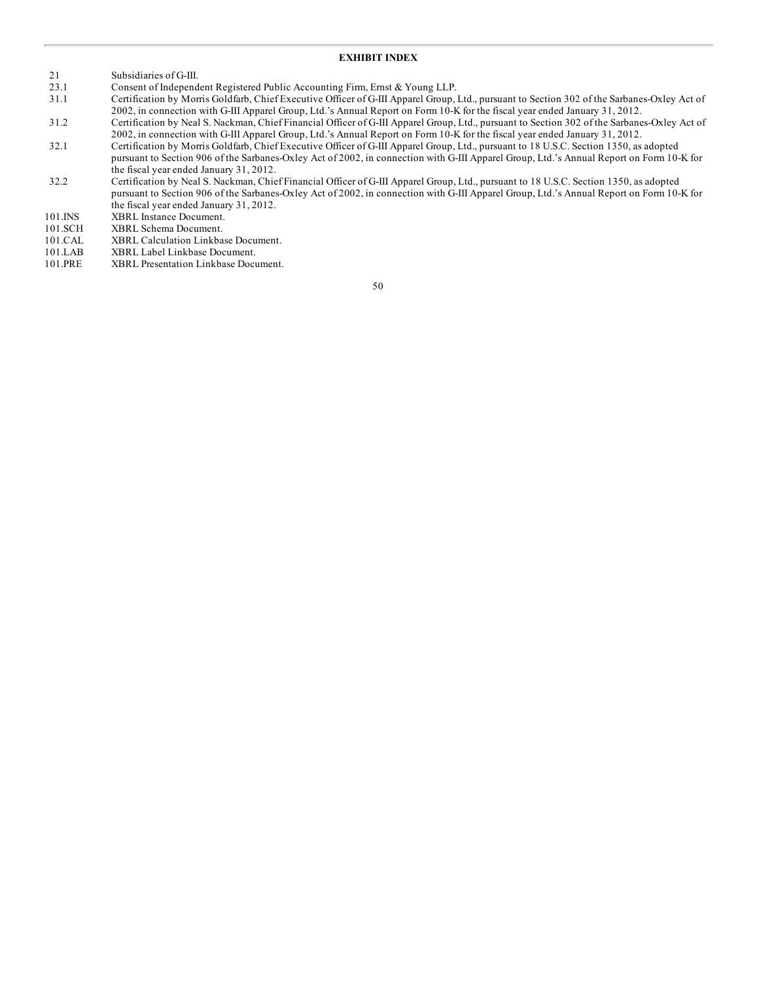### **EXHIBIT INDEX**

21 Subsidiaries of G-III.

- 23.1 Consent of Independent Registered Public Accounting Firm, Ernst & Young LLP.<br>21.1 Certification by Morris Goldfarb. Chief Executive Officer of G-III Apparel Group.
- 31.1 Certification by Morris Goldfarb, Chief Executive Officer of G-III Apparel Group, Ltd., pursuant to Section 302 of the Sarbanes-Oxley Act of 2002, in connection with G-III Apparel Group, Ltd.'s Annual Report on Form 10-K for the fiscal year ended January 31, 2012.
- 31.2 Certification by Neal S. Nackman, Chief Financial Officer of G-III Apparel Group, Ltd., pursuant to Section 302 of the Sarbanes-Oxley Act of 2002, in connection with G-III Apparel Group, Ltd.'s Annual Report on Form 10-K for the fiscal year ended January 31, 2012.
- 32.1 Certification by Morris Goldfarb, Chief Executive Officer of G-III Apparel Group, Ltd., pursuant to 18 U.S.C. Section 1350, as adopted pursuant to Section 906 of the Sarbanes-Oxley Act of 2002, in connection with G-III Apparel Group, Ltd.'s Annual Report on Form 10-K for the fiscal year ended January 31, 2012.
- 32.2 Certification by Neal S. Nackman, Chief Financial Officer of G-III Apparel Group, Ltd., pursuant to 18 U.S.C. Section 1350, as adopted pursuant to Section 906 of the Sarbanes-Oxley Act of 2002, in connection with G-III Apparel Group, Ltd.'s Annual Report on Form 10-K for the fiscal year ended January 31, 2012.
- 101.INS XBRL Instance Document.
- 101.SCH XBRL Schema Document.<br>101.CAL XBRL Calculation Linkba
- 101.CAL XBRL Calculation Linkbase Document.<br>101.LAB XBRL Label Linkbase Document.
- XBRL Label Linkbase Document.
- 101.PRE XBRL Presentation Linkbase Document.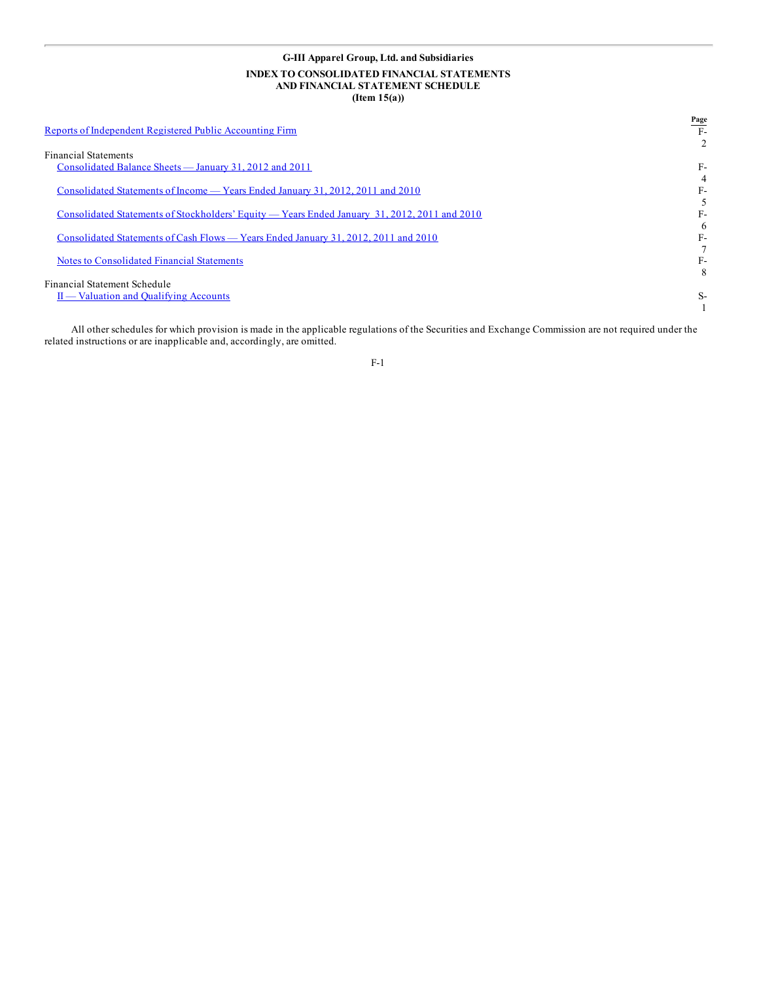## **G-III Apparel Group, Ltd. and Subsidiaries INDEX TO CONSOLIDATED FINANCIAL STATEMENTS AND FINANCIAL STATEMENT SCHEDULE (Item 15(a))**

| Reports of Independent Registered Public Accounting Firm                                      | Page      |
|-----------------------------------------------------------------------------------------------|-----------|
| <b>Financial Statements</b>                                                                   | 2         |
| Consolidated Balance Sheets — January 31, 2012 and 2011                                       | $F-$      |
| Consolidated Statements of Income — Years Ended January 31, 2012, 2011 and 2010               | $F-$      |
|                                                                                               |           |
| Consolidated Statements of Stockholders' Equity — Years Ended January 31, 2012, 2011 and 2010 | $F-$<br>6 |
| Consolidated Statements of Cash Flows — Years Ended January 31, 2012, 2011 and 2010           | $F-$      |
|                                                                                               |           |
| <b>Notes to Consolidated Financial Statements</b>                                             | $F-$      |
| Financial Statement Schedule                                                                  | 8         |
| $II$ — Valuation and Qualifying Accounts                                                      | $S-$      |
|                                                                                               |           |

All other schedules for which provision is made in the applicable regulations of the Securities and Exchange Commission are not required under the related instructions or are inapplicable and, accordingly, are omitted.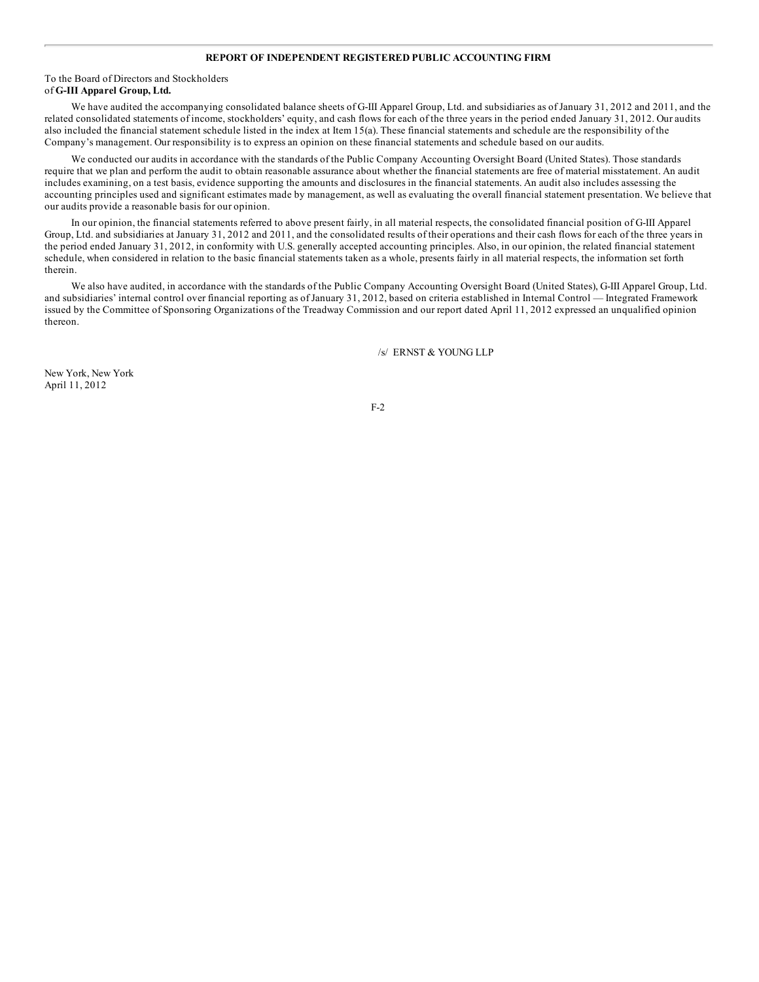#### **REPORT OF INDEPENDENT REGISTERED PUBLIC ACCOUNTING FIRM**

#### <span id="page-51-0"></span>To the Board of Directors and Stockholders of **G-III Apparel Group, Ltd.**

We have audited the accompanying consolidated balance sheets of G-III Apparel Group, Ltd. and subsidiaries as of January 31, 2012 and 2011, and the related consolidated statements of income, stockholders' equity, and cash flows for each of the three years in the period ended January 31, 2012. Our audits also included the financial statement schedule listed in the index at Item 15(a). These financial statements and schedule are the responsibility of the Company's management. Our responsibility is to express an opinion on these financial statements and schedule based on our audits.

We conducted our audits in accordance with the standards of the Public Company Accounting Oversight Board (United States). Those standards require that we plan and perform the audit to obtain reasonable assurance about whether the financial statements are free of material misstatement. An audit includes examining, on a test basis, evidence supporting the amounts and disclosures in the financial statements. An audit also includes assessing the accounting principles used and significant estimates made by management, as well as evaluating the overall financial statement presentation. We believe that our audits provide a reasonable basis for our opinion.

In our opinion, the financial statements referred to above present fairly, in all material respects, the consolidated financial position of G-III Apparel Group, Ltd. and subsidiaries at January 31, 2012 and 2011, and the consolidated results of their operations and their cash flows for each of the three years in the period ended January 31, 2012, in conformity with U.S. generally accepted accounting principles. Also, in our opinion, the related financial statement schedule, when considered in relation to the basic financial statements taken as a whole, presents fairly in all material respects, the information set forth therein.

We also have audited, in accordance with the standards of the Public Company Accounting Oversight Board (United States), G-III Apparel Group, Ltd. and subsidiaries' internal control over financial reporting as of January 31, 2012, based on criteria established in Internal Control — Integrated Framework issued by the Committee of Sponsoring Organizations of the Treadway Commission and our report dated April 11, 2012 expressed an unqualified opinion thereon.

/s/ ERNST & YOUNG LLP

New York, New York April 11, 2012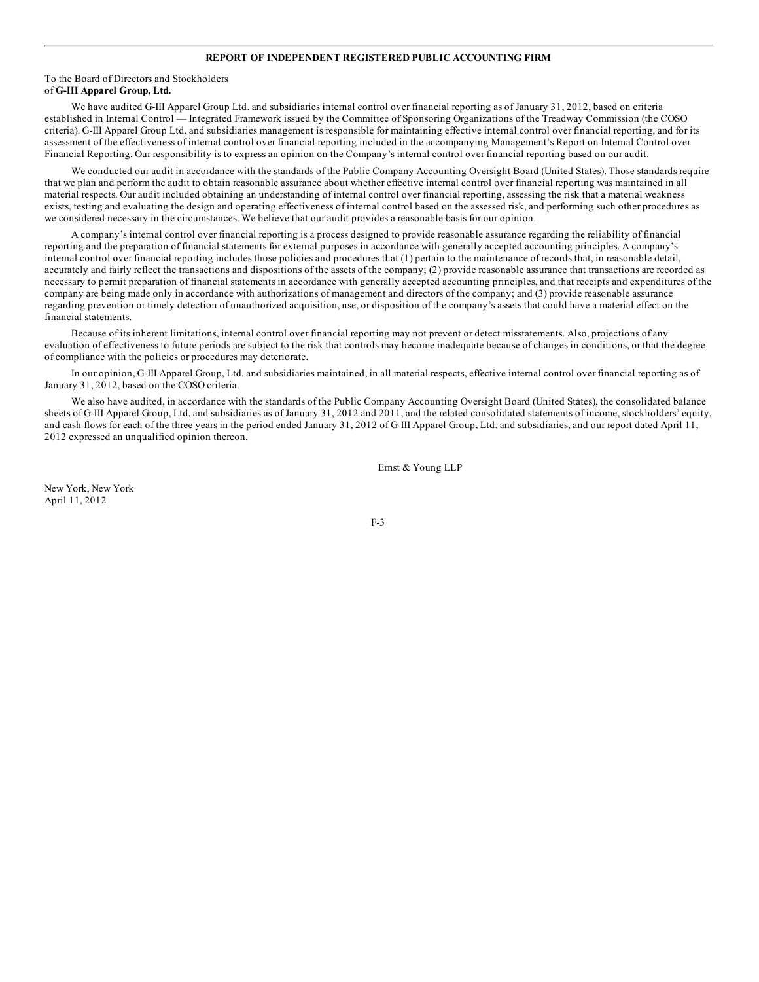#### **REPORT OF INDEPENDENT REGISTERED PUBLIC ACCOUNTING FIRM**

### To the Board of Directors and Stockholders of **G-III Apparel Group, Ltd.**

We have audited G-III Apparel Group Ltd. and subsidiaries internal control over financial reporting as of January 31, 2012, based on criteria established in Internal Control — Integrated Framework issued by the Committee of Sponsoring Organizations of the Treadway Commission (the COSO criteria). G-III Apparel Group Ltd. and subsidiaries management is responsible for maintaining effective internal control over financial reporting, and for its assessment of the effectiveness of internal control over financial reporting included in the accompanying Management's Report on Internal Control over Financial Reporting. Our responsibility is to express an opinion on the Company's internal control over financial reporting based on our audit.

We conducted our audit in accordance with the standards of the Public Company Accounting Oversight Board (United States). Those standards require that we plan and perform the audit to obtain reasonable assurance about whether effective internal control over financial reporting was maintained in all material respects. Our audit included obtaining an understanding of internal control over financial reporting, assessing the risk that a material weakness exists, testing and evaluating the design and operating effectiveness of internal control based on the assessed risk, and performing such other procedures as we considered necessary in the circumstances. We believe that our audit provides a reasonable basis for our opinion.

A company's internal control over financial reporting is a process designed to provide reasonable assurance regarding the reliability of financial reporting and the preparation of financial statements for external purposes in accordance with generally accepted accounting principles. A company's internal control over financial reporting includes those policies and procedures that (1) pertain to the maintenance of records that, in reasonable detail, accurately and fairly reflect the transactions and dispositions of the assets of the company; (2) provide reasonable assurance that transactions are recorded as necessary to permit preparation of financial statements in accordance with generally accepted accounting principles, and that receipts and expenditures of the company are being made only in accordance with authorizations of management and directors of the company; and (3) provide reasonable assurance regarding prevention or timely detection of unauthorized acquisition, use, or disposition of the company's assets that could have a material effect on the financial statements.

Because of its inherent limitations, internal control over financial reporting may not prevent or detect misstatements. Also, projections of any evaluation of effectiveness to future periods are subject to the risk that controls may become inadequate because of changes in conditions, or that the degree of compliance with the policies or procedures may deteriorate.

In our opinion, G-III Apparel Group, Ltd. and subsidiaries maintained, in all material respects, effective internal control over financial reporting as of January 31, 2012, based on the COSO criteria.

We also have audited, in accordance with the standards of the Public Company Accounting Oversight Board (United States), the consolidated balance sheets of G-III Apparel Group, Ltd. and subsidiaries as of January 31, 2012 and 2011, and the related consolidated statements of income, stockholders' equity, and cash flows for each of the three years in the period ended January 31, 2012 of G-III Apparel Group, Ltd. and subsidiaries, and our report dated April 11, 2012 expressed an unqualified opinion thereon.

Ernst & Young LLP

New York, New York April 11, 2012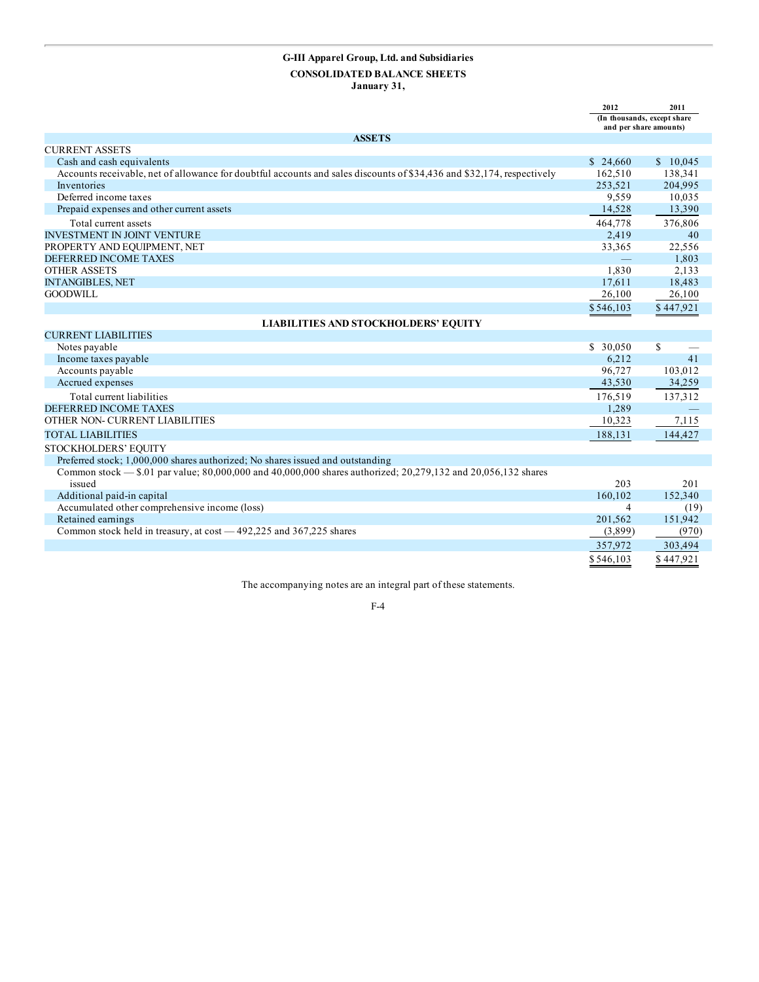# **G-III Apparel Group, Ltd. and Subsidiaries CONSOLIDATED BALANCE SHEETS January 31,**

<span id="page-53-0"></span>

|                                                                                                                        | 2012           | 2011<br>(In thousands, except share<br>and per share amounts) |
|------------------------------------------------------------------------------------------------------------------------|----------------|---------------------------------------------------------------|
| <b>ASSETS</b>                                                                                                          |                |                                                               |
| <b>CURRENT ASSETS</b>                                                                                                  |                |                                                               |
| Cash and cash equivalents                                                                                              | \$24,660       | \$10,045                                                      |
| Accounts receivable, net of allowance for doubtful accounts and sales discounts of \$34,436 and \$32,174, respectively | 162,510        | 138,341                                                       |
| Inventories                                                                                                            | 253.521        | 204,995                                                       |
| Deferred income taxes                                                                                                  | 9.559          | 10,035                                                        |
| Prepaid expenses and other current assets                                                                              | 14,528         | 13,390                                                        |
| Total current assets                                                                                                   | 464,778        | 376,806                                                       |
| <b>INVESTMENT IN JOINT VENTURE</b>                                                                                     | 2,419          | 40                                                            |
| PROPERTY AND EQUIPMENT, NET                                                                                            | 33,365         | 22,556                                                        |
| DEFERRED INCOME TAXES                                                                                                  |                | 1,803                                                         |
| <b>OTHER ASSETS</b>                                                                                                    | 1.830          | 2,133                                                         |
| <b>INTANGIBLES, NET</b>                                                                                                | 17,611         | 18,483                                                        |
| <b>GOODWILL</b>                                                                                                        | 26,100         | 26,100                                                        |
|                                                                                                                        | \$546,103      | \$447,921                                                     |
| LIABILITIES AND STOCKHOLDERS' EQUITY                                                                                   |                |                                                               |
| <b>CURRENT LIABILITIES</b>                                                                                             |                |                                                               |
| Notes payable                                                                                                          | \$ 30,050      | \$                                                            |
| Income taxes payable                                                                                                   | 6.212          | 41                                                            |
| Accounts payable                                                                                                       | 96,727         | 103,012                                                       |
| Accrued expenses                                                                                                       | 43,530         | 34,259                                                        |
| Total current liabilities                                                                                              | 176.519        | 137,312                                                       |
| DEFERRED INCOME TAXES                                                                                                  | 1,289          |                                                               |
| OTHER NON- CURRENT LIABILITIES                                                                                         | 10,323         | 7,115                                                         |
| <b>TOTAL LIABILITIES</b>                                                                                               | 188.131        | 144,427                                                       |
| STOCKHOLDERS' EQUITY                                                                                                   |                |                                                               |
| Preferred stock; 1,000,000 shares authorized; No shares issued and outstanding                                         |                |                                                               |
| Common stock - \$.01 par value; 80,000,000 and 40,000,000 shares authorized; 20,279,132 and 20,056,132 shares          |                |                                                               |
| issued                                                                                                                 | 203            | 201                                                           |
| Additional paid-in capital                                                                                             | 160.102        | 152,340                                                       |
| Accumulated other comprehensive income (loss)                                                                          | $\overline{4}$ | (19)                                                          |
| Retained earnings                                                                                                      | 201.562        | 151,942                                                       |
| Common stock held in treasury, at cost - 492,225 and 367,225 shares                                                    | (3,899)        | (970)                                                         |
|                                                                                                                        | 357,972        | 303,494                                                       |
|                                                                                                                        | \$546.103      | \$447,921                                                     |

The accompanying notes are an integral part of these statements.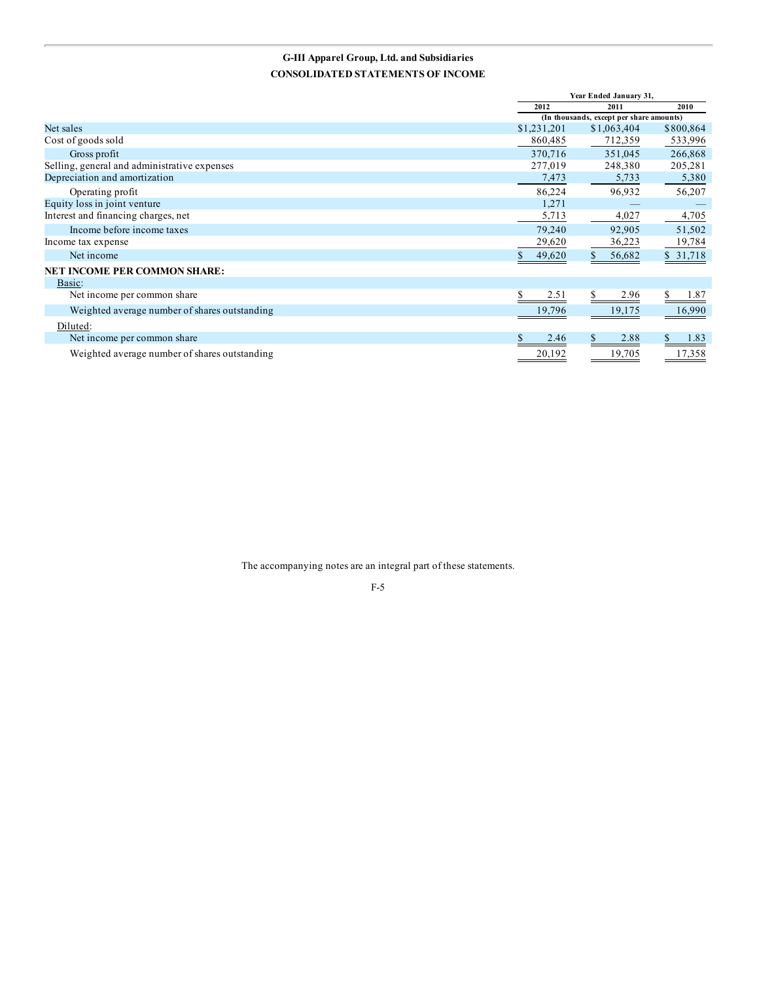# **G-III Apparel Group, Ltd. and Subsidiaries CONSOLIDATED STATEMENTS OF INCOME**

<span id="page-54-0"></span>

|                                               |             | Year Ended January 31,                   |           |  |
|-----------------------------------------------|-------------|------------------------------------------|-----------|--|
|                                               | 2012        | 2011                                     | 2010      |  |
|                                               |             | (In thousands, except per share amounts) |           |  |
| Net sales                                     | \$1,231,201 | \$1,063,404                              | \$800,864 |  |
| Cost of goods sold                            | 860,485     | 712,359                                  | 533,996   |  |
| Gross profit                                  | 370,716     | 351,045                                  | 266,868   |  |
| Selling, general and administrative expenses  | 277,019     | 248,380                                  | 205,281   |  |
| Depreciation and amortization                 | 7,473       | 5,733                                    | 5,380     |  |
| Operating profit                              | 86,224      | 96,932                                   | 56,207    |  |
| Equity loss in joint venture                  | 1,271       |                                          |           |  |
| Interest and financing charges, net           | 5,713       | 4,027                                    | 4,705     |  |
| Income before income taxes                    | 79,240      | 92,905                                   | 51,502    |  |
| Income tax expense                            | 29,620      | 36,223                                   | 19,784    |  |
| Net income                                    | 49,620      | 56,682                                   | \$31,718  |  |
| <b>NET INCOME PER COMMON SHARE:</b>           |             |                                          |           |  |
| Basic:                                        |             |                                          |           |  |
| Net income per common share                   | 2.51        | S<br>2.96                                | 1.87      |  |
| Weighted average number of shares outstanding | 19,796      | 19,175                                   | 16,990    |  |
| Diluted:                                      |             |                                          |           |  |
| Net income per common share                   | 2.46        | 2.88<br>\$                               | 1.83      |  |
| Weighted average number of shares outstanding | 20,192      | 19,705                                   | 17,358    |  |

The accompanying notes are an integral part of these statements.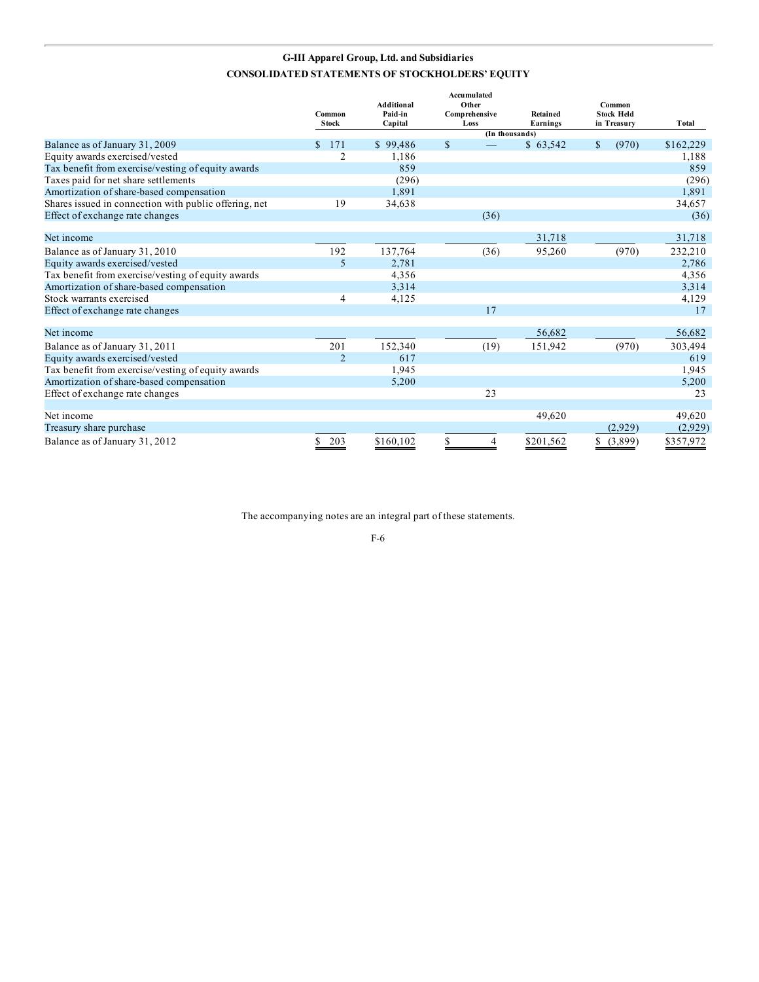# **G-III Apparel Group, Ltd. and Subsidiaries CONSOLIDATED STATEMENTS OF STOCKHOLDERS' EQUITY**

<span id="page-55-0"></span>

|                                                       |                      | <b>Additional</b> | Accumulated<br>Other  |                            | Common                |           |
|-------------------------------------------------------|----------------------|-------------------|-----------------------|----------------------------|-----------------------|-----------|
|                                                       | Common               | Paid-in           | Comprehensive<br>Loss | Retained                   | <b>Stock Held</b>     |           |
|                                                       | <b>Stock</b>         | Capital           |                       | Earnings                   | in Treasury           | Total     |
| Balance as of January 31, 2009                        | <sup>\$</sup><br>171 | \$99,486          | $\mathbb{S}$          | (In thousands)<br>\$63,542 | $\mathbb{S}$<br>(970) | \$162,229 |
| Equity awards exercised/vested                        | 2                    | 1,186             |                       |                            |                       | 1,188     |
| Tax benefit from exercise/vesting of equity awards    |                      | 859               |                       |                            |                       | 859       |
| Taxes paid for net share settlements                  |                      | (296)             |                       |                            |                       | (296)     |
| Amortization of share-based compensation              |                      | 1,891             |                       |                            |                       | 1,891     |
| Shares issued in connection with public offering, net | 19                   | 34,638            |                       |                            |                       | 34,657    |
| Effect of exchange rate changes                       |                      |                   | (36)                  |                            |                       | (36)      |
|                                                       |                      |                   |                       |                            |                       |           |
| Net income                                            |                      |                   |                       | 31,718                     |                       | 31,718    |
| Balance as of January 31, 2010                        | 192                  | 137,764           | (36)                  | 95,260                     | (970)                 | 232,210   |
| Equity awards exercised/vested                        | 5                    | 2,781             |                       |                            |                       | 2,786     |
| Tax benefit from exercise/vesting of equity awards    |                      | 4,356             |                       |                            |                       | 4,356     |
| Amortization of share-based compensation              |                      | 3,314             |                       |                            |                       | 3,314     |
| Stock warrants exercised                              | 4                    | 4,125             |                       |                            |                       | 4,129     |
| Effect of exchange rate changes                       |                      |                   | 17                    |                            |                       | 17        |
|                                                       |                      |                   |                       |                            |                       |           |
| Net income                                            |                      |                   |                       | 56,682                     |                       | 56,682    |
| Balance as of January 31, 2011                        | 201                  | 152,340           | (19)                  | 151,942                    | (970)                 | 303,494   |
| Equity awards exercised/vested                        | $\overline{2}$       | 617               |                       |                            |                       | 619       |
| Tax benefit from exercise/vesting of equity awards    |                      | 1,945             |                       |                            |                       | 1,945     |
| Amortization of share-based compensation              |                      | 5,200             |                       |                            |                       | 5,200     |
| Effect of exchange rate changes                       |                      |                   | 23                    |                            |                       | 23        |
|                                                       |                      |                   |                       |                            |                       |           |
| Net income                                            |                      |                   |                       | 49,620                     |                       | 49,620    |
| Treasury share purchase                               |                      |                   |                       |                            | (2,929)               | (2,929)   |
| Balance as of January 31, 2012                        | 203<br>\$            | \$160,102         | \$<br>4               | \$201,562                  | (3,899)               | \$357,972 |

The accompanying notes are an integral part of these statements.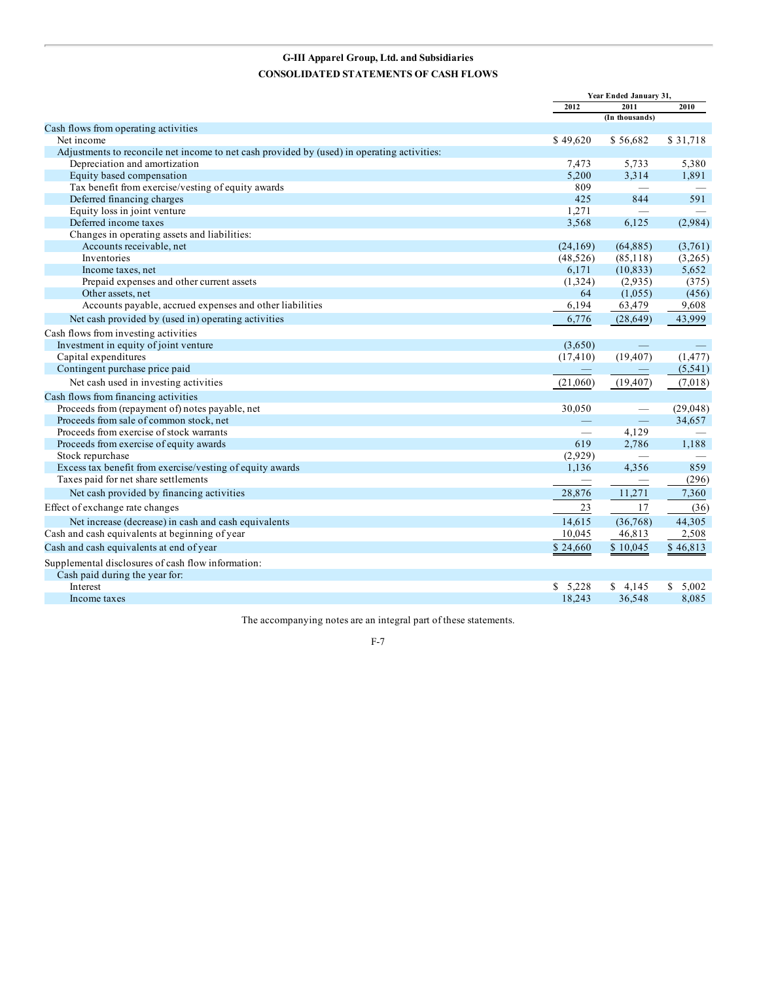# **G-III Apparel Group, Ltd. and Subsidiaries CONSOLIDATED STATEMENTS OF CASH FLOWS**

<span id="page-56-0"></span>

|                                                                                             |                          | Year Ended January 31,   |           |
|---------------------------------------------------------------------------------------------|--------------------------|--------------------------|-----------|
|                                                                                             | 2012                     | 2011                     | 2010      |
|                                                                                             |                          | (In thousands)           |           |
| Cash flows from operating activities                                                        |                          |                          |           |
| Net income                                                                                  | \$49,620                 | \$56,682                 | \$31,718  |
| Adjustments to reconcile net income to net cash provided by (used) in operating activities: |                          |                          |           |
| Depreciation and amortization                                                               | 7,473                    | 5,733                    | 5,380     |
| Equity based compensation                                                                   | 5,200                    | 3.314                    | 1,891     |
| Tax benefit from exercise/vesting of equity awards                                          | 809                      | $\overline{\phantom{0}}$ |           |
| Deferred financing charges                                                                  | 425                      | 844                      | 591       |
| Equity loss in joint venture                                                                | 1,271                    |                          |           |
| Deferred income taxes                                                                       | 3,568                    | 6,125                    | (2,984)   |
| Changes in operating assets and liabilities:                                                |                          |                          |           |
| Accounts receivable, net                                                                    | (24,169)                 | (64, 885)                | (3,761)   |
| Inventories                                                                                 | (48,526)                 | (85, 118)                | (3,265)   |
| Income taxes, net                                                                           | 6,171                    | (10, 833)                | 5,652     |
| Prepaid expenses and other current assets                                                   | (1,324)                  | (2.935)                  | (375)     |
| Other assets, net                                                                           | 64                       | (1,055)                  | (456)     |
| Accounts payable, accrued expenses and other liabilities                                    | 6,194                    | 63,479                   | 9,608     |
| Net cash provided by (used in) operating activities                                         | 6,776                    | (28, 649)                | 43,999    |
| Cash flows from investing activities                                                        |                          |                          |           |
| Investment in equity of joint venture                                                       | (3,650)                  |                          |           |
| Capital expenditures                                                                        | (17, 410)                | (19, 407)                | (1, 477)  |
| Contingent purchase price paid                                                              | $\overline{\phantom{0}}$ |                          | (5,541)   |
| Net cash used in investing activities                                                       | (21,060)                 | (19, 407)                | (7,018)   |
| Cash flows from financing activities                                                        |                          |                          |           |
| Proceeds from (repayment of) notes payable, net                                             | 30,050                   |                          | (29, 048) |
| Proceeds from sale of common stock, net                                                     |                          | $\qquad \qquad -$        | 34,657    |
| Proceeds from exercise of stock warrants                                                    |                          | 4,129                    |           |
| Proceeds from exercise of equity awards                                                     | 619                      | 2,786                    | 1,188     |
| Stock repurchase                                                                            | (2,929)                  |                          |           |
| Excess tax benefit from exercise/vesting of equity awards                                   | 1.136                    | 4,356                    | 859       |
| Taxes paid for net share settlements                                                        |                          |                          | (296)     |
| Net cash provided by financing activities                                                   | 28,876                   | 11,271                   | 7,360     |
| Effect of exchange rate changes                                                             | 23                       | 17                       | (36)      |
| Net increase (decrease) in cash and cash equivalents                                        | 14,615                   | (36, 768)                | 44,305    |
| Cash and cash equivalents at beginning of year                                              | 10,045                   | 46,813                   | 2,508     |
| Cash and cash equivalents at end of year                                                    | \$24,660                 | \$10,045                 | \$46,813  |
| Supplemental disclosures of cash flow information:                                          |                          |                          |           |
| Cash paid during the year for:                                                              |                          |                          |           |
| Interest                                                                                    | \$5,228                  | \$4,145                  | \$5,002   |
| Income taxes                                                                                | 18,243                   | 36,548                   | 8,085     |

The accompanying notes are an integral part of these statements.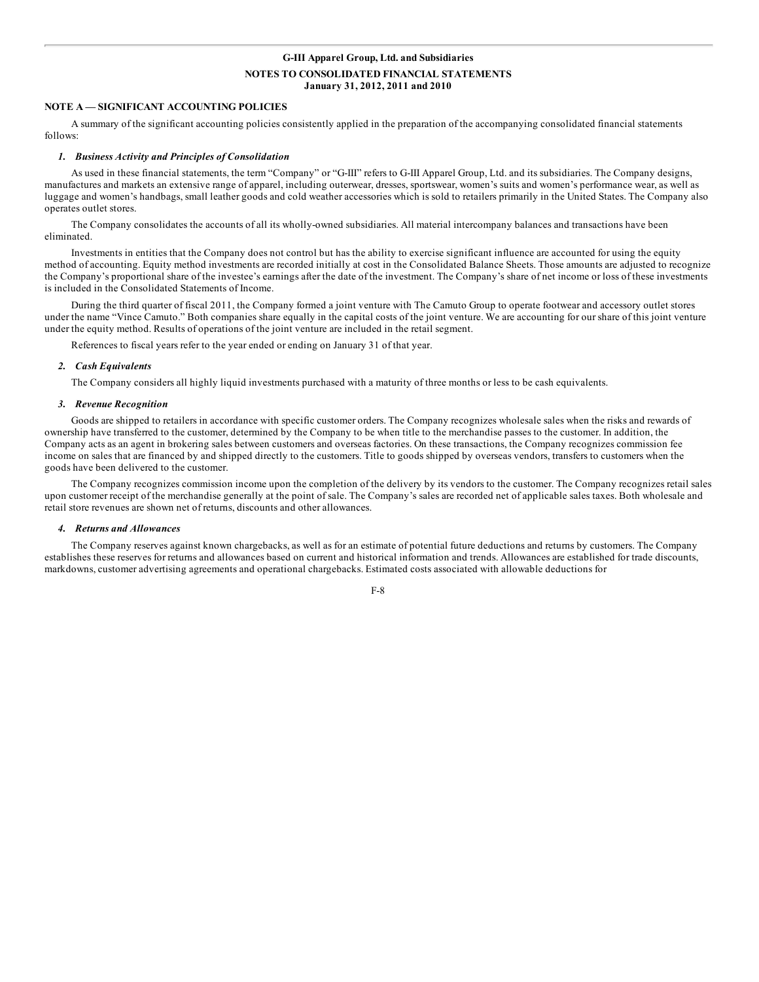## **G-III Apparel Group, Ltd. and Subsidiaries NOTES TO CONSOLIDATED FINANCIAL STATEMENTS January 31, 2012, 2011 and 2010**

### <span id="page-57-0"></span>**NOTE A — SIGNIFICANT ACCOUNTING POLICIES**

A summary of the significant accounting policies consistently applied in the preparation of the accompanying consolidated financial statements follows:

#### *1. Business Activity and Principles of Consolidation*

As used in these financial statements, the term "Company" or "G-III" refers to G-III Apparel Group, Ltd. and its subsidiaries. The Company designs, manufactures and markets an extensive range of apparel, including outerwear, dresses, sportswear, women's suits and women's performance wear, as well as luggage and women's handbags, small leather goods and cold weather accessories which is sold to retailers primarily in the United States. The Company also operates outlet stores.

The Company consolidates the accounts of all its wholly-owned subsidiaries. All material intercompany balances and transactions have been eliminated.

Investments in entities that the Company does not control but has the ability to exercise significant influence are accounted for using the equity method of accounting. Equity method investments are recorded initially at cost in the Consolidated Balance Sheets. Those amounts are adjusted to recognize the Company's proportional share of the investee's earnings after the date of the investment. The Company's share of net income or loss of these investments is included in the Consolidated Statements of Income.

During the third quarter of fiscal 2011, the Company formed a joint venture with The Camuto Group to operate footwear and accessory outlet stores under the name "Vince Camuto." Both companies share equally in the capital costs of the joint venture. We are accounting for our share of this joint venture under the equity method. Results of operations of the joint venture are included in the retail segment.

References to fiscal years refer to the year ended or ending on January 31 of that year.

### *2. Cash Equivalents*

The Company considers all highly liquid investments purchased with a maturity of three months or less to be cash equivalents.

#### *3. Revenue Recognition*

Goods are shipped to retailers in accordance with specific customer orders. The Company recognizes wholesale sales when the risks and rewards of ownership have transferred to the customer, determined by the Company to be when title to the merchandise passes to the customer. In addition, the Company acts as an agent in brokering sales between customers and overseas factories. On these transactions, the Company recognizes commission fee income on sales that are financed by and shipped directly to the customers. Title to goods shipped by overseas vendors, transfers to customers when the goods have been delivered to the customer.

The Company recognizes commission income upon the completion of the delivery by its vendors to the customer. The Company recognizes retail sales upon customer receipt of the merchandise generally at the point of sale. The Company's sales are recorded net of applicable sales taxes. Both wholesale and retail store revenues are shown net of returns, discounts and other allowances.

### *4. Returns and Allowances*

The Company reserves against known chargebacks, as well as for an estimate of potential future deductions and returns by customers. The Company establishes these reserves for returns and allowances based on current and historical information and trends. Allowances are established for trade discounts, markdowns, customer advertising agreements and operational chargebacks. Estimated costs associated with allowable deductions for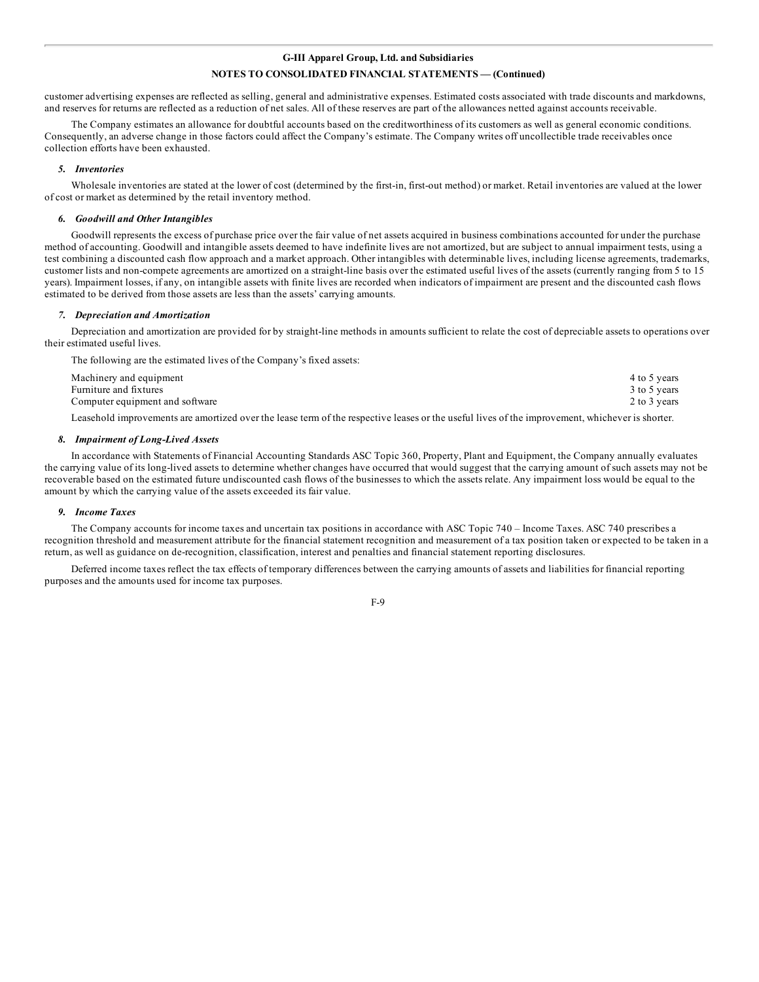customer advertising expenses are reflected as selling, general and administrative expenses. Estimated costs associated with trade discounts and markdowns, and reserves for returns are reflected as a reduction of net sales. All of these reserves are part of the allowances netted against accounts receivable.

The Company estimates an allowance for doubtful accounts based on the creditworthiness of its customers as well as general economic conditions. Consequently, an adverse change in those factors could affect the Company's estimate. The Company writes off uncollectible trade receivables once collection efforts have been exhausted.

#### *5. Inventories*

Wholesale inventories are stated at the lower of cost (determined by the first-in, first-out method) or market. Retail inventories are valued at the lower of cost or market as determined by the retail inventory method.

### *6. Goodwill and Other Intangibles*

Goodwill represents the excess of purchase price over the fair value of net assets acquired in business combinations accounted for under the purchase method of accounting. Goodwill and intangible assets deemed to have indefinite lives are not amortized, but are subject to annual impairment tests, using a test combining a discounted cash flow approach and a market approach. Other intangibles with determinable lives, including license agreements, trademarks, customer lists and non-compete agreements are amortized on a straight-line basis over the estimated useful lives of the assets (currently ranging from 5 to 15 years). Impairment losses, if any, on intangible assets with finite lives are recorded when indicators of impairment are present and the discounted cash flows estimated to be derived from those assets are less than the assets' carrying amounts.

#### *7. Depreciation and Amortization*

Depreciation and amortization are provided for by straight-line methods in amounts sufficient to relate the cost of depreciable assets to operations over their estimated useful lives.

The following are the estimated lives of the Company's fixed assets:

| Machinery and equipment                                                                                                                         | 4 to 5 years |
|-------------------------------------------------------------------------------------------------------------------------------------------------|--------------|
| Furniture and fixtures                                                                                                                          | 3 to 5 years |
| Computer equipment and software                                                                                                                 | 2 to 3 years |
| Leasehold improvements are amortized over the lease term of the respective leases or the useful lives of the improvement, whichever is shorter. |              |

#### *8. Impairment of Long-Lived Assets*

In accordance with Statements of Financial Accounting Standards ASC Topic 360, Property, Plant and Equipment, the Company annually evaluates the carrying value of its long-lived assets to determine whether changes have occurred that would suggest that the carrying amount of such assets may not be recoverable based on the estimated future undiscounted cash flows of the businesses to which the assets relate. Any impairment loss would be equal to the amount by which the carrying value of the assets exceeded its fair value.

#### *9. Income Taxes*

The Company accounts for income taxes and uncertain tax positions in accordance with ASC Topic 740 – Income Taxes. ASC 740 prescribes a recognition threshold and measurement attribute for the financial statement recognition and measurement of a tax position taken or expected to be taken in a return, as well as guidance on de-recognition, classification, interest and penalties and financial statement reporting disclosures.

Deferred income taxes reflect the tax effects of temporary differences between the carrying amounts of assets and liabilities for financial reporting purposes and the amounts used for income tax purposes.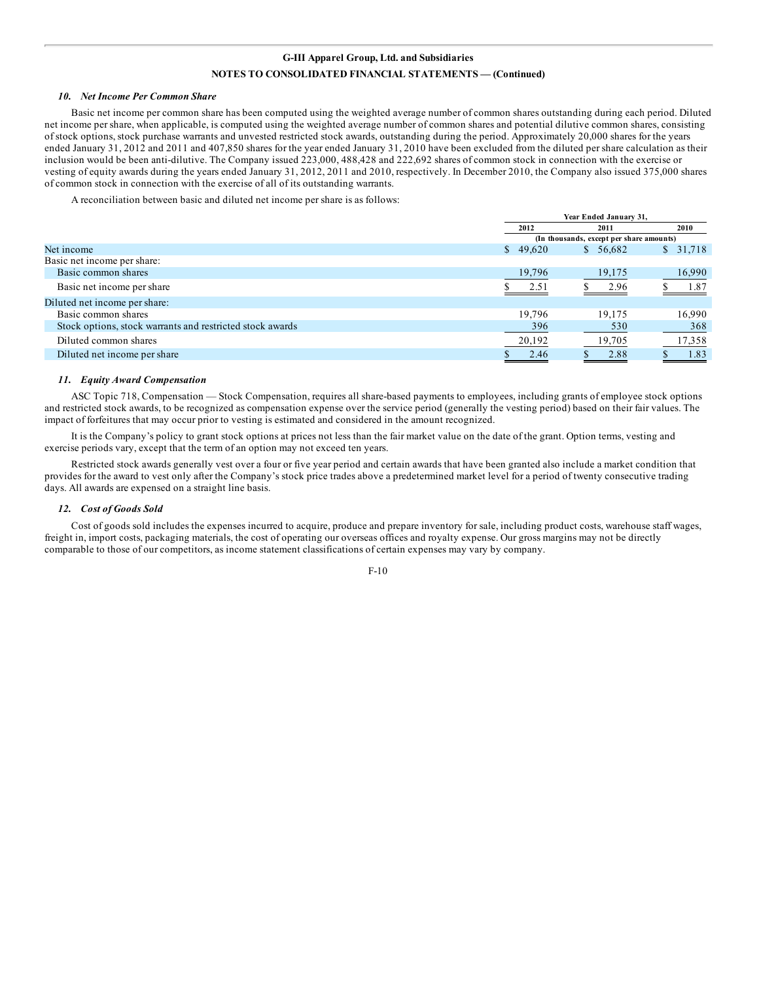### *10. Net Income Per Common Share*

Basic net income per common share has been computed using the weighted average number of common shares outstanding during each period. Diluted net income per share, when applicable, is computed using the weighted average number of common shares and potential dilutive common shares, consisting of stock options, stock purchase warrants and unvested restricted stock awards, outstanding during the period. Approximately 20,000 shares for the years ended January 31, 2012 and 2011 and 407,850 shares for the year ended January 31, 2010 have been excluded from the diluted per share calculation as their inclusion would be been anti-dilutive. The Company issued 223,000, 488,428 and 222,692 shares of common stock in connection with the exercise or vesting of equity awards during the years ended January 31, 2012, 2011 and 2010, respectively. In December 2010, the Company also issued 375,000 shares of common stock in connection with the exercise of all of its outstanding warrants.

A reconciliation between basic and diluted net income per share is as follows:

|                                                           |          | Year Ended January 31,                   |          |  |  |
|-----------------------------------------------------------|----------|------------------------------------------|----------|--|--|
|                                                           | 2012     | 2011                                     |          |  |  |
|                                                           |          | (In thousands, except per share amounts) |          |  |  |
| Net income                                                | \$49,620 | \$56,682                                 | \$31,718 |  |  |
| Basic net income per share:                               |          |                                          |          |  |  |
| Basic common shares                                       | 19,796   | 19,175                                   | 16,990   |  |  |
| Basic net income per share                                | 2.51     | 2.96                                     | 1.87     |  |  |
| Diluted net income per share:                             |          |                                          |          |  |  |
| Basic common shares                                       | 19,796   | 19,175                                   | 16,990   |  |  |
| Stock options, stock warrants and restricted stock awards | 396      | 530                                      | 368      |  |  |
| Diluted common shares                                     | 20,192   | 19,705                                   | 17,358   |  |  |
| Diluted net income per share                              | 2.46     | 2.88                                     | 1.83     |  |  |

#### *11. Equity Award Compensation*

ASC Topic 718, Compensation — Stock Compensation, requires all share-based payments to employees, including grants of employee stock options and restricted stock awards, to be recognized as compensation expense over the service period (generally the vesting period) based on their fair values. The impact of forfeitures that may occur prior to vesting is estimated and considered in the amount recognized.

It is the Company's policy to grant stock options at prices not less than the fair market value on the date of the grant. Option terms, vesting and exercise periods vary, except that the term of an option may not exceed ten years.

Restricted stock awards generally vest over a four or five year period and certain awards that have been granted also include a market condition that provides for the award to vest only after the Company's stock price trades above a predetermined market level for a period of twenty consecutive trading days. All awards are expensed on a straight line basis.

### *12. Cost of Goods Sold*

Cost of goods sold includes the expenses incurred to acquire, produce and prepare inventory for sale, including product costs, warehouse staff wages, freight in, import costs, packaging materials, the cost of operating our overseas offices and royalty expense. Our gross margins may not be directly comparable to those of our competitors, as income statement classifications of certain expenses may vary by company.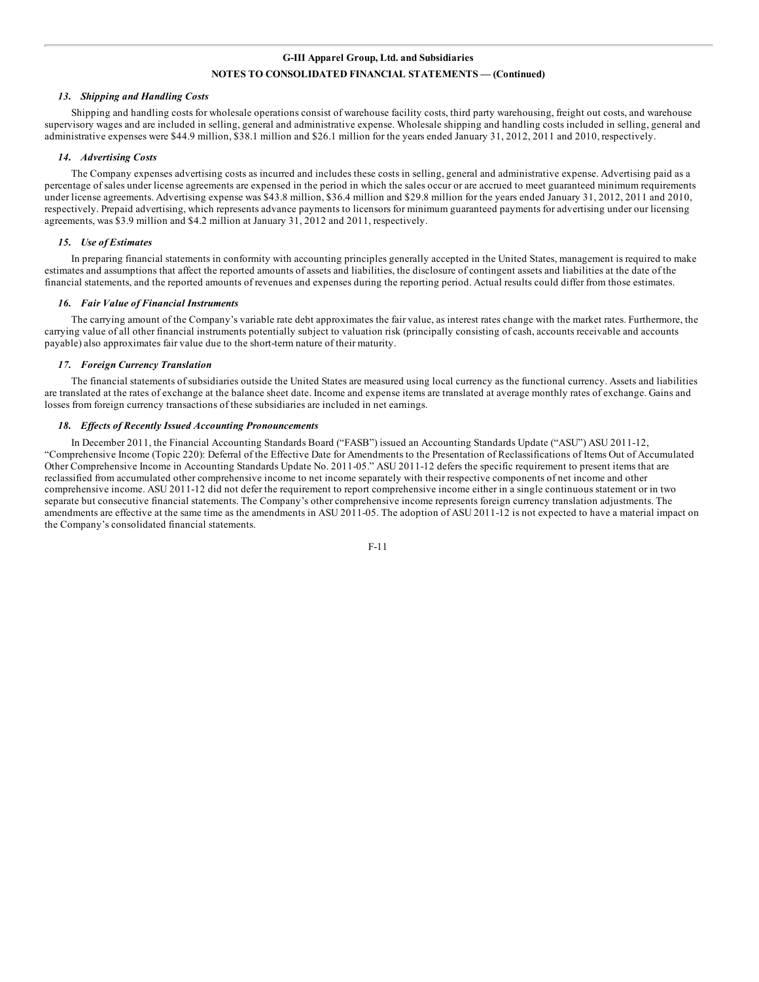### *13. Shipping and Handling Costs*

Shipping and handling costs for wholesale operations consist of warehouse facility costs, third party warehousing, freight out costs, and warehouse supervisory wages and are included in selling, general and administrative expense. Wholesale shipping and handling costs included in selling, general and administrative expenses were \$44.9 million, \$38.1 million and \$26.1 million for the years ended January 31, 2012, 2011 and 2010, respectively.

### *14. Advertising Costs*

The Company expenses advertising costs as incurred and includes these costs in selling, general and administrative expense. Advertising paid as a percentage of sales under license agreements are expensed in the period in which the sales occur or are accrued to meet guaranteed minimum requirements under license agreements. Advertising expense was \$43.8 million, \$36.4 million and \$29.8 million for the years ended January 31, 2012, 2011 and 2010, respectively. Prepaid advertising, which represents advance payments to licensors for minimum guaranteed payments for advertising under our licensing agreements, was \$3.9 million and \$4.2 million at January 31, 2012 and 2011, respectively.

### *15. Use of Estimates*

In preparing financial statements in conformity with accounting principles generally accepted in the United States, management is required to make estimates and assumptions that affect the reported amounts of assets and liabilities, the disclosure of contingent assets and liabilities at the date of the financial statements, and the reported amounts of revenues and expenses during the reporting period. Actual results could differ from those estimates.

### *16. Fair Value of Financial Instruments*

The carrying amount of the Company's variable rate debt approximates the fair value, as interest rates change with the market rates. Furthermore, the carrying value of all other financial instruments potentially subject to valuation risk (principally consisting of cash, accounts receivable and accounts payable) also approximates fair value due to the short-term nature of their maturity.

### *17. Foreign Currency Translation*

The financial statements of subsidiaries outside the United States are measured using local currency as the functional currency. Assets and liabilities are translated at the rates of exchange at the balance sheet date. Income and expense items are translated at average monthly rates of exchange. Gains and losses from foreign currency transactions of these subsidiaries are included in net earnings.

### *18. Ef ects of Recently Issued Accounting Pronouncements*

In December 2011, the Financial Accounting Standards Board ("FASB") issued an Accounting Standards Update ("ASU") ASU 2011-12, "Comprehensive Income (Topic 220): Deferral of the Effective Date for Amendments to the Presentation of Reclassifications of Items Out of Accumulated Other Comprehensive Income in Accounting Standards Update No. 2011-05." ASU 2011-12 defers the specific requirement to present items that are reclassified from accumulated other comprehensive income to net income separately with their respective components of net income and other comprehensive income. ASU 2011-12 did not defer the requirement to report comprehensive income either in a single continuous statement or in two separate but consecutive financial statements. The Company's other comprehensive income represents foreign currency translation adjustments. The amendments are effective at the same time as the amendments in ASU 2011-05. The adoption of ASU 2011-12 is not expected to have a material impact on the Company's consolidated financial statements.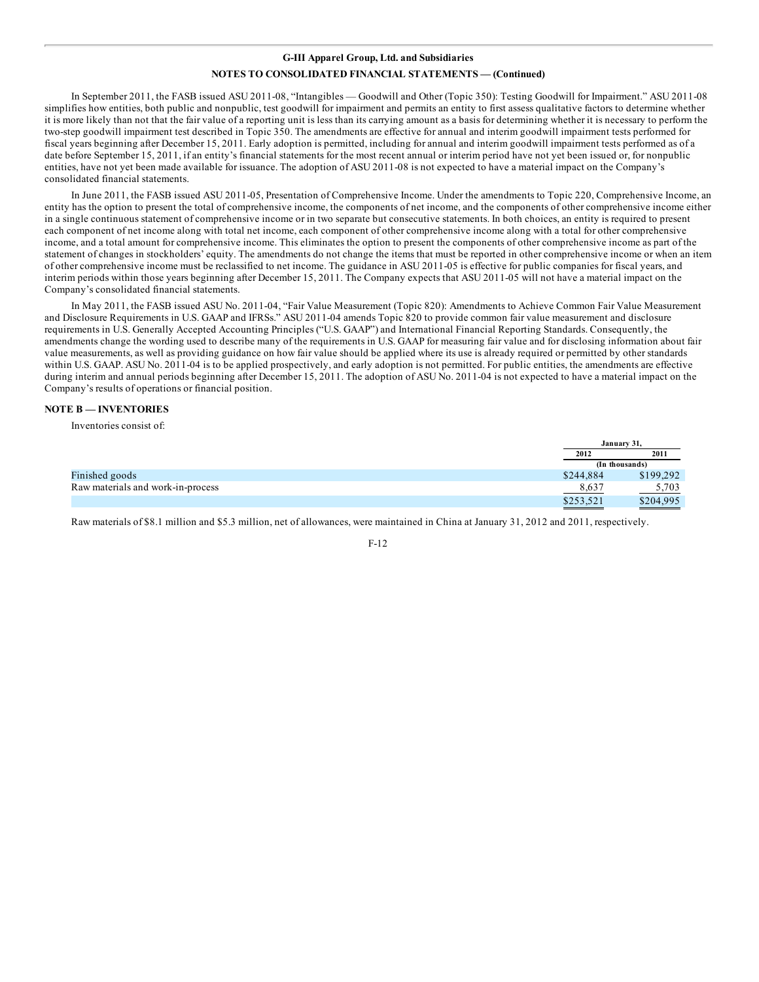In September 2011, the FASB issued ASU 2011-08, "Intangibles — Goodwill and Other (Topic 350): Testing Goodwill for Impairment." ASU 2011-08 simplifies how entities, both public and nonpublic, test goodwill for impairment and permits an entity to first assess qualitative factors to determine whether it is more likely than not that the fair value of a reporting unit is less than its carrying amount as a basis for determining whether it is necessary to perform the two-step goodwill impairment test described in Topic 350. The amendments are effective for annual and interim goodwill impairment tests performed for fiscal years beginning after December 15, 2011. Early adoption is permitted, including for annual and interim goodwill impairment tests performed as of a date before September 15, 2011, if an entity's financial statements for the most recent annual or interim period have not yet been issued or, for nonpublic entities, have not yet been made available for issuance. The adoption of ASU 2011-08 is not expected to have a material impact on the Company's consolidated financial statements.

In June 2011, the FASB issued ASU 2011-05, Presentation of Comprehensive Income. Under the amendments to Topic 220, Comprehensive Income, an entity has the option to present the total of comprehensive income, the components of net income, and the components of other comprehensive income either in a single continuous statement of comprehensive income or in two separate but consecutive statements. In both choices, an entity is required to present each component of net income along with total net income, each component of other comprehensive income along with a total for other comprehensive income, and a total amount for comprehensive income. This eliminates the option to present the components of other comprehensive income as part of the statement of changes in stockholders' equity. The amendments do not change the items that must be reported in other comprehensive income or when an item of other comprehensive income must be reclassified to net income. The guidance in ASU 2011-05 is effective for public companies for fiscal years, and interim periods within those years beginning after December 15, 2011. The Company expects that ASU 2011-05 will not have a material impact on the Company's consolidated financial statements.

In May 2011, the FASB issued ASU No. 2011-04, "Fair Value Measurement (Topic 820): Amendments to Achieve Common Fair Value Measurement and Disclosure Requirements in U.S. GAAP and IFRSs." ASU 2011-04 amends Topic 820 to provide common fair value measurement and disclosure requirements in U.S. Generally Accepted Accounting Principles ("U.S. GAAP") and International Financial Reporting Standards. Consequently, the amendments change the wording used to describe many of the requirements in U.S. GAAP for measuring fair value and for disclosing information about fair value measurements, as well as providing guidance on how fair value should be applied where its use is already required or permitted by other standards within U.S. GAAP. ASU No. 2011-04 is to be applied prospectively, and early adoption is not permitted. For public entities, the amendments are effective during interim and annual periods beginning after December 15, 2011. The adoption of ASU No. 2011-04 is not expected to have a material impact on the Company's results of operations or financial position.

### **NOTE B — INVENTORIES**

Inventories consist of:

|                                   |           | January 31,    |
|-----------------------------------|-----------|----------------|
|                                   | 2012      | 2011           |
|                                   |           | (In thousands) |
| Finished goods                    | \$244,884 | \$199,292      |
| Raw materials and work-in-process | 8,637     | 5,703          |
|                                   | \$253,521 | \$204,995      |

Raw materials of \$8.1 million and \$5.3 million, net of allowances, were maintained in China at January 31, 2012 and 2011, respectively.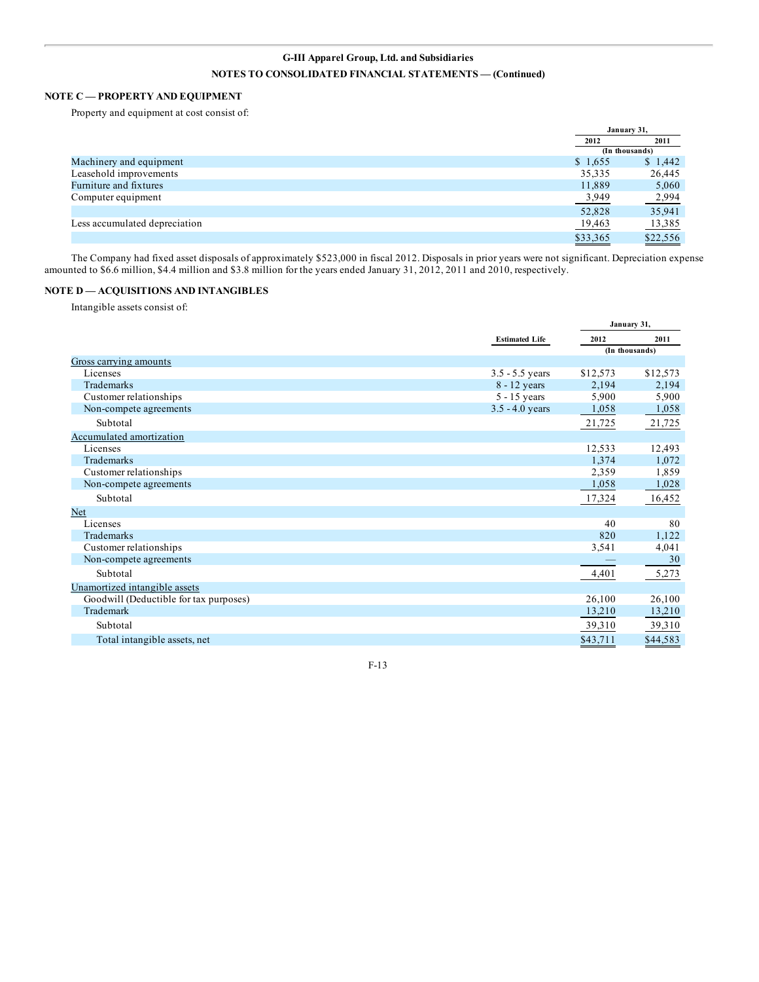# **NOTE C — PROPERTY AND EQUIPMENT**

Property and equipment at cost consist of:

|                               |          | January 31,    |
|-------------------------------|----------|----------------|
|                               | 2012     | 2011           |
|                               |          | (In thousands) |
| Machinery and equipment       | \$1,655  | \$1,442        |
| Leasehold improvements        | 35,335   | 26,445         |
| Furniture and fixtures        | 11,889   | 5,060          |
| Computer equipment            | 3,949    | 2,994          |
|                               | 52,828   | 35,941         |
| Less accumulated depreciation | 19,463   | 13,385         |
|                               | \$33,365 | \$22,556       |

The Company had fixed asset disposals of approximately \$523,000 in fiscal 2012. Disposals in prior years were not significant. Depreciation expense amounted to \$6.6 million, \$4.4 million and \$3.8 million for the years ended January 31, 2012, 2011 and 2010, respectively.

## **NOTE D — ACQUISITIONS AND INTANGIBLES**

Intangible assets consist of:

|                                        |                       |          | January 31,    |
|----------------------------------------|-----------------------|----------|----------------|
|                                        | <b>Estimated Life</b> | 2012     | 2011           |
|                                        |                       |          | (In thousands) |
| Gross carrying amounts                 |                       |          |                |
| Licenses                               | $3.5 - 5.5$ years     | \$12,573 | \$12,573       |
| Trademarks                             | 8 - 12 years          | 2,194    | 2,194          |
| Customer relationships                 | $5 - 15$ years        | 5,900    | 5,900          |
| Non-compete agreements                 | $3.5 - 4.0$ years     | 1,058    | 1,058          |
| Subtotal                               |                       | 21,725   | 21,725         |
| Accumulated amortization               |                       |          |                |
| Licenses                               |                       | 12,533   | 12,493         |
| <b>Trademarks</b>                      |                       | 1,374    | 1,072          |
| Customer relationships                 |                       | 2,359    | 1,859          |
| Non-compete agreements                 |                       | 1,058    | 1,028          |
| Subtotal                               |                       | 17,324   | 16,452         |
| Net                                    |                       |          |                |
| Licenses                               |                       | 40       | 80             |
| <b>Trademarks</b>                      |                       | 820      | 1,122          |
| Customer relationships                 |                       | 3,541    | 4,041          |
| Non-compete agreements                 |                       |          | 30             |
| Subtotal                               |                       | 4,401    | 5,273          |
| Unamortized intangible assets          |                       |          |                |
| Goodwill (Deductible for tax purposes) |                       | 26,100   | 26,100         |
| Trademark                              |                       | 13,210   | 13,210         |
| Subtotal                               |                       | 39,310   | 39,310         |
| Total intangible assets, net           |                       | \$43,711 | \$44,583       |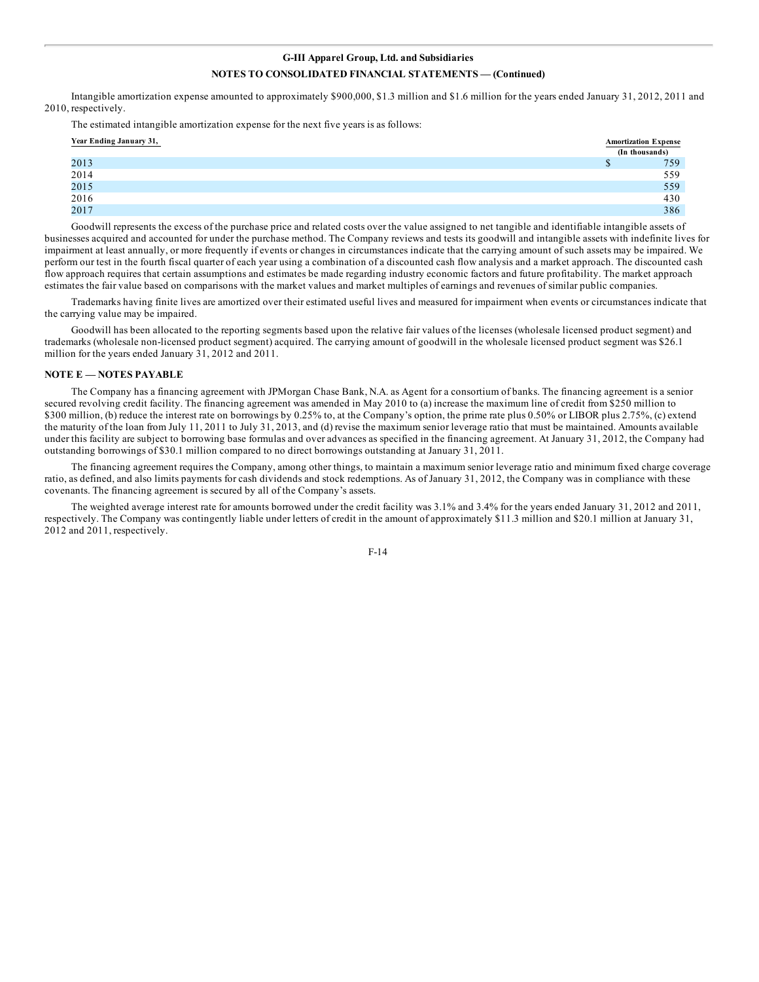Intangible amortization expense amounted to approximately \$900,000, \$1.3 million and \$1.6 million for the years ended January 31, 2012, 2011 and 2010, respectively.

The estimated intangible amortization expense for the next five years is as follows:

| <b>Year Ending January 31,</b> |   | <b>Amortization Expense</b> |
|--------------------------------|---|-----------------------------|
|                                |   | (In thousands)              |
| 2013                           | D | 759                         |
| 2014                           |   | 559                         |
| 2015                           |   | 559                         |
| 2016                           |   | 430                         |
| 2017                           |   | 386                         |

Goodwill represents the excess of the purchase price and related costs over the value assigned to net tangible and identifiable intangible assets of businesses acquired and accounted for under the purchase method. The Company reviews and tests its goodwill and intangible assets with indefinite lives for impairment at least annually, or more frequently if events or changes in circumstances indicate that the carrying amount of such assets may be impaired. We perform our test in the fourth fiscal quarter of each year using a combination of a discounted cash flow analysis and a market approach. The discounted cash flow approach requires that certain assumptions and estimates be made regarding industry economic factors and future profitability. The market approach estimates the fair value based on comparisons with the market values and market multiples of earnings and revenues of similar public companies.

Trademarks having finite lives are amortized over their estimated useful lives and measured for impairment when events or circumstances indicate that the carrying value may be impaired.

Goodwill has been allocated to the reporting segments based upon the relative fair values of the licenses (wholesale licensed product segment) and trademarks (wholesale non-licensed product segment) acquired. The carrying amount of goodwill in the wholesale licensed product segment was \$26.1 million for the years ended January 31, 2012 and 2011.

#### **NOTE E — NOTES PAYABLE**

The Company has a financing agreement with JPMorgan Chase Bank, N.A. as Agent for a consortium of banks. The financing agreement is a senior secured revolving credit facility. The financing agreement was amended in May 2010 to (a) increase the maximum line of credit from \$250 million to \$300 million, (b) reduce the interest rate on borrowings by 0.25% to, at the Company's option, the prime rate plus 0.50% or LIBOR plus 2.75%, (c) extend the maturity of the loan from July 11, 2011 to July 31, 2013, and (d) revise the maximum senior leverage ratio that must be maintained. Amounts available under this facility are subject to borrowing base formulas and over advances as specified in the financing agreement. At January 31, 2012, the Company had outstanding borrowings of \$30.1 million compared to no direct borrowings outstanding at January 31, 2011.

The financing agreement requires the Company, among other things, to maintain a maximum senior leverage ratio and minimum fixed charge coverage ratio, as defined, and also limits payments for cash dividends and stock redemptions. As of January 31, 2012, the Company was in compliance with these covenants. The financing agreement is secured by all of the Company's assets.

The weighted average interest rate for amounts borrowed under the credit facility was 3.1% and 3.4% for the years ended January 31, 2012 and 2011, respectively. The Company was contingently liable under letters of credit in the amount of approximately \$11.3 million and \$20.1 million at January 31, 2012 and 2011, respectively.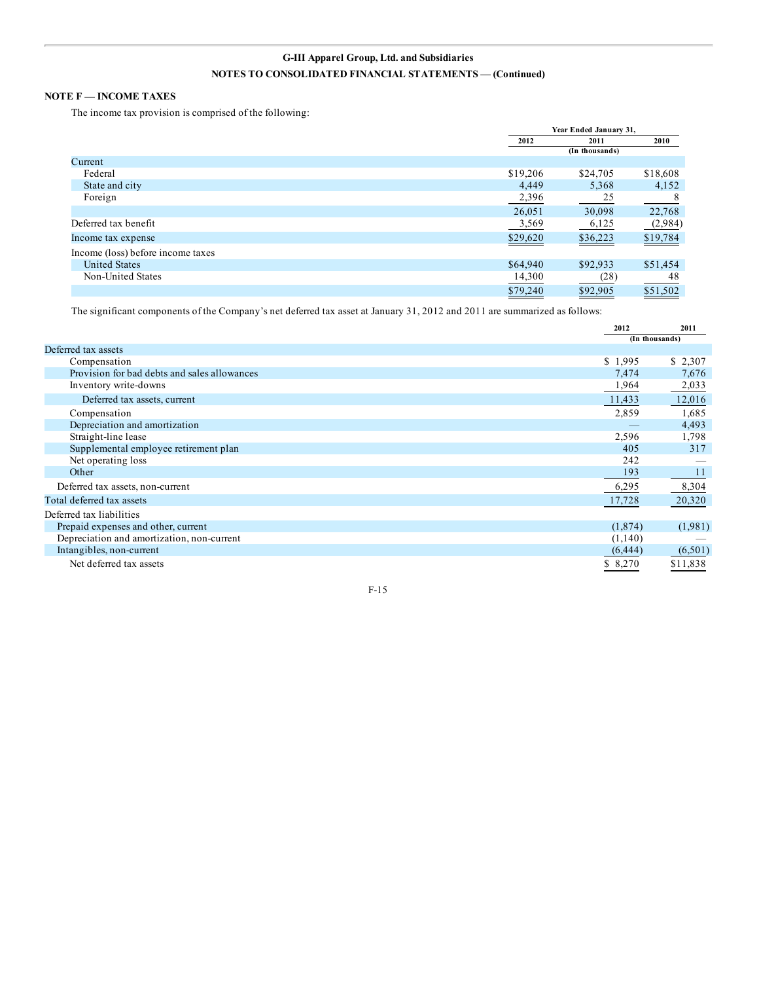# **NOTE F — INCOME TAXES**

The income tax provision is comprised of the following:

|                                   |          | Year Ended January 31, |          |  |  |
|-----------------------------------|----------|------------------------|----------|--|--|
|                                   | 2012     | 2011                   | 2010     |  |  |
|                                   |          | (In thousands)         |          |  |  |
| Current                           |          |                        |          |  |  |
| Federal                           | \$19,206 | \$24,705               | \$18,608 |  |  |
| State and city                    | 4.449    | 5,368                  | 4,152    |  |  |
| Foreign                           | 2,396    | 25                     |          |  |  |
|                                   | 26,051   | 30,098                 | 22,768   |  |  |
| Deferred tax benefit              | 3,569    | 6,125                  | (2,984)  |  |  |
| Income tax expense                | \$29,620 | \$36,223               | \$19,784 |  |  |
| Income (loss) before income taxes |          |                        |          |  |  |
| <b>United States</b>              | \$64,940 | \$92,933               | \$51,454 |  |  |
| Non-United States                 | 14,300   | (28)                   | 48       |  |  |
|                                   | \$79,240 | \$92,905               | \$51,502 |  |  |

The significant components of the Company's net deferred tax asset at January 31, 2012 and 2011 are summarized as follows:

|                                              | 2012    | 2011           |
|----------------------------------------------|---------|----------------|
|                                              |         | (In thousands) |
| Deferred tax assets                          |         |                |
| Compensation                                 | \$1,995 | \$2,307        |
| Provision for bad debts and sales allowances | 7,474   | 7,676          |
| Inventory write-downs                        | 1,964   | 2,033          |
| Deferred tax assets, current                 | 11,433  | 12,016         |
| Compensation                                 | 2,859   | 1,685          |
| Depreciation and amortization                |         | 4,493          |
| Straight-line lease                          | 2,596   | 1,798          |
| Supplemental employee retirement plan        | 405     | 317            |
| Net operating loss                           | 242     |                |
| Other                                        | 193     | 11             |
| Deferred tax assets, non-current             | 6,295   | 8,304          |
| Total deferred tax assets                    | 17,728  | 20,320         |
| Deferred tax liabilities                     |         |                |
| Prepaid expenses and other, current          | (1,874) | (1,981)        |
| Depreciation and amortization, non-current   | (1,140) |                |
| Intangibles, non-current                     | (6,444) | (6,501)        |
| Net deferred tax assets                      | \$8,270 | \$11,838       |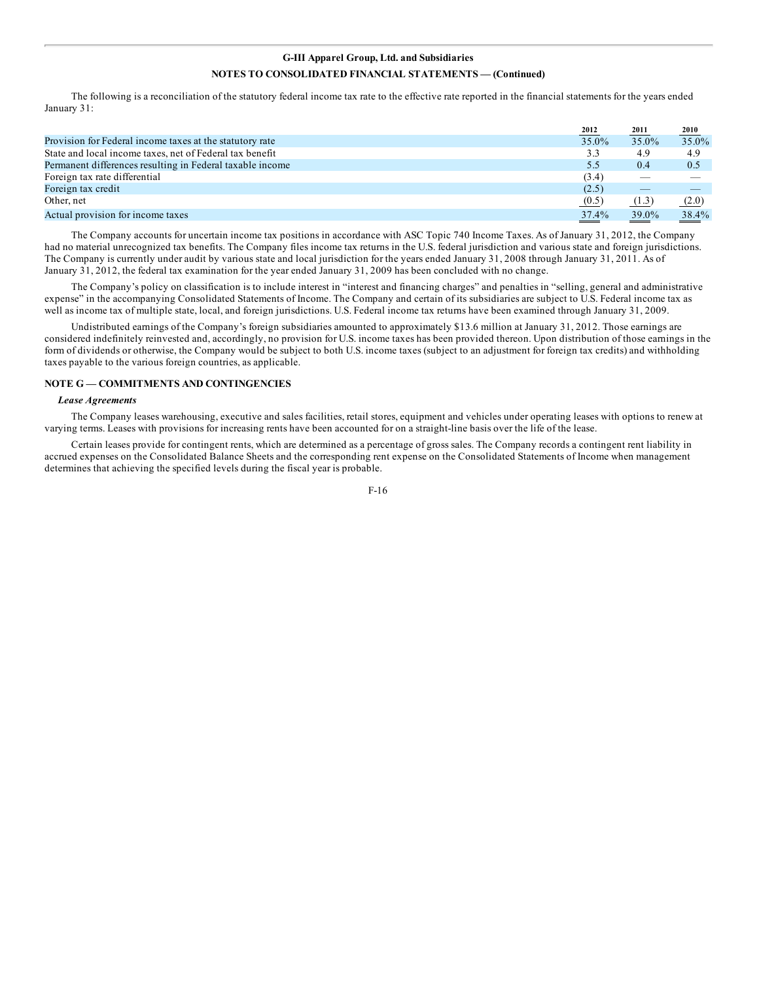The following is a reconciliation of the statutory federal income tax rate to the effective rate reported in the financial statements for the years ended January 31:

|                                                           | 2012  | 2011                     | <b>2010</b>  |
|-----------------------------------------------------------|-------|--------------------------|--------------|
| Provision for Federal income taxes at the statutory rate  | 35.0% | 35.0%                    | 35.0%        |
| State and local income taxes, net of Federal tax benefit  | 3.3   | 4.9                      | 4.9          |
| Permanent differences resulting in Federal taxable income | 5.5   | 0.4                      | 0.5          |
| Foreign tax rate differential                             | (3.4) | $\overline{\phantom{m}}$ |              |
| Foreign tax credit                                        | (2.5) |                          |              |
| Other, net                                                | (0.5) | (1.3)                    | (2.0)        |
| Actual provision for income taxes                         | 37.4% | 39.0%                    | 38.4%<br>___ |

The Company accounts for uncertain income tax positions in accordance with ASC Topic 740 Income Taxes. As of January 31, 2012, the Company had no material unrecognized tax benefits. The Company files income tax returns in the U.S. federal jurisdiction and various state and foreign jurisdictions. The Company is currently under audit by various state and local jurisdiction for the years ended January 31, 2008 through January 31, 2011. As of January 31, 2012, the federal tax examination for the year ended January 31, 2009 has been concluded with no change.

The Company's policy on classification is to include interest in "interest and financing charges" and penalties in "selling, general and administrative expense" in the accompanying Consolidated Statements of Income. The Company and certain of its subsidiaries are subject to U.S. Federal income tax as well as income tax of multiple state, local, and foreign jurisdictions. U.S. Federal income tax returns have been examined through January 31, 2009.

Undistributed earnings of the Company's foreign subsidiaries amounted to approximately \$13.6 million at January 31, 2012. Those earnings are considered indefinitely reinvested and, accordingly, no provision for U.S. income taxes has been provided thereon. Upon distribution of those earnings in the form of dividends or otherwise, the Company would be subject to both U.S. income taxes (subject to an adjustment for foreign tax credits) and withholding taxes payable to the various foreign countries, as applicable.

## **NOTE G — COMMITMENTS AND CONTINGENCIES**

### *Lease Agreements*

The Company leases warehousing, executive and sales facilities, retail stores, equipment and vehicles under operating leases with options to renew at varying terms. Leases with provisions for increasing rents have been accounted for on a straight-line basis over the life of the lease.

Certain leases provide for contingent rents, which are determined as a percentage of gross sales. The Company records a contingent rent liability in accrued expenses on the Consolidated Balance Sheets and the corresponding rent expense on the Consolidated Statements of Income when management determines that achieving the specified levels during the fiscal year is probable.

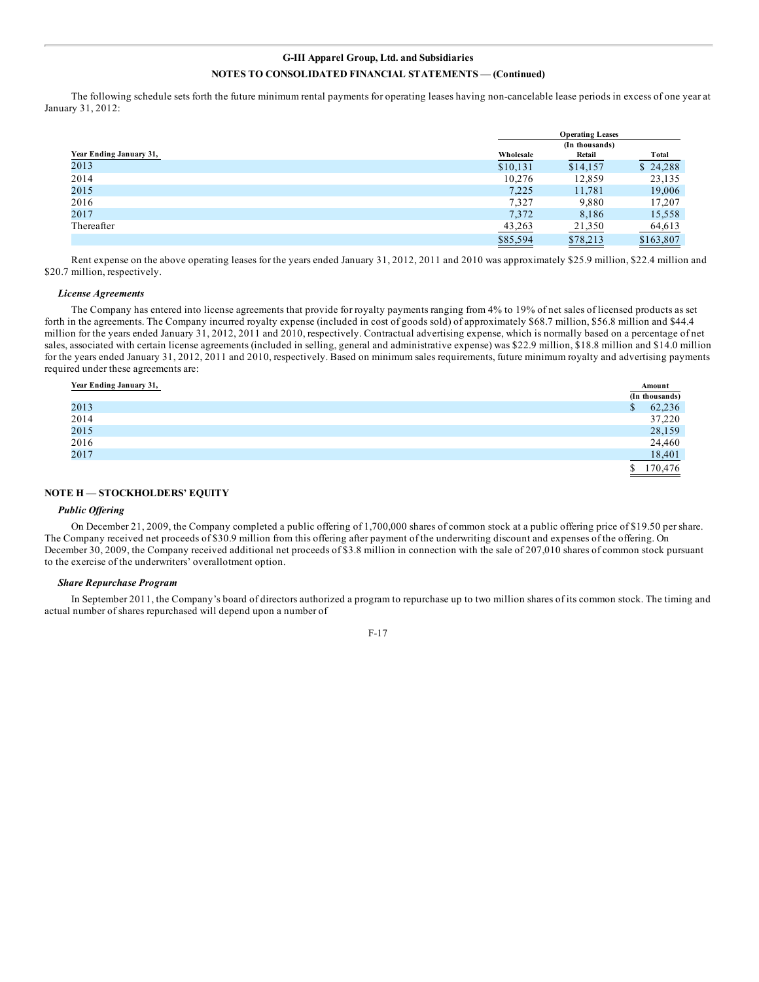The following schedule sets forth the future minimum rental payments for operating leases having non-cancelable lease periods in excess of one year at January 31, 2012:

|                         |           | <b>Operating Leases</b> |           |
|-------------------------|-----------|-------------------------|-----------|
|                         |           | (In thousands)          |           |
| Year Ending January 31, | Wholesale | Retail                  | Total     |
| 2013                    | \$10,131  | \$14,157                | \$24,288  |
| 2014                    | 10.276    | 12,859                  | 23,135    |
| 2015                    | 7,225     | 11,781                  | 19,006    |
| 2016                    | 7,327     | 9,880                   | 17,207    |
| 2017                    | 7.372     | 8,186                   | 15,558    |
| Thereafter              | 43,263    | 21,350                  | 64,613    |
|                         | \$85,594  | \$78,213                | \$163,807 |

Rent expense on the above operating leases for the years ended January 31, 2012, 2011 and 2010 was approximately \$25.9 million, \$22.4 million and \$20.7 million, respectively.

### *License Agreements*

The Company has entered into license agreements that provide for royalty payments ranging from 4% to 19% of net sales of licensed products as set forth in the agreements. The Company incurred royalty expense (included in cost of goods sold) of approximately \$68.7 million, \$56.8 million and \$44.4 million for the years ended January 31, 2012, 2011 and 2010, respectively. Contractual advertising expense, which is normally based on a percentage of net sales, associated with certain license agreements (included in selling, general and administrative expense) was \$22.9 million, \$18.8 million and \$14.0 million for the years ended January 31, 2012, 2011 and 2010, respectively. Based on minimum sales requirements, future minimum royalty and advertising payments required under these agreements are:

| Year Ending January 31, | Amount         |
|-------------------------|----------------|
|                         | (In thousands) |
| 2013                    | 62,236<br>S    |
|                         | 37,220         |
| $\frac{2014}{2015}$     | 28,159         |
| $\frac{2016}{2017}$     | 24,460         |
|                         | 18,401         |
|                         | 170,476<br>S   |

## **NOTE H — STOCKHOLDERS' EQUITY**

#### *Public Of ering*

On December 21, 2009, the Company completed a public offering of 1,700,000 shares of common stock at a public offering price of \$19.50 per share. The Company received net proceeds of \$30.9 million from this offering after payment of the underwriting discount and expenses of the offering. On December 30, 2009, the Company received additional net proceeds of \$3.8 million in connection with the sale of 207,010 shares of common stock pursuant to the exercise of the underwriters' overallotment option.

#### *Share Repurchase Program*

In September 2011, the Company's board of directors authorized a program to repurchase up to two million shares of its common stock. The timing and actual number of shares repurchased will depend upon a number of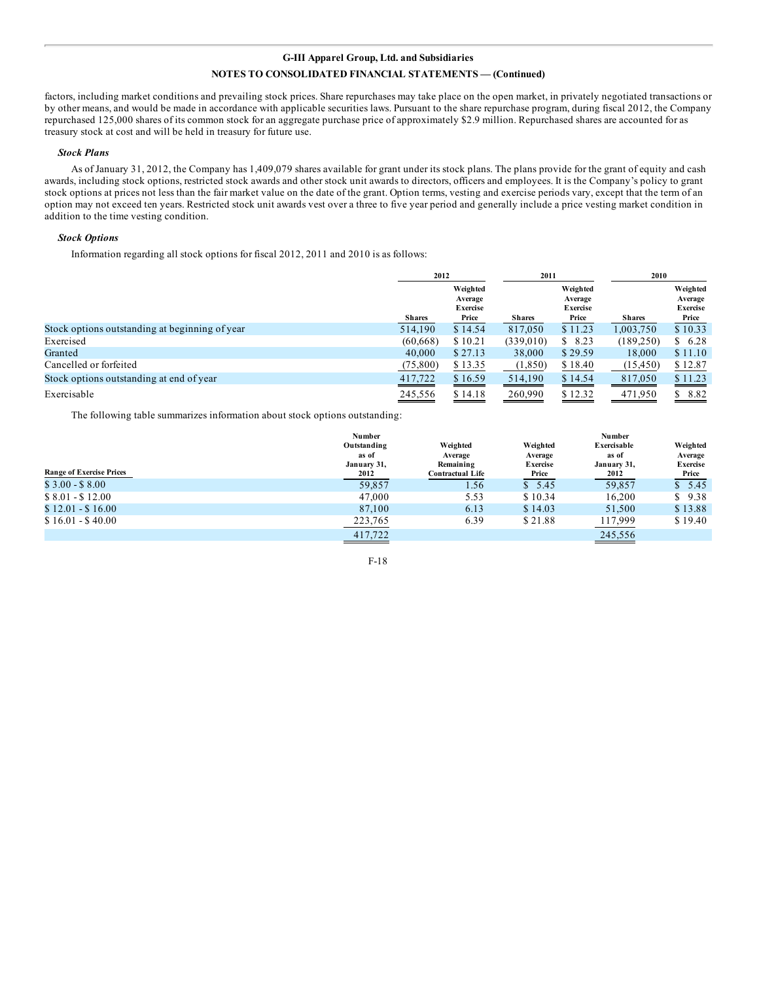factors, including market conditions and prevailing stock prices. Share repurchases may take place on the open market, in privately negotiated transactions or by other means, and would be made in accordance with applicable securities laws. Pursuant to the share repurchase program, during fiscal 2012, the Company repurchased 125,000 shares of its common stock for an aggregate purchase price of approximately \$2.9 million. Repurchased shares are accounted for as treasury stock at cost and will be held in treasury for future use.

#### *Stock Plans*

As of January 31, 2012, the Company has 1,409,079 shares available for grant under its stock plans. The plans provide for the grant of equity and cash awards, including stock options, restricted stock awards and other stock unit awards to directors, officers and employees. It is the Company's policy to grant stock options at prices not less than the fair market value on the date of the grant. Option terms, vesting and exercise periods vary, except that the term of an option may not exceed ten years. Restricted stock unit awards vest over a three to five year period and generally include a price vesting market condition in addition to the time vesting condition.

### *Stock Options*

Information regarding all stock options for fiscal 2012, 2011 and 2010 is as follows:

|                                                | 2012          |                                                 | 2011          |                                                 | 2010          |                                                 |
|------------------------------------------------|---------------|-------------------------------------------------|---------------|-------------------------------------------------|---------------|-------------------------------------------------|
|                                                | <b>Shares</b> | Weighted<br>Average<br><b>Exercise</b><br>Price | <b>Shares</b> | Weighted<br>Average<br><b>Exercise</b><br>Price | <b>Shares</b> | Weighted<br>Average<br><b>Exercise</b><br>Price |
| Stock options outstanding at beginning of year | 514.190       | \$14.54                                         | 817,050       | \$11.23                                         | 1,003,750     | \$10.33                                         |
| Exercised                                      | (60, 668)     | \$10.21                                         | (339,010)     | \$8.23                                          | (189, 250)    | \$6.28                                          |
| Granted                                        | 40,000        | \$27.13                                         | 38,000        | \$29.59                                         | 18,000        | \$11.10                                         |
| Cancelled or forfeited                         | (75,800)      | \$13.35                                         | (1,850)       | \$18.40                                         | (15, 450)     | \$12.87                                         |
| Stock options outstanding at end of year       | 417,722       | \$16.59                                         | 514,190       | \$14.54                                         | 817,050       | \$11.23                                         |
| Exercisable                                    | 245,556       | \$14.18                                         | 260,990       | \$12.32                                         | 471,950       | 8.82<br>S.                                      |

The following table summarizes information about stock options outstanding:

| <b>Range of Exercise Prices</b> | Number<br>Outstanding<br>as of<br>January 31,<br>2012 | Weighted<br>Average<br>Remaining<br><b>Contractual Life</b> | Weighted<br>Average<br><b>Exercise</b><br>Price | Number<br>Exercisable<br>as of<br>January 31,<br>2012 | Weighted<br>Average<br><b>Exercise</b><br>Price |
|---------------------------------|-------------------------------------------------------|-------------------------------------------------------------|-------------------------------------------------|-------------------------------------------------------|-------------------------------------------------|
| $$3.00 - $8.00$                 | 59.857                                                | 1.56                                                        | \$5.45                                          | 59.857                                                | \$5.45                                          |
| $$8.01 - $12.00$                | 47,000                                                | 5.53                                                        | \$10.34                                         | 16.200                                                | \$9.38                                          |
| $$12.01 - $16.00$               | 87,100                                                | 6.13                                                        | \$14.03                                         | 51,500                                                | \$13.88                                         |
| $$16.01 - $40.00$               | 223,765                                               | 6.39                                                        | \$21.88                                         | 117,999                                               | \$19.40                                         |
|                                 | 417,722                                               |                                                             |                                                 | 245,556                                               |                                                 |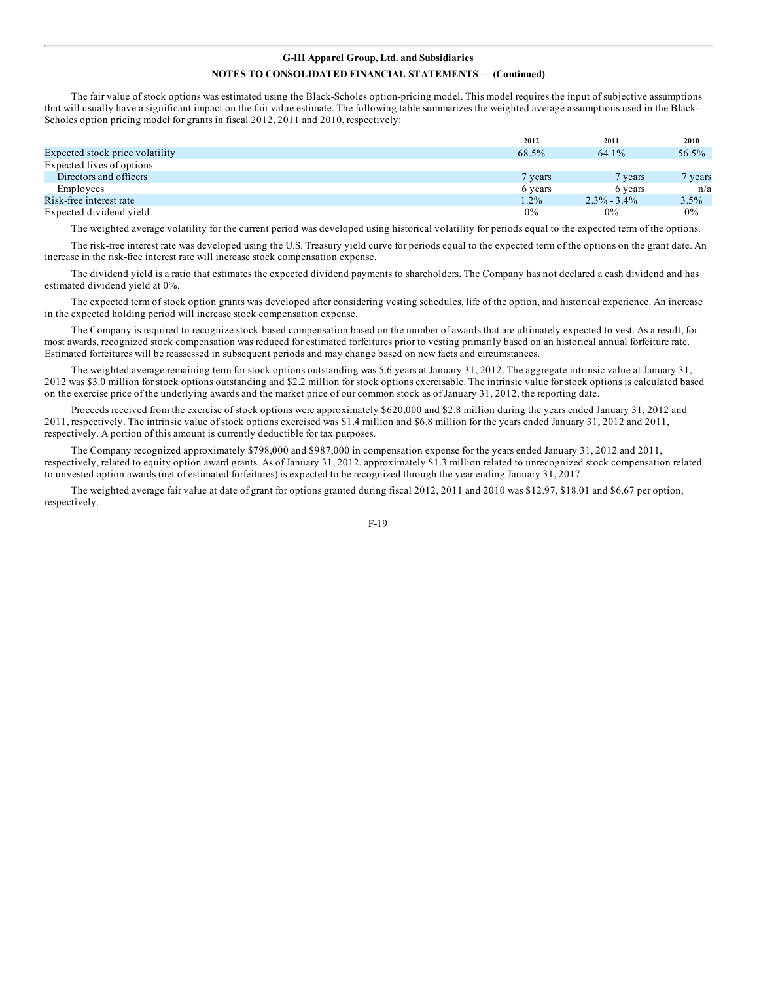The fair value of stock options was estimated using the Black-Scholes option-pricing model. This model requires the input of subjective assumptions that will usually have a significant impact on the fair value estimate. The following table summarizes the weighted average assumptions used in the Black-Scholes option pricing model for grants in fiscal 2012, 2011 and 2010, respectively:

|                                 | 2012    | 2011            | 2010         |
|---------------------------------|---------|-----------------|--------------|
| Expected stock price volatility | 68.5%   | 64.1%           | 56.5%        |
| Expected lives of options       |         |                 |              |
| Directors and officers          | 7 years | 7 years         | <i>vears</i> |
| Employees                       | 6 years | 6 years         | n/a          |
| Risk-free interest rate         | $1.2\%$ | $2.3\% - 3.4\%$ | 3.5%         |
| Expected dividend yield         | 0%      | $0\%$           | 0%           |

The weighted average volatility for the current period was developed using historical volatility for periods equal to the expected term of the options.

The risk-free interest rate was developed using the U.S. Treasury yield curve for periods equal to the expected term of the options on the grant date. An increase in the risk-free interest rate will increase stock compensation expense.

The dividend yield is a ratio that estimates the expected dividend payments to shareholders. The Company has not declared a cash dividend and has estimated dividend yield at 0%.

The expected term of stock option grants was developed after considering vesting schedules, life of the option, and historical experience. An increase in the expected holding period will increase stock compensation expense.

The Company is required to recognize stock-based compensation based on the number of awards that are ultimately expected to vest. As a result, for most awards, recognized stock compensation was reduced for estimated forfeitures prior to vesting primarily based on an historical annual forfeiture rate. Estimated forfeitures will be reassessed in subsequent periods and may change based on new facts and circumstances.

The weighted average remaining term for stock options outstanding was 5.6 years at January 31, 2012. The aggregate intrinsic value at January 31, 2012 was \$3.0 million for stock options outstanding and \$2.2 million for stock options exercisable. The intrinsic value for stock options is calculated based on the exercise price of the underlying awards and the market price of our common stock as of January 31, 2012, the reporting date.

Proceeds received from the exercise of stock options were approximately \$620,000 and \$2.8 million during the years ended January 31, 2012 and 2011, respectively. The intrinsic value of stock options exercised was \$1.4 million and \$6.8 million for the years ended January 31, 2012 and 2011, respectively. A portion of this amount is currently deductible for tax purposes.

The Company recognized approximately \$798,000 and \$987,000 in compensation expense for the years ended January 31, 2012 and 2011, respectively, related to equity option award grants. As of January 31, 2012, approximately \$1.3 million related to unrecognized stock compensation related to unvested option awards (net of estimated forfeitures) is expected to be recognized through the year ending January 31, 2017.

The weighted average fair value at date of grant for options granted during fiscal 2012, 2011 and 2010 was \$12.97, \$18.01 and \$6.67 per option, respectively.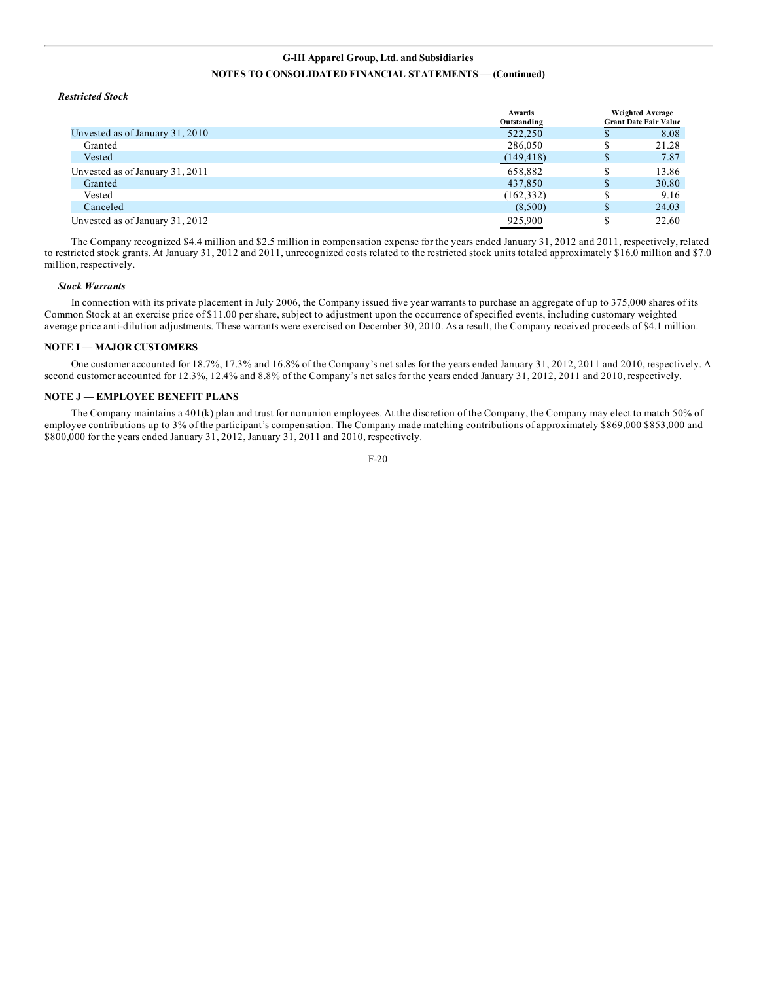## *Restricted Stock*

|                                 | Awards<br>Outstanding | <b>Weighted Average</b><br><b>Grant Date Fair Value</b> |       |
|---------------------------------|-----------------------|---------------------------------------------------------|-------|
| Unvested as of January 31, 2010 | 522,250               |                                                         | 8.08  |
| Granted                         | 286,050               |                                                         | 21.28 |
| Vested                          | (149, 418)            | Ф                                                       | 7.87  |
| Unvested as of January 31, 2011 | 658.882               |                                                         | 13.86 |
| Granted                         | 437,850               |                                                         | 30.80 |
| Vested                          | (162, 332)            |                                                         | 9.16  |
| Canceled                        | (8,500)               | \$                                                      | 24.03 |
| Unvested as of January 31, 2012 | 925,900               |                                                         | 22.60 |

The Company recognized \$4.4 million and \$2.5 million in compensation expense for the years ended January 31, 2012 and 2011, respectively, related to restricted stock grants. At January 31, 2012 and 2011, unrecognized costs related to the restricted stock units totaled approximately \$16.0 million and \$7.0 million, respectively.

### *Stock Warrants*

In connection with its private placement in July 2006, the Company issued five year warrants to purchase an aggregate of up to 375,000 shares of its Common Stock at an exercise price of \$11.00 per share, subject to adjustment upon the occurrence of specified events, including customary weighted average price anti-dilution adjustments. These warrants were exercised on December 30, 2010. As a result, the Company received proceeds of \$4.1 million.

### **NOTE I — MAJOR CUSTOMERS**

One customer accounted for 18.7%, 17.3% and 16.8% of the Company's net sales for the years ended January 31, 2012, 2011 and 2010, respectively. A second customer accounted for 12.3%, 12.4% and 8.8% of the Company's net sales for the years ended January 31, 2012, 2011 and 2010, respectively.

## **NOTE J — EMPLOYEE BENEFIT PLANS**

The Company maintains a 401(k) plan and trust for nonunion employees. At the discretion of the Company, the Company may elect to match 50% of employee contributions up to 3% of the participant's compensation. The Company made matching contributions of approximately \$869,000 \$853,000 and \$800,000 for the years ended January 31, 2012, January 31, 2011 and 2010, respectively.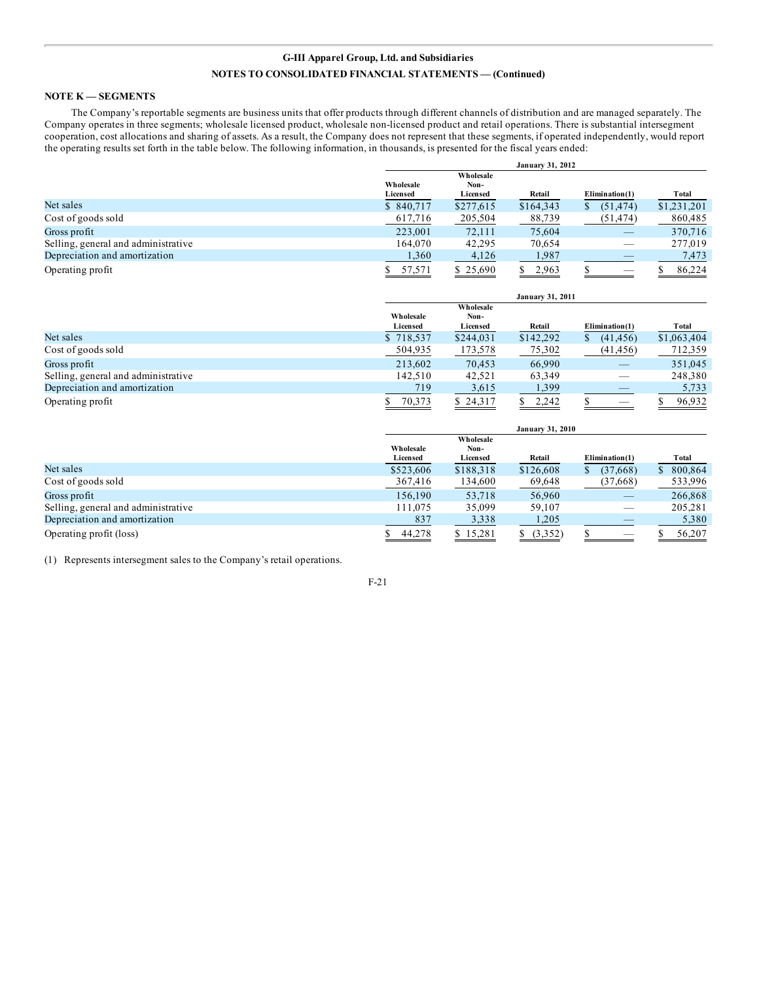# **NOTE K — SEGMENTS**

The Company's reportable segments are business units that offer products through different channels of distribution and are managed separately. The Company operates in three segments; wholesale licensed product, wholesale non-licensed product and retail operations. There is substantial intersegment cooperation, cost allocations and sharing of assets. As a result, the Company does not represent that these segments, if operated independently, would report the operating results set forth in the table below. The following information, in thousands, is presented for the fiscal years ended:

|                                     |                       | <b>January 31, 2012</b>       |                     |                                               |                      |  |
|-------------------------------------|-----------------------|-------------------------------|---------------------|-----------------------------------------------|----------------------|--|
|                                     | Wholesale<br>Licensed | Wholesale<br>Non-<br>Licensed | Retail              | Elimination(1)                                | Total                |  |
| Net sales                           | \$840,717             | \$277,615                     | \$164,343           | $\mathbb{S}$<br>(51, 474)                     | \$1,231,201          |  |
| Cost of goods sold                  | 617,716               | 205,504                       | 88,739              | (51, 474)                                     | 860,485              |  |
| Gross profit                        | 223,001               | 72,111                        | 75,604              |                                               | 370,716              |  |
| Selling, general and administrative | 164,070               | 42,295                        | 70,654              |                                               | 277,019              |  |
| Depreciation and amortization       | 1,360                 | 4,126                         | 1,987               |                                               | 7,473                |  |
| Operating profit                    | 57,571                | \$25,690                      | 2,963               |                                               | 86,224               |  |
|                                     |                       | <b>January 31, 2011</b>       |                     |                                               |                      |  |
|                                     |                       |                               |                     |                                               |                      |  |
|                                     | Wholesale             | Wholesale<br>Non-             |                     |                                               |                      |  |
| Net sales                           | Licensed<br>\$718,537 | Licensed<br>\$244,031         | Retail<br>\$142,292 | Elimination(1)<br>$\mathbb{S}^-$<br>(41, 456) | Total<br>\$1,063,404 |  |
| Cost of goods sold                  | 504,935               | 173,578                       | 75,302              | (41, 456)                                     | 712,359              |  |
| Gross profit                        | 213,602               | 70,453                        | 66,990              |                                               | 351,045              |  |
| Selling, general and administrative | 142,510               | 42,521                        | 63,349              |                                               | 248,380              |  |
| Depreciation and amortization       | 719                   | 3,615                         | 1,399               |                                               | 5,733                |  |

|                                     |           | <b>January 31, 2010</b> |           |                |               |  |
|-------------------------------------|-----------|-------------------------|-----------|----------------|---------------|--|
|                                     |           | Wholesale               |           |                |               |  |
|                                     | Wholesale | Non-                    |           |                |               |  |
|                                     | Licensed  | Licensed                | Retail    | Elimination(1) | Total         |  |
| Net sales                           | \$523,606 | \$188,318               | \$126,608 | (37,668)       | 800,864<br>S. |  |
| Cost of goods sold                  | 367,416   | 134,600                 | 69,648    | (37,668)       | 533,996       |  |
| Gross profit                        | 156,190   | 53,718                  | 56,960    |                | 266,868       |  |
| Selling, general and administrative | 111.075   | 35,099                  | 59,107    |                | 205.281       |  |
| Depreciation and amortization       | 837       | 3,338                   | 1,205     |                | 5,380         |  |
| Operating profit (loss)             | 44,278    | \$15,281                | (3,352)   |                | 56,207        |  |

(1) Represents intersegment sales to the Company's retail operations.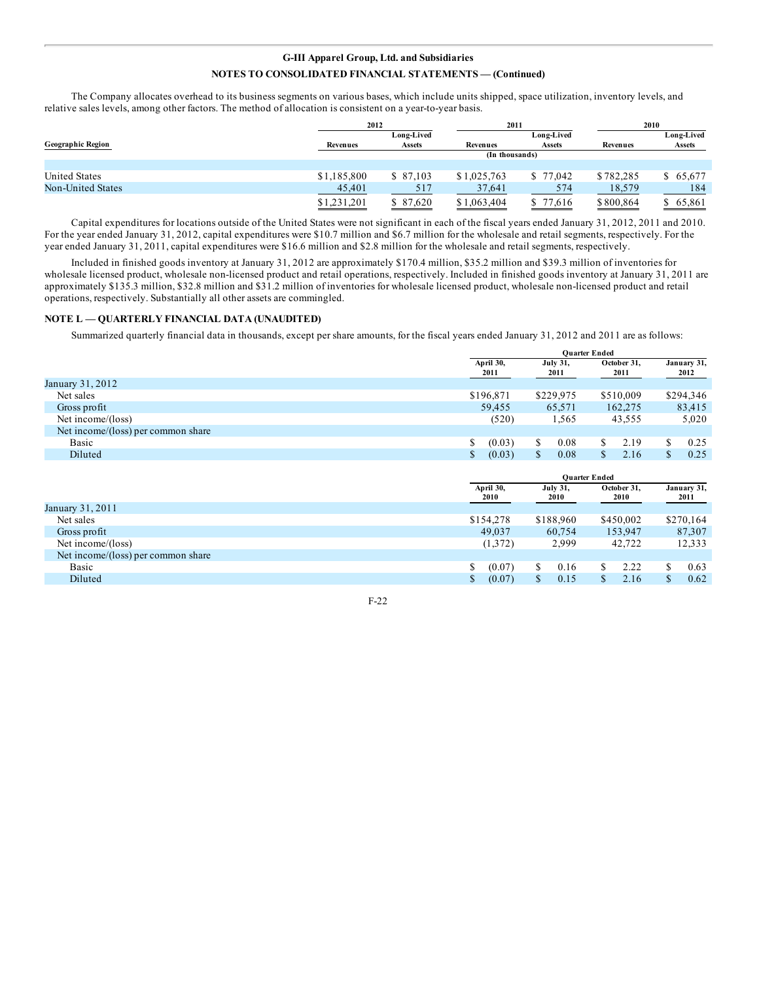The Company allocates overhead to its business segments on various bases, which include units shipped, space utilization, inventory levels, and relative sales levels, among other factors. The method of allocation is consistent on a year-to-year basis.

|                      | 2012           |                   | 2011        |            |           | 2010          |
|----------------------|----------------|-------------------|-------------|------------|-----------|---------------|
|                      |                | <b>Long-Lived</b> |             | Long-Lived |           | Long-Lived    |
| Geographic Region    | Revenues       | Assets            | Revenues    | Assets     | Revenues  | <b>Assets</b> |
|                      | (In thousands) |                   |             |            |           |               |
|                      |                |                   |             |            |           |               |
| <b>United States</b> | \$1,185,800    | \$ 87,103         | \$1,025,763 | \$ 77,042  | \$782,285 | \$65,677      |
| Non-United States    | 45,401         | 51                | 37,641      | 574        | 18,579    | 184           |
|                      | \$1,231,201    | \$ 87,620         | \$1,063,404 | \$ 77,616  | \$800,864 | \$65,861      |

Capital expenditures for locations outside of the United States were not significant in each of the fiscal years ended January 31, 2012, 2011 and 2010. For the year ended January 31, 2012, capital expenditures were \$10.7 million and \$6.7 million for the wholesale and retail segments, respectively. For the year ended January 31, 2011, capital expenditures were \$16.6 million and \$2.8 million for the wholesale and retail segments, respectively.

Included in finished goods inventory at January 31, 2012 are approximately \$170.4 million, \$35.2 million and \$39.3 million of inventories for wholesale licensed product, wholesale non-licensed product and retail operations, respectively. Included in finished goods inventory at January 31, 2011 are approximately \$135.3 million, \$32.8 million and \$31.2 million of inventories for wholesale licensed product, wholesale non-licensed product and retail operations, respectively. Substantially all other assets are commingled.

## **NOTE L — QUARTERLY FINANCIAL DATA (UNAUDITED)**

Summarized quarterly financial data in thousands, except per share amounts, for the fiscal years ended January 31, 2012 and 2011 are as follows:

|                                    |                   | <b>Ouarter Ended</b>    |                     |                     |  |
|------------------------------------|-------------------|-------------------------|---------------------|---------------------|--|
|                                    | April 30,<br>2011 | <b>July 31,</b><br>2011 | October 31,<br>2011 | January 31,<br>2012 |  |
| January 31, 2012                   |                   |                         |                     |                     |  |
| Net sales                          | \$196,871         | \$229,975               | \$510,009           | \$294,346           |  |
| Gross profit                       | 59,455            | 65,571                  | 162,275             | 83,415              |  |
| Net income/(loss)                  | (520)             | 1,565                   | 43,555              | 5,020               |  |
| Net income/(loss) per common share |                   |                         |                     |                     |  |
| Basic                              | (0.03)            | 0.08                    | 2.19                | 0.25                |  |
| Diluted                            | (0.03)            | 0.08                    | 2.16                | 0.25                |  |

|                                    |                   | <b>Ouarter Ended</b>    |                     |                     |  |
|------------------------------------|-------------------|-------------------------|---------------------|---------------------|--|
|                                    | April 30,<br>2010 | <b>July 31,</b><br>2010 | October 31,<br>2010 | January 31,<br>2011 |  |
| January 31, 2011                   |                   |                         |                     |                     |  |
| Net sales                          | \$154,278         | \$188,960               | \$450,002           | \$270,164           |  |
| Gross profit                       | 49,037            | 60,754                  | 153,947             | 87,307              |  |
| Net income/(loss)                  | (1,372)           | 2,999                   | 42,722              | 12,333              |  |
| Net income/(loss) per common share |                   |                         |                     |                     |  |
| Basic                              | (0.07)            | 0.16                    | 2.22                | 0.63                |  |
| Diluted                            | \$<br>(0.07)      | 0.15                    | 2.16                | 0.62                |  |

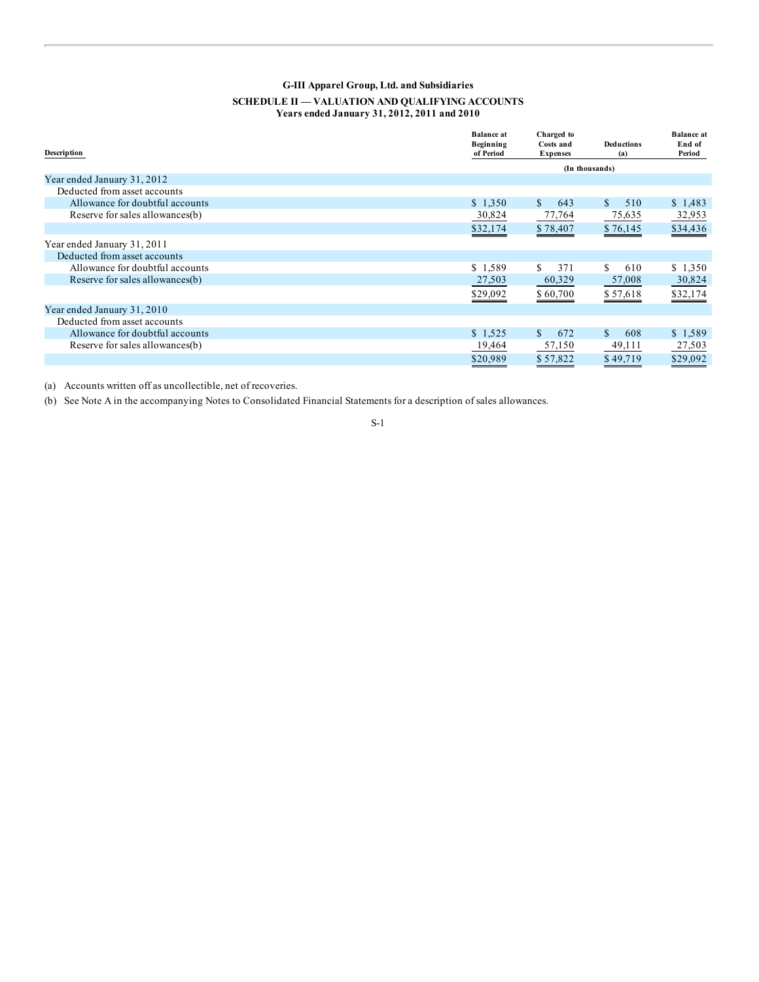## **G-III Apparel Group, Ltd. and Subsidiaries SCHEDULE II — VALUATION AND QUALIFYING ACCOUNTS Years ended January 31, 2012, 2011 and 2010**

| <b>Description</b>              | <b>Balance</b> at<br><b>Beginning</b><br>of Period | Charged to<br>Costs and<br><b>Expenses</b> | <b>Deductions</b><br>(a) | <b>Balance</b> at<br>End of<br>Period |
|---------------------------------|----------------------------------------------------|--------------------------------------------|--------------------------|---------------------------------------|
|                                 |                                                    | (In thousands)                             |                          |                                       |
| Year ended January 31, 2012     |                                                    |                                            |                          |                                       |
| Deducted from asset accounts    |                                                    |                                            |                          |                                       |
| Allowance for doubtful accounts | \$1,350                                            | \$.<br>643                                 | $\mathbb{S}^-$<br>510    | \$1,483                               |
| Reserve for sales allowances(b) | 30,824                                             | 77,764                                     | 75,635                   | 32,953                                |
|                                 | \$32,174                                           | \$78,407                                   | \$76,145                 | \$34,436                              |
| Year ended January 31, 2011     |                                                    |                                            |                          |                                       |
| Deducted from asset accounts    |                                                    |                                            |                          |                                       |
| Allowance for doubtful accounts | \$1,589                                            | \$.<br>371                                 | S.<br>610                | \$1,350                               |
| Reserve for sales allowances(b) | 27,503                                             | 60,329                                     | 57,008                   | 30,824                                |
|                                 | \$29,092                                           | \$60,700                                   | \$57,618                 | \$32,174                              |
| Year ended January 31, 2010     |                                                    |                                            |                          |                                       |
| Deducted from asset accounts    |                                                    |                                            |                          |                                       |
| Allowance for doubtful accounts | \$1,525                                            | \$.<br>672                                 | \$.<br>608               | \$1,589                               |
| Reserve for sales allowances(b) | 19,464                                             | 57,150                                     | 49,111                   | 27,503                                |
|                                 | \$20,989                                           | \$57.822                                   | \$49,719                 | \$29,092                              |

(a) Accounts written off as uncollectible, net of recoveries.

(b) See Note A in the accompanying Notes to Consolidated Financial Statements for a description of sales allowances.

S-1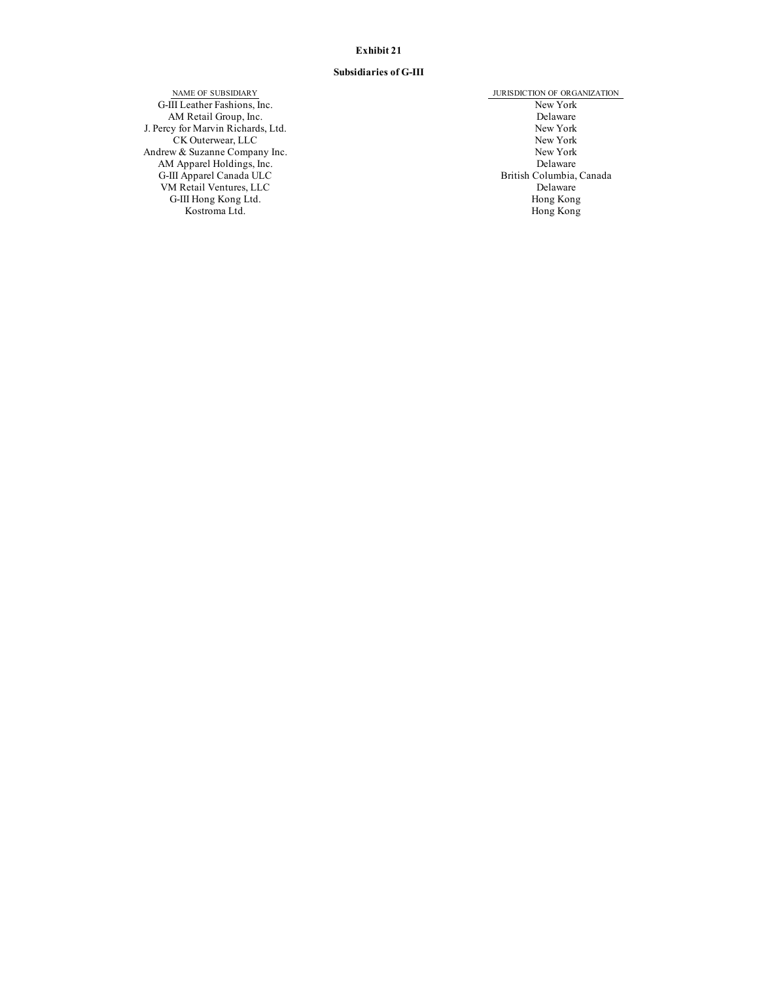# **Exhibit 21**

## **Subsidiaries of G-III**

G-III Leather Fashions, Inc. New York AM Retail Group, Inc.<br>
ev for Marvin Richards, Ltd. 
and the Communication of the Communication Communication Communication Communication Communication Communication Communication Communication Communication Communication J. Percy for Marvin Richards, Ltd. New York CK Outerwear, LLC New York<br>
We assure Suzanne Company Inc. Andrew & Suzanne Company Inc.<br>
AM Apparel Holdings, Inc.<br>
Delaware AM Apparel Holdings, Inc. **Delaware** Delaware **Delaware** G-III Apparel Canada ULC and the contract of the British Columbia, Canada VM Retail Ventures, LLC Delaware G-III Hong Kong Ltd. Hong Kong Kostroma Ltd.

NAME OF SUBSIDIARY JURISDICTION OF ORGANIZATION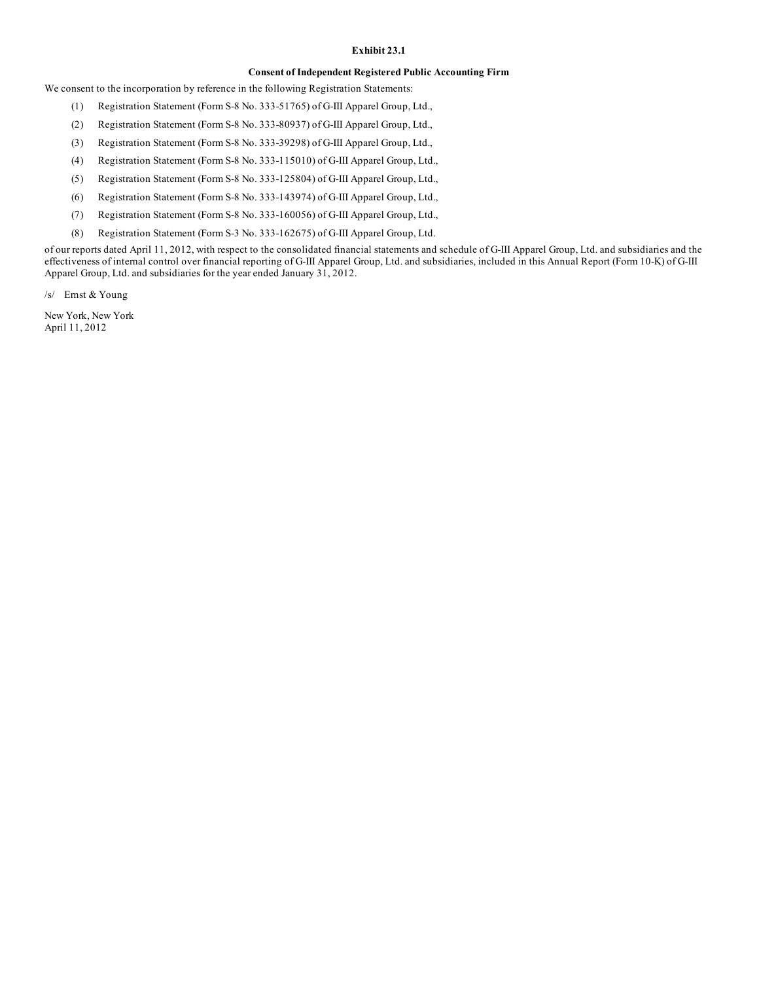## **Exhibit 23.1**

#### **Consent of Independent Registered Public Accounting Firm**

We consent to the incorporation by reference in the following Registration Statements:

- (1) Registration Statement (Form S-8 No. 333-51765) of G-III Apparel Group, Ltd.,
- (2) Registration Statement (Form S-8 No. 333-80937) of G-III Apparel Group, Ltd.,
- (3) Registration Statement (Form S-8 No. 333-39298) of G-III Apparel Group, Ltd.,
- (4) Registration Statement (Form S-8 No. 333-115010) of G-III Apparel Group, Ltd.,
- (5) Registration Statement (Form S-8 No. 333-125804) of G-III Apparel Group, Ltd.,
- (6) Registration Statement (Form S-8 No. 333-143974) of G-III Apparel Group, Ltd.,
- (7) Registration Statement (Form S-8 No. 333-160056) of G-III Apparel Group, Ltd.,
- (8) Registration Statement (Form S-3 No. 333-162675) of G-III Apparel Group, Ltd.

of our reports dated April 11, 2012, with respect to the consolidated financial statements and schedule of G-III Apparel Group, Ltd. and subsidiaries and the effectiveness of internal control over financial reporting of G-III Apparel Group, Ltd. and subsidiaries, included in this Annual Report (Form 10-K) of G-III Apparel Group, Ltd. and subsidiaries for the year ended January 31, 2012.

/s/ Ernst & Young

New York, New York April 11, 2012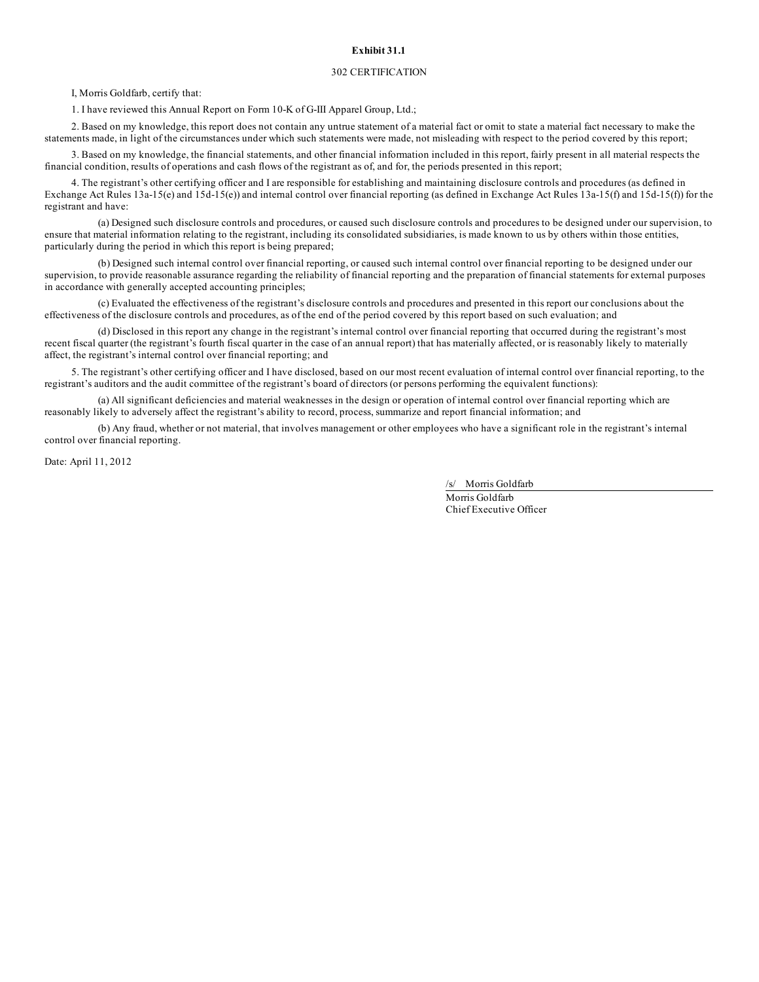#### 302 CERTIFICATION

I, Morris Goldfarb, certify that:

1. I have reviewed this Annual Report on Form 10-K of G-III Apparel Group, Ltd.;

2. Based on my knowledge, this report does not contain any untrue statement of a material fact or omit to state a material fact necessary to make the statements made, in light of the circumstances under which such statements were made, not misleading with respect to the period covered by this report;

3. Based on my knowledge, the financial statements, and other financial information included in this report, fairly present in all material respects the financial condition, results of operations and cash flows of the registrant as of, and for, the periods presented in this report;

4. The registrant's other certifying officer and I are responsible for establishing and maintaining disclosure controls and procedures (as defined in Exchange Act Rules 13a-15(e) and 15d-15(e)) and internal control over financial reporting (as defined in Exchange Act Rules 13a-15(f) and 15d-15(f)) for the registrant and have:

(a) Designed such disclosure controls and procedures, or caused such disclosure controls and procedures to be designed under our supervision, to ensure that material information relating to the registrant, including its consolidated subsidiaries, is made known to us by others within those entities, particularly during the period in which this report is being prepared;

(b) Designed such internal control over financial reporting, or caused such internal control over financial reporting to be designed under our supervision, to provide reasonable assurance regarding the reliability of financial reporting and the preparation of financial statements for external purposes in accordance with generally accepted accounting principles;

(c) Evaluated the effectiveness of the registrant's disclosure controls and procedures and presented in this report our conclusions about the effectiveness of the disclosure controls and procedures, as of the end of the period covered by this report based on such evaluation; and

(d) Disclosed in this report any change in the registrant's internal control over financial reporting that occurred during the registrant's most recent fiscal quarter (the registrant's fourth fiscal quarter in the case of an annual report) that has materially affected, or is reasonably likely to materially affect, the registrant's internal control over financial reporting; and

5. The registrant's other certifying officer and I have disclosed, based on our most recent evaluation of internal control over financial reporting, to the registrant's auditors and the audit committee of the registrant's board of directors (or persons performing the equivalent functions):

(a) All significant deficiencies and material weaknesses in the design or operation of internal control over financial reporting which are reasonably likely to adversely affect the registrant's ability to record, process, summarize and report financial information; and

(b) Any fraud, whether or not material, that involves management or other employees who have a significant role in the registrant's internal control over financial reporting.

Date: April 11, 2012

/s/ Morris Goldfarb

Morris Goldfarb Chief Executive Officer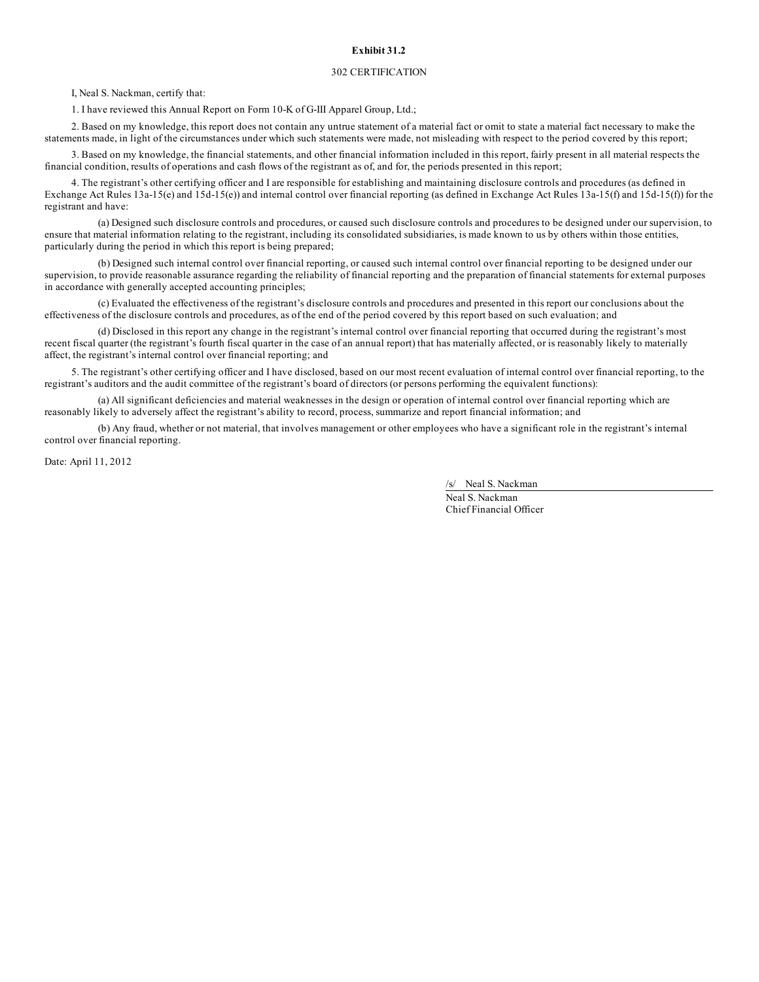#### 302 CERTIFICATION

I, Neal S. Nackman, certify that:

1. I have reviewed this Annual Report on Form 10-K of G-III Apparel Group, Ltd.;

2. Based on my knowledge, this report does not contain any untrue statement of a material fact or omit to state a material fact necessary to make the statements made, in light of the circumstances under which such statements were made, not misleading with respect to the period covered by this report;

3. Based on my knowledge, the financial statements, and other financial information included in this report, fairly present in all material respects the financial condition, results of operations and cash flows of the registrant as of, and for, the periods presented in this report;

4. The registrant's other certifying officer and I are responsible for establishing and maintaining disclosure controls and procedures (as defined in Exchange Act Rules 13a-15(e) and 15d-15(e)) and internal control over financial reporting (as defined in Exchange Act Rules 13a-15(f) and 15d-15(f)) for the registrant and have:

(a) Designed such disclosure controls and procedures, or caused such disclosure controls and procedures to be designed under our supervision, to ensure that material information relating to the registrant, including its consolidated subsidiaries, is made known to us by others within those entities, particularly during the period in which this report is being prepared;

(b) Designed such internal control over financial reporting, or caused such internal control over financial reporting to be designed under our supervision, to provide reasonable assurance regarding the reliability of financial reporting and the preparation of financial statements for external purposes in accordance with generally accepted accounting principles;

(c) Evaluated the effectiveness of the registrant's disclosure controls and procedures and presented in this report our conclusions about the effectiveness of the disclosure controls and procedures, as of the end of the period covered by this report based on such evaluation; and

(d) Disclosed in this report any change in the registrant's internal control over financial reporting that occurred during the registrant's most recent fiscal quarter (the registrant's fourth fiscal quarter in the case of an annual report) that has materially affected, or is reasonably likely to materially affect, the registrant's internal control over financial reporting; and

5. The registrant's other certifying officer and I have disclosed, based on our most recent evaluation of internal control over financial reporting, to the registrant's auditors and the audit committee of the registrant's board of directors (or persons performing the equivalent functions):

(a) All significant deficiencies and material weaknesses in the design or operation of internal control over financial reporting which are reasonably likely to adversely affect the registrant's ability to record, process, summarize and report financial information; and

(b) Any fraud, whether or not material, that involves management or other employees who have a significant role in the registrant's internal control over financial reporting.

Date: April 11, 2012

Neal S. Nackman

Neal S. Nackman Chief Financial Officer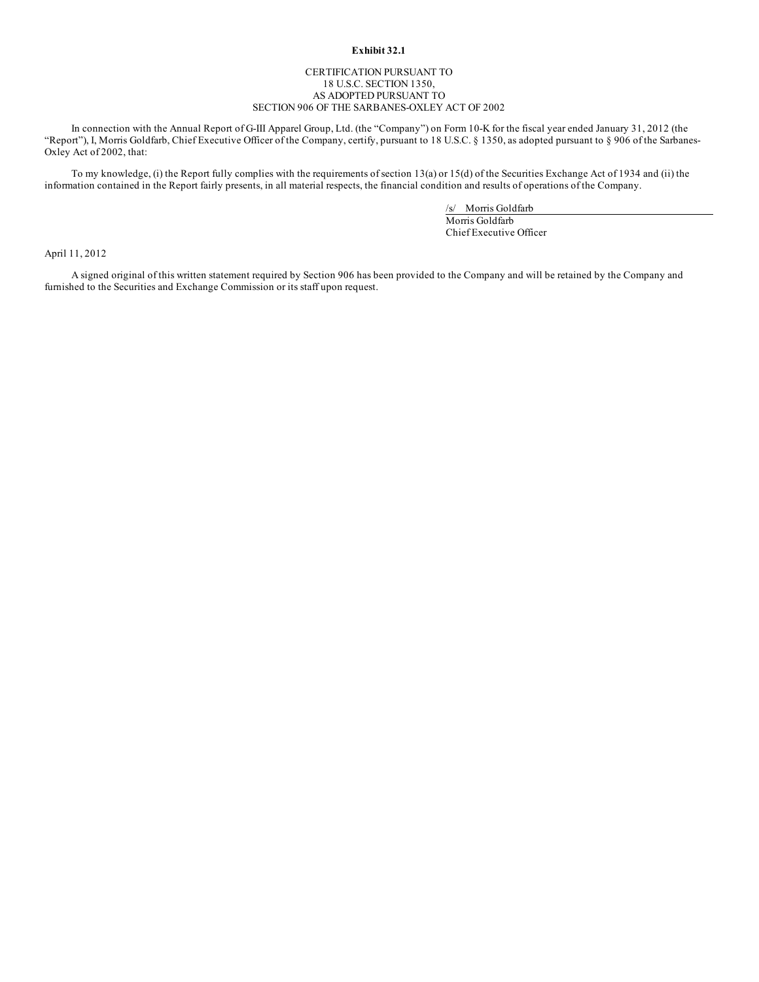### **Exhibit 32.1**

#### CERTIFICATION PURSUANT TO 18 U.S.C. SECTION 1350, AS ADOPTED PURSUANT TO SECTION 906 OF THE SARBANES-OXLEY ACT OF 2002

In connection with the Annual Report of G-III Apparel Group, Ltd. (the "Company") on Form 10-K for the fiscal year ended January 31, 2012 (the "Report"), I, Morris Goldfarb, Chief Executive Officer of the Company, certify, pursuant to 18 U.S.C. § 1350, as adopted pursuant to § 906 of the Sarbanes-Oxley Act of 2002, that:

To my knowledge, (i) the Report fully complies with the requirements of section  $13(a)$  or  $15(d)$  of the Securities Exchange Act of 1934 and (ii) the information contained in the Report fairly presents, in all material respects, the financial condition and results of operations of the Company.

/s/ Morris Goldfarb

Morris Goldfarb Chief Executive Officer

April 11, 2012

A signed original of this written statement required by Section 906 has been provided to the Company and will be retained by the Company and furnished to the Securities and Exchange Commission or its staff upon request.